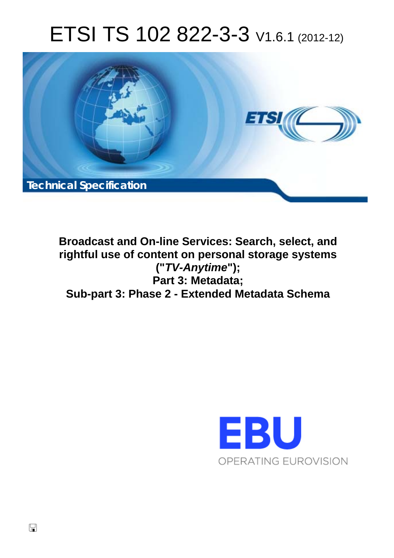# ETSI TS 102 822-3-3 V1.6.1 (2012-12)



**Broadcast and On-line Services: Search, select, and rightful use of content on personal storage systems ("***TV-Anytime***"); Part 3: Metadata; Sub-part 3: Phase 2 - Extended Metadata Schema** 

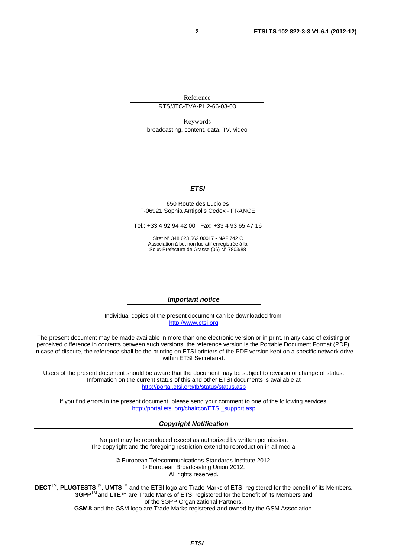Reference RTS/JTC-TVA-PH2-66-03-03

Keywords broadcasting, content, data, TV, video

#### *ETSI*

#### 650 Route des Lucioles F-06921 Sophia Antipolis Cedex - FRANCE

Tel.: +33 4 92 94 42 00 Fax: +33 4 93 65 47 16

Siret N° 348 623 562 00017 - NAF 742 C Association à but non lucratif enregistrée à la Sous-Préfecture de Grasse (06) N° 7803/88

#### *Important notice*

Individual copies of the present document can be downloaded from: [http://www.etsi.org](http://www.etsi.org/)

The present document may be made available in more than one electronic version or in print. In any case of existing or perceived difference in contents between such versions, the reference version is the Portable Document Format (PDF). In case of dispute, the reference shall be the printing on ETSI printers of the PDF version kept on a specific network drive within ETSI Secretariat.

Users of the present document should be aware that the document may be subject to revision or change of status. Information on the current status of this and other ETSI documents is available at <http://portal.etsi.org/tb/status/status.asp>

If you find errors in the present document, please send your comment to one of the following services: [http://portal.etsi.org/chaircor/ETSI\\_support.asp](http://portal.etsi.org/chaircor/ETSI_support.asp)

#### *Copyright Notification*

No part may be reproduced except as authorized by written permission. The copyright and the foregoing restriction extend to reproduction in all media.

> © European Telecommunications Standards Institute 2012. © European Broadcasting Union 2012. All rights reserved.

**DECT**TM, **PLUGTESTS**TM, **UMTS**TM and the ETSI logo are Trade Marks of ETSI registered for the benefit of its Members. **3GPP**TM and **LTE**™ are Trade Marks of ETSI registered for the benefit of its Members and of the 3GPP Organizational Partners. **GSM**® and the GSM logo are Trade Marks registered and owned by the GSM Association.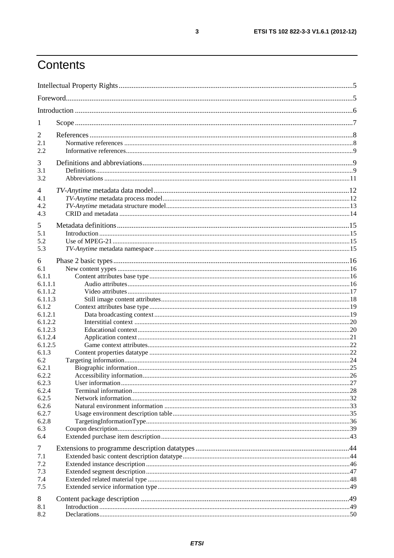# Contents

| 1            |  |
|--------------|--|
| 2            |  |
| 2.1          |  |
| 2.2          |  |
| 3            |  |
| 3.1          |  |
| 3.2          |  |
|              |  |
| 4            |  |
| 4.1          |  |
| 4.2<br>4.3   |  |
|              |  |
| 5            |  |
| 5.1          |  |
| 5.2          |  |
| 5.3          |  |
| 6            |  |
| 6.1          |  |
| 6.1.1        |  |
| 6.1.1.1      |  |
| 6.1.1.2      |  |
| 6.1.1.3      |  |
| 6.1.2        |  |
| 6.1.2.1      |  |
| 6.1.2.2      |  |
| 6.1.2.3      |  |
| 6.1.2.4      |  |
| 6.1.2.5      |  |
| 6.1.3        |  |
| 6.2<br>6.2.1 |  |
| 6.2.2        |  |
| 6.2.3        |  |
| 6.2.4        |  |
| 6.2.5        |  |
| 6.2.6        |  |
| 6.2.7        |  |
| 6.2.8        |  |
| 6.3          |  |
| 6.4          |  |
| 7            |  |
| 7.1          |  |
| 7.2          |  |
| 7.3          |  |
| 7.4          |  |
| 7.5          |  |
|              |  |
| 8<br>8.1     |  |
| 8.2          |  |
|              |  |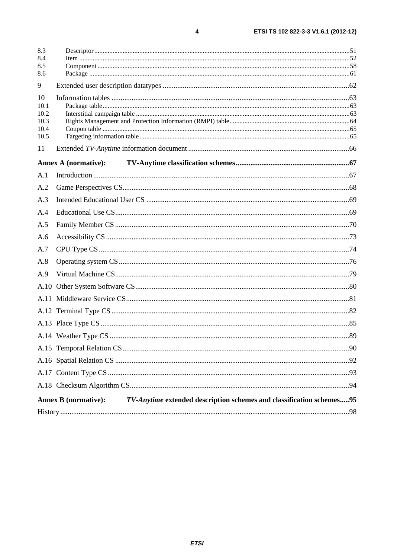| 8.3          |                                                                                                     |  |
|--------------|-----------------------------------------------------------------------------------------------------|--|
| 8.4<br>8.5   |                                                                                                     |  |
| 8.6          |                                                                                                     |  |
| 9            |                                                                                                     |  |
| 10           |                                                                                                     |  |
| 10.1         |                                                                                                     |  |
| 10.2         |                                                                                                     |  |
| 10.3<br>10.4 |                                                                                                     |  |
| 10.5         |                                                                                                     |  |
| 11           |                                                                                                     |  |
|              | <b>Annex A (normative):</b>                                                                         |  |
| A.1          |                                                                                                     |  |
| A.2          |                                                                                                     |  |
| A.3          |                                                                                                     |  |
| A.4          |                                                                                                     |  |
| A.5          |                                                                                                     |  |
| A.6          |                                                                                                     |  |
| A.7          |                                                                                                     |  |
| A.8          |                                                                                                     |  |
| A.9          |                                                                                                     |  |
|              |                                                                                                     |  |
|              |                                                                                                     |  |
|              |                                                                                                     |  |
|              |                                                                                                     |  |
|              |                                                                                                     |  |
|              |                                                                                                     |  |
|              |                                                                                                     |  |
|              |                                                                                                     |  |
|              |                                                                                                     |  |
|              | TV-Anytime extended description schemes and classification schemes95<br><b>Annex B</b> (normative): |  |
|              |                                                                                                     |  |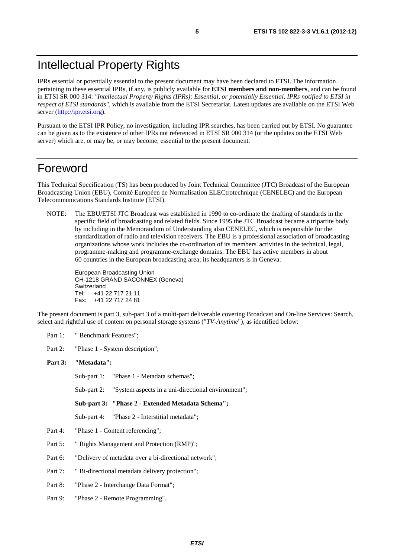### Intellectual Property Rights

IPRs essential or potentially essential to the present document may have been declared to ETSI. The information pertaining to these essential IPRs, if any, is publicly available for **ETSI members and non-members**, and can be found in ETSI SR 000 314: *"Intellectual Property Rights (IPRs); Essential, or potentially Essential, IPRs notified to ETSI in respect of ETSI standards"*, which is available from the ETSI Secretariat. Latest updates are available on the ETSI Web server ([http://ipr.etsi.org\)](http://webapp.etsi.org/IPR/home.asp).

Pursuant to the ETSI IPR Policy, no investigation, including IPR searches, has been carried out by ETSI. No guarantee can be given as to the existence of other IPRs not referenced in ETSI SR 000 314 (or the updates on the ETSI Web server) which are, or may be, or may become, essential to the present document.

### Foreword

This Technical Specification (TS) has been produced by Joint Technical Committee (JTC) Broadcast of the European Broadcasting Union (EBU), Comité Européen de Normalisation ELECtrotechnique (CENELEC) and the European Telecommunications Standards Institute (ETSI).

NOTE: The EBU/ETSI JTC Broadcast was established in 1990 to co-ordinate the drafting of standards in the specific field of broadcasting and related fields. Since 1995 the JTC Broadcast became a tripartite body by including in the Memorandum of Understanding also CENELEC, which is responsible for the standardization of radio and television receivers. The EBU is a professional association of broadcasting organizations whose work includes the co-ordination of its members' activities in the technical, legal, programme-making and programme-exchange domains. The EBU has active members in about 60 countries in the European broadcasting area; its headquarters is in Geneva.

European Broadcasting Union CH-1218 GRAND SACONNEX (Geneva) Switzerland Tel: +41 22 717 21 11 Fax: +41 22 717 24 81

The present document is part 3, sub-part 3 of a multi-part deliverable covering Broadcast and On-line Services: Search, select and rightful use of content on personal storage systems ("*TV-Anytime*"), as identified below:

- Part 1: "Benchmark Features";
- Part 2: "Phase 1 System description";

#### **Part 3: "Metadata":**

Sub-part 1: "Phase 1 - Metadata schemas";

Sub-part 2: "System aspects in a uni-directional environment";

**Sub-part 3: "Phase 2 - Extended Metadata Schema";** 

Sub-part 4: "Phase 2 - Interstitial metadata";

- Part 4: "Phase 1 Content referencing";
- Part 5: " Rights Management and Protection (RMP)";
- Part 6: "Delivery of metadata over a bi-directional network";
- Part 7: " Bi-directional metadata delivery protection";
- Part 8: "Phase 2 Interchange Data Format";
- Part 9: "Phase 2 Remote Programming".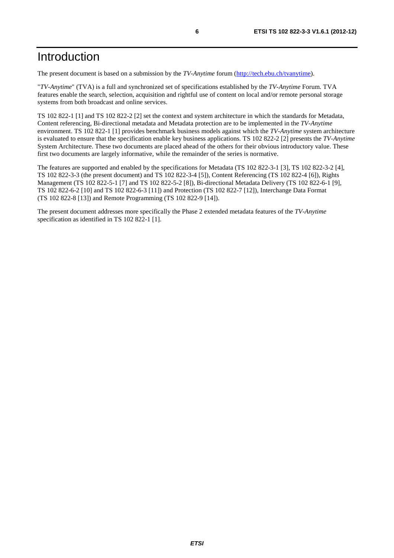The present document is based on a submission by the *TV-Anytime* forum ([http://tech.ebu.ch/tvanytime\)](http://tech.ebu.ch/tvanytime).

"*TV-Anytime*" (TVA) is a full and synchronized set of specifications established by the *TV-Anytime* Forum. TVA features enable the search, selection, acquisition and rightful use of content on local and/or remote personal storage systems from both broadcast and online services.

TS 102 822-1 [1] and TS 102 822-2 [2] set the context and system architecture in which the standards for Metadata, Content referencing, Bi-directional metadata and Metadata protection are to be implemented in the *TV-Anytime* environment. TS 102 822-1 [1] provides benchmark business models against which the *TV-Anytime* system architecture is evaluated to ensure that the specification enable key business applications. TS 102 822-2 [2] presents the *TV-Anytime* System Architecture. These two documents are placed ahead of the others for their obvious introductory value. These first two documents are largely informative, while the remainder of the series is normative.

The features are supported and enabled by the specifications for Metadata (TS 102 822-3-1 [3], TS 102 822-3-2 [4], TS 102 822-3-3 (the present document) and TS 102 822-3-4 [5]), Content Referencing (TS 102 822-4 [6]), Rights Management (TS 102 822-5-1 [7] and TS 102 822-5-2 [8]), Bi-directional Metadata Delivery (TS 102 822-6-1 [9], TS 102 822-6-2 [10] and TS 102 822-6-3 [11]) and Protection (TS 102 822-7 [12]), Interchange Data Format (TS 102 822-8 [13]) and Remote Programming (TS 102 822-9 [14]).

The present document addresses more specifically the Phase 2 extended metadata features of the *TV-Anytime* specification as identified in TS 102 822-1 [1].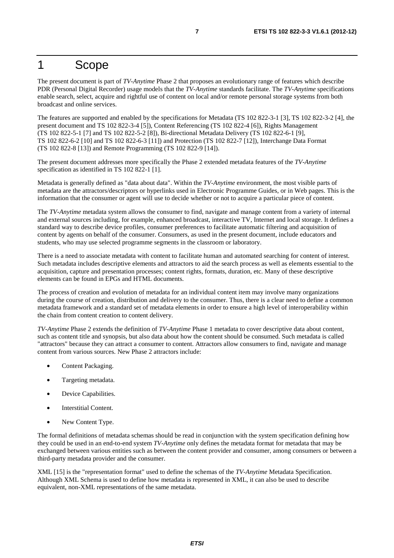### 1 Scope

The present document is part of *TV-Anytime* Phase 2 that proposes an evolutionary range of features which describe PDR (Personal Digital Recorder) usage models that the *TV-Anytime* standards facilitate. The *TV-Anytime* specifications enable search, select, acquire and rightful use of content on local and/or remote personal storage systems from both broadcast and online services.

The features are supported and enabled by the specifications for Metadata (TS 102 822-3-1 [3], TS 102 822-3-2 [4], the present document and TS 102 822-3-4 [5]), Content Referencing (TS 102 822-4 [6]), Rights Management (TS 102 822-5-1 [7] and TS 102 822-5-2 [8]), Bi-directional Metadata Delivery (TS 102 822-6-1 [9], TS 102 822-6-2 [10] and TS 102 822-6-3 [11]) and Protection (TS 102 822-7 [12]), Interchange Data Format (TS 102 822-8 [13]) and Remote Programming (TS 102 822-9 [14]).

The present document addresses more specifically the Phase 2 extended metadata features of the *TV-Anytime* specification as identified in TS 102 822-1 [1].

Metadata is generally defined as "data about data". Within the *TV-Anytime* environment, the most visible parts of metadata are the attractors/descriptors or hyperlinks used in Electronic Programme Guides, or in Web pages. This is the information that the consumer or agent will use to decide whether or not to acquire a particular piece of content.

The *TV-Anytime* metadata system allows the consumer to find, navigate and manage content from a variety of internal and external sources including, for example, enhanced broadcast, interactive TV, Internet and local storage. It defines a standard way to describe device profiles, consumer preferences to facilitate automatic filtering and acquisition of content by agents on behalf of the consumer. Consumers, as used in the present document, include educators and students, who may use selected programme segments in the classroom or laboratory.

There is a need to associate metadata with content to facilitate human and automated searching for content of interest. Such metadata includes descriptive elements and attractors to aid the search process as well as elements essential to the acquisition, capture and presentation processes; content rights, formats, duration, etc. Many of these descriptive elements can be found in EPGs and HTML documents.

The process of creation and evolution of metadata for an individual content item may involve many organizations during the course of creation, distribution and delivery to the consumer. Thus, there is a clear need to define a common metadata framework and a standard set of metadata elements in order to ensure a high level of interoperability within the chain from content creation to content delivery.

*TV-Anytime* Phase 2 extends the definition of *TV-Anytime* Phase 1 metadata to cover descriptive data about content, such as content title and synopsis, but also data about how the content should be consumed. Such metadata is called "attractors" because they can attract a consumer to content. Attractors allow consumers to find, navigate and manage content from various sources. New Phase 2 attractors include:

- Content Packaging.
- Targeting metadata.
- Device Capabilities.
- Interstitial Content.
- New Content Type.

The formal definitions of metadata schemas should be read in conjunction with the system specification defining how they could be used in an end-to-end system *TV-Anytime* only defines the metadata format for metadata that may be exchanged between various entities such as between the content provider and consumer, among consumers or between a third-party metadata provider and the consumer.

XML [15] is the "representation format" used to define the schemas of the *TV-Anytime* Metadata Specification. Although XML Schema is used to define how metadata is represented in XML, it can also be used to describe equivalent, non-XML representations of the same metadata.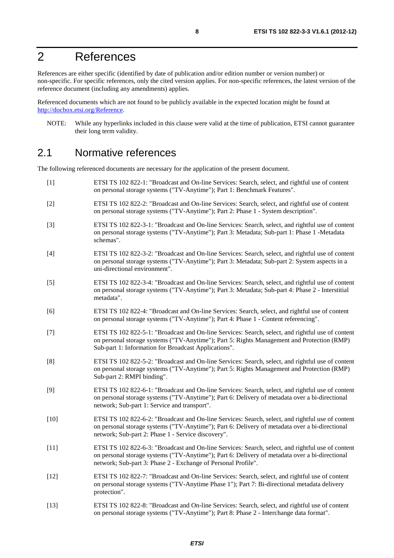# 2 References

References are either specific (identified by date of publication and/or edition number or version number) or non-specific. For specific references, only the cited version applies. For non-specific references, the latest version of the reference document (including any amendments) applies.

Referenced documents which are not found to be publicly available in the expected location might be found at [http://docbox.etsi.org/Reference.](http://docbox.etsi.org/Reference)

NOTE: While any hyperlinks included in this clause were valid at the time of publication, ETSI cannot guarantee their long term validity.

### 2.1 Normative references

The following referenced documents are necessary for the application of the present document.

- [1] ETSI TS 102 822-1: "Broadcast and On-line Services: Search, select, and rightful use of content on personal storage systems ("TV-Anytime"); Part 1: Benchmark Features". [2] ETSI TS 102 822-2: "Broadcast and On-line Services: Search, select, and rightful use of content on personal storage systems ("TV-Anytime"); Part 2: Phase 1 - System description". [3] ETSI TS 102 822-3-1: "Broadcast and On-line Services: Search, select, and rightful use of content on personal storage systems ("TV-Anytime"); Part 3: Metadata; Sub-part 1: Phase 1 -Metadata schemas". [4] ETSI TS 102 822-3-2: "Broadcast and On-line Services: Search, select, and rightful use of content on personal storage systems ("TV-Anytime"); Part 3: Metadata; Sub-part 2: System aspects in a uni-directional environment". [5] ETSI TS 102 822-3-4: "Broadcast and On-line Services: Search, select, and rightful use of content on personal storage systems ("TV-Anytime"); Part 3: Metadata; Sub-part 4: Phase 2 - Interstitial metadata". [6] ETSI TS 102 822-4: "Broadcast and On-line Services: Search, select, and rightful use of content on personal storage systems ("TV-Anytime"); Part 4: Phase 1 - Content referencing". [7] ETSI TS 102 822-5-1: "Broadcast and On-line Services: Search, select, and rightful use of content on personal storage systems ("TV-Anytime"); Part 5: Rights Management and Protection (RMP) Sub-part 1: Information for Broadcast Applications". [8] ETSI TS 102 822-5-2: "Broadcast and On-line Services: Search, select, and rightful use of content on personal storage systems ("TV-Anytime"); Part 5: Rights Management and Protection (RMP) Sub-part 2: RMPI binding". [9] ETSI TS 102 822-6-1: "Broadcast and On-line Services: Search, select, and rightful use of content on personal storage systems ("TV-Anytime"); Part 6: Delivery of metadata over a bi-directional network; Sub-part 1: Service and transport". [10] ETSI TS 102 822-6-2: "Broadcast and On-line Services: Search, select, and rightful use of content on personal storage systems ("TV-Anytime"); Part 6: Delivery of metadata over a bi-directional network; Sub-part 2: Phase 1 - Service discovery". [11] ETSI TS 102 822-6-3: "Broadcast and On-line Services: Search, select, and rightful use of content on personal storage systems ("TV-Anytime"); Part 6: Delivery of metadata over a bi-directional network; Sub-part 3: Phase 2 - Exchange of Personal Profile". [12] ETSI TS 102 822-7: "Broadcast and On-line Services: Search, select, and rightful use of content on personal storage systems ("TV-Anytime Phase 1"); Part 7: Bi-directional metadata delivery protection". [13] ETSI TS 102 822-8: "Broadcast and On-line Services: Search, select, and rightful use of content
	- on personal storage systems ("TV-Anytime"); Part 8: Phase 2 Interchange data format".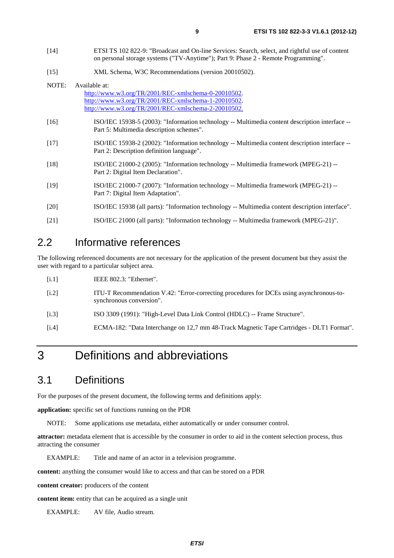- [14] ETSI TS 102 822-9: "Broadcast and On-line Services: Search, select, and rightful use of content on personal storage systems ("TV-Anytime"); Part 9: Phase 2 - Remote Programming".
- [15] XML Schema, W3C Recommendations (version 20010502).

| NOTE:  | Available at:                                                                                                                               |
|--------|---------------------------------------------------------------------------------------------------------------------------------------------|
|        | http://www.w3.org/TR/2001/REC-xmlschema-0-20010502.                                                                                         |
|        | http://www.w3.org/TR/2001/REC-xmlschema-1-20010502.                                                                                         |
|        | http://www.w3.org/TR/2001/REC-xmlschema-2-20010502.                                                                                         |
| $[16]$ | ISO/IEC 15938-5 (2003): "Information technology -- Multimedia content description interface --<br>Part 5: Multimedia description schemes".  |
| $[17]$ | ISO/IEC 15938-2 (2002): "Information technology -- Multimedia content description interface --<br>Part 2: Description definition language". |
| $[18]$ | ISO/IEC 21000-2 (2005): "Information technology -- Multimedia framework (MPEG-21) --<br>Part 2: Digital Item Declaration".                  |
| $[19]$ | ISO/IEC 21000-7 (2007): "Information technology -- Multimedia framework (MPEG-21) --<br>Part 7: Digital Item Adaptation".                   |
| [20]   | ISO/IEC 15938 (all parts): "Information technology -- Multimedia content description interface".                                            |
| [21]   | ISO/IEC 21000 (all parts): "Information technology -- Multimedia framework (MPEG-21)".                                                      |

### 2.2 Informative references

The following referenced documents are not necessary for the application of the present document but they assist the user with regard to a particular subject area.

| [i.1] | IEEE $802.3$ : "Ethernet". |  |
|-------|----------------------------|--|
|-------|----------------------------|--|

- [i.2] ITU-T Recommendation V.42: "Error-correcting procedures for DCEs using asynchronous-tosynchronous conversion".
- [i.3] ISO 3309 (1991): "High-Level Data Link Control (HDLC) -- Frame Structure".
- [i.4] ECMA-182: "Data Interchange on 12,7 mm 48-Track Magnetic Tape Cartridges DLT1 Format".

# 3 Definitions and abbreviations

### 3.1 Definitions

For the purposes of the present document, the following terms and definitions apply:

**application:** specific set of functions running on the PDR

NOTE: Some applications use metadata, either automatically or under consumer control.

**attractor:** metadata element that is accessible by the consumer in order to aid in the content selection process, thus attracting the consumer

EXAMPLE: Title and name of an actor in a television programme.

**content:** anything the consumer would like to access and that can be stored on a PDR

**content creator:** producers of the content

**content item:** entity that can be acquired as a single unit

EXAMPLE: AV file, Audio stream.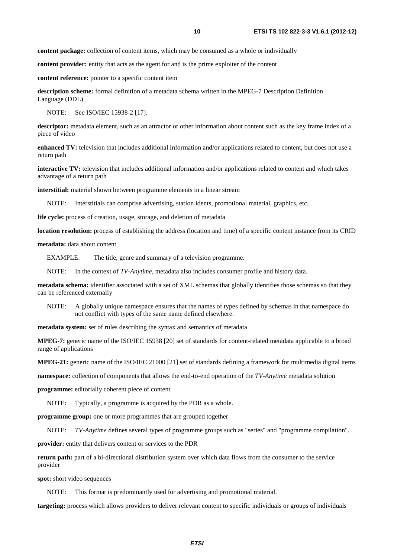**content package:** collection of content items, which may be consumed as a whole or individually

**content provider:** entity that acts as the agent for and is the prime exploiter of the content

**content reference:** pointer to a specific content item

**description scheme:** formal definition of a metadata schema written in the MPEG-7 Description Definition Language (DDL)

NOTE: See ISO/IEC 15938-2 [17].

**descriptor:** metadata element, such as an attractor or other information about content such as the key frame index of a piece of video

**enhanced TV:** television that includes additional information and/or applications related to content, but does not use a return path

**interactive TV:** television that includes additional information and/or applications related to content and which takes advantage of a return path

**interstitial:** material shown between programme elements in a linear stream

NOTE: Interstitials can comprise advertising, station idents, promotional material, graphics, etc.

**life cycle:** process of creation, usage, storage, and deletion of metadata

**location resolution:** process of establishing the address (location and time) of a specific content instance from its CRID

**metadata:** data about content

EXAMPLE: The title, genre and summary of a television programme.

NOTE: In the context of *TV-Anytime*, metadata also includes consumer profile and history data.

**metadata schema:** identifier associated with a set of XML schemas that globally identifies those schemas so that they can be referenced externally

NOTE: A globally unique namespace ensures that the names of types defined by schemas in that namespace do not conflict with types of the same name defined elsewhere.

**metadata system:** set of rules describing the syntax and semantics of metadata

**MPEG-7:** generic name of the ISO/IEC 15938 [20] set of standards for content-related metadata applicable to a broad range of applications

**MPEG-21:** generic name of the ISO/IEC 21000 [21] set of standards defining a framework for multimedia digital items

**namespace:** collection of components that allows the end-to-end operation of the *TV-Anytime* metadata solution

**programme:** editorially coherent piece of content

NOTE: Typically, a programme is acquired by the PDR as a whole.

**programme group:** one or more programmes that are grouped together

NOTE: *TV-Anytime* defines several types of programme groups such as "series" and "programme compilation".

**provider:** entity that delivers content or services to the PDR

**return path:** part of a bi-directional distribution system over which data flows from the consumer to the service provider

**spot:** short video sequences

NOTE: This format is predominantly used for advertising and promotional material.

**targeting:** process which allows providers to deliver relevant content to specific individuals or groups of individuals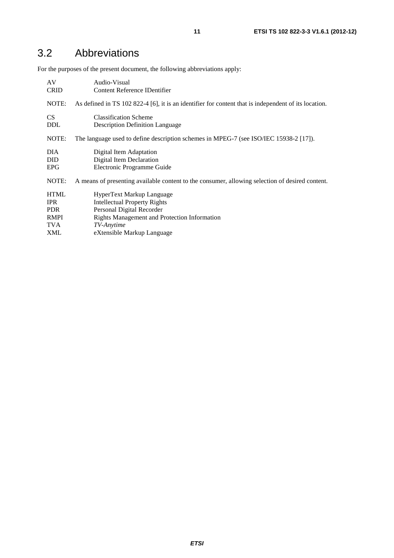# 3.2 Abbreviations

For the purposes of the present document, the following abbreviations apply:

| AV          | Audio-Visual                                                                                         |
|-------------|------------------------------------------------------------------------------------------------------|
| <b>CRID</b> | Content Reference IDentifier                                                                         |
| NOTE:       | As defined in TS 102 822-4 [6], it is an identifier for content that is independent of its location. |
| <b>CS</b>   | <b>Classification Scheme</b>                                                                         |
| <b>DDL</b>  | <b>Description Definition Language</b>                                                               |
| NOTE:       | The language used to define description schemes in MPEG-7 (see ISO/IEC 15938-2 [17]).                |
| DIA.        | Digital Item Adaptation                                                                              |
| <b>DID</b>  | Digital Item Declaration                                                                             |
| <b>EPG</b>  | Electronic Programme Guide                                                                           |
| NOTE:       | A means of presenting available content to the consumer, allowing selection of desired content.      |
| <b>HTML</b> | HyperText Markup Language                                                                            |
| <b>IPR</b>  | <b>Intellectual Property Rights</b>                                                                  |
| <b>PDR</b>  | Personal Digital Recorder                                                                            |
| <b>RMPI</b> | <b>Rights Management and Protection Information</b>                                                  |
| TVA         | TV-Anytime                                                                                           |
| <b>XML</b>  | eXtensible Markup Language                                                                           |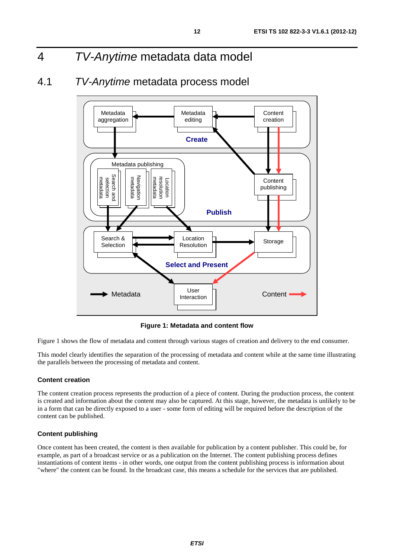# 4 *TV-Anytime* metadata data model

### 4.1 *TV-Anytime* metadata process model



**Figure 1: Metadata and content flow** 

Figure 1 shows the flow of metadata and content through various stages of creation and delivery to the end consumer.

This model clearly identifies the separation of the processing of metadata and content while at the same time illustrating the parallels between the processing of metadata and content.

#### **Content creation**

The content creation process represents the production of a piece of content. During the production process, the content is created and information about the content may also be captured. At this stage, however, the metadata is unlikely to be in a form that can be directly exposed to a user - some form of editing will be required before the description of the content can be published.

#### **Content publishing**

Once content has been created, the content is then available for publication by a content publisher. This could be, for example, as part of a broadcast service or as a publication on the Internet. The content publishing process defines instantiations of content items - in other words, one output from the content publishing process is information about "where" the content can be found. In the broadcast case, this means a schedule for the services that are published.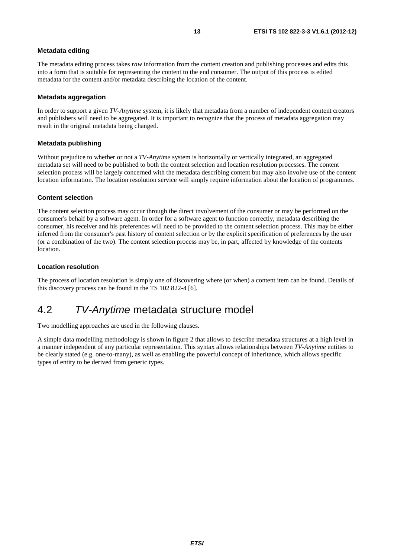#### **Metadata editing**

The metadata editing process takes *raw* information from the content creation and publishing processes and edits this into a form that is suitable for representing the content to the end consumer. The output of this process is edited metadata for the content and/or metadata describing the location of the content.

#### **Metadata aggregation**

In order to support a given *TV-Anytime* system, it is likely that metadata from a number of independent content creators and publishers will need to be aggregated. It is important to recognize that the process of metadata aggregation may result in the original metadata being changed.

#### **Metadata publishing**

Without prejudice to whether or not a *TV-Anytime* system is horizontally or vertically integrated, an aggregated metadata set will need to be published to both the content selection and location resolution processes. The content selection process will be largely concerned with the metadata describing content but may also involve use of the content location information. The location resolution service will simply require information about the location of programmes.

#### **Content selection**

The content selection process may occur through the direct involvement of the consumer or may be performed on the consumer's behalf by a software agent. In order for a software agent to function correctly, metadata describing the consumer, his receiver and his preferences will need to be provided to the content selection process. This may be either inferred from the consumer's past history of content selection or by the explicit specification of preferences by the user (or a combination of the two). The content selection process may be, in part, affected by knowledge of the contents location.

#### **Location resolution**

The process of location resolution is simply one of discovering where (or when) a content item can be found. Details of this discovery process can be found in the TS 102 822-4 [6].

### 4.2 *TV-Anytime* metadata structure model

Two modelling approaches are used in the following clauses.

A simple data modelling methodology is shown in figure 2 that allows to describe metadata structures at a high level in a manner independent of any particular representation. This syntax allows relationships between *TV-Anytime* entities to be clearly stated (e.g. one-to-many), as well as enabling the powerful concept of inheritance, which allows specific types of entity to be derived from generic types.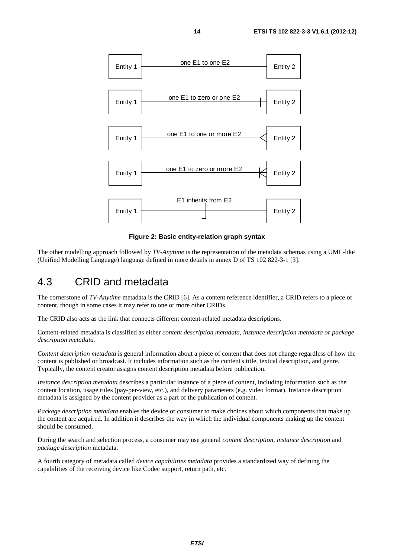

**Figure 2: Basic entity-relation graph syntax** 

The other modelling approach followed by *TV-Anytime* is the representation of the metadata schemas using a UML-like (Unified Modelling Language) language defined in more details in annex D of TS 102 822-3-1 [3].

### 4.3 CRID and metadata

The cornerstone of *TV-Anytime* metadata is the CRID [6]. As a content reference identifier, a CRID refers to a piece of content, though in some cases it may refer to one or more other CRIDs.

The CRID also acts as the link that connects different content-related metadata descriptions.

Content-related metadata is classified as either *content description metadata, instance description metadata or package description metadata.*

*Content description metadata* is general information about a piece of content that does not change regardless of how the content is published or broadcast. It includes information such as the content's title, textual description, and genre. Typically, the content creator assigns content description metadata before publication.

*Instance description metadata* describes a particular instance of a piece of content, including information such as the content location, usage rules (pay-per-view, etc.), and delivery parameters (e.g. video format). Instance description metadata is assigned by the content provider as a part of the publication of content.

*Package description metadata* enables the device or consumer to make choices about which components that make up the content are acquired. In addition it describes the way in which the individual components making up the content should be consumed.

During the search and selection process, a consumer may use general *content description*, *instance description* and *package description* metadata.

A fourth category of metadata called *device capabilities metadata* provides a standardized way of defining the capabilities of the receiving device like Codec support, return path, etc.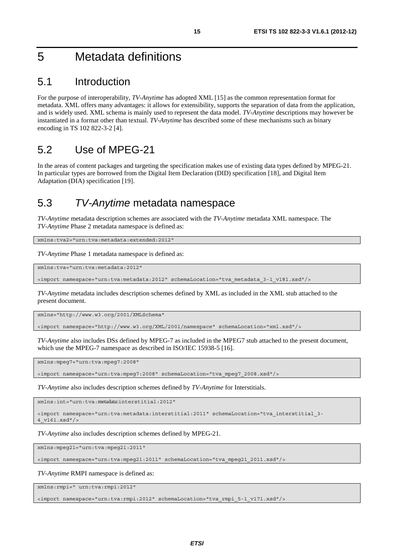# 5 Metadata definitions

### 5.1 Introduction

For the purpose of interoperability, *TV-Anytime* has adopted XML [15] as the common representation format for metadata. XML offers many advantages: it allows for extensibility, supports the separation of data from the application, and is widely used. XML schema is mainly used to represent the data model. *TV-Anytime* descriptions may however be instantiated in a format other than textual. *TV-Anytime* has described some of these mechanisms such as binary encoding in TS 102 822-3-2 [4].

### 5.2 Use of MPEG-21

In the areas of content packages and targeting the specification makes use of existing data types defined by MPEG-21. In particular types are borrowed from the Digital Item Declaration (DID) specification [18], and Digital Item Adaptation (DIA) specification [19].

### 5.3 *TV-Anytime* metadata namespace

*TV-Anytime* metadata description schemes are associated with the *TV-Anytime* metadata XML namespace. The *TV-Anytime* Phase 2 metadata namespace is defined as:

xmlns:tva2="urn:tva:metadata:extended:2012"

*TV-Anytime* Phase 1 metadata namespace is defined as:

xmlns:tva="urn:tva:metadata:2012"

<import namespace="urn:tva:metadata:2012" schemaLocation="tva\_metadata\_3-1\_v181.xsd"/>

*TV-Anytime* metadata includes description schemes defined by XML as included in the XML stub attached to the present document.

xmlns="http://www.w3.org/2001/XMLSchema"

<import namespace="http://www.w3.org/XML/2001/namespace" schemaLocation="xml.xsd"/>

*TV-Anytime* also includes DSs defined by MPEG-7 as included in the MPEG7 stub attached to the present document, which use the MPEG-7 namespace as described in ISO/IEC 15938-5 [16].

xmlns:mpeg7="urn:tva:mpeg7:2008"

<import namespace="urn:tva:mpeg7:2008" schemaLocation="tva\_mpeg7\_2008.xsd"/>

*TV-Anytime* also includes description schemes defined by *TV-Anytime* for Interstitials.

xmlns:int="urn:tva:metadata:interstitial:2012"

<import namespace="urn:tva:metadata:interstitial:2011" schemaLocation="tva\_interstitial\_3- 4\_v161.xsd"/>

*TV-Anytime* also includes description schemes defined by MPEG-21.

xmlns:mpeg21="urn:tva:mpeg21:2011"

<import namespace="urn:tva:mpeg21:2011" schemaLocation="tva\_mpeg21\_2011.xsd"/>

*TV-Anytime* RMPI namespace is defined as:

xmlns:rmpi=" urn:tva:rmpi:2012"

<import namespace="urn:tva:rmpi:2012" schemaLocation="tva\_rmpi\_5-1\_v171.xsd"/>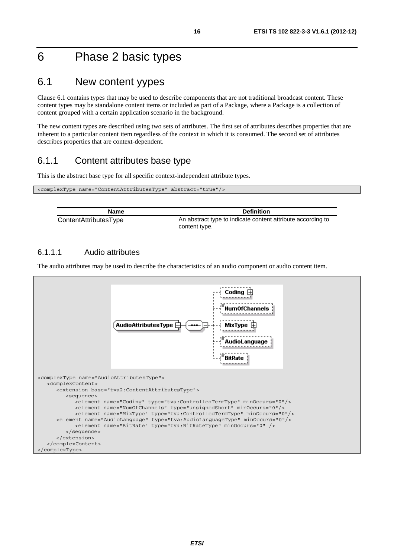# 6 Phase 2 basic types

### 6.1 New content yypes

Clause 6.1 contains types that may be used to describe components that are not traditional broadcast content. These content types may be standalone content items or included as part of a Package, where a Package is a collection of content grouped with a certain application scenario in the background.

The new content types are described using two sets of attributes. The first set of attributes describes properties that are inherent to a particular content item regardless of the context in which it is consumed. The second set of attributes describes properties that are context-dependent.

### 6.1.1 Content attributes base type

This is the abstract base type for all specific context-independent attribute types.

| <complextype abstract="true" name="ContentAttributesType"></complextype> |  |
|--------------------------------------------------------------------------|--|
|                                                                          |  |

| Name                  | <b>Definition</b>                                                            |
|-----------------------|------------------------------------------------------------------------------|
| ContentAttributesType | An abstract type to indicate content attribute according to<br>content type. |

#### 6.1.1.1 Audio attributes

Г

The audio attributes may be used to describe the characteristics of an audio component or audio content item.

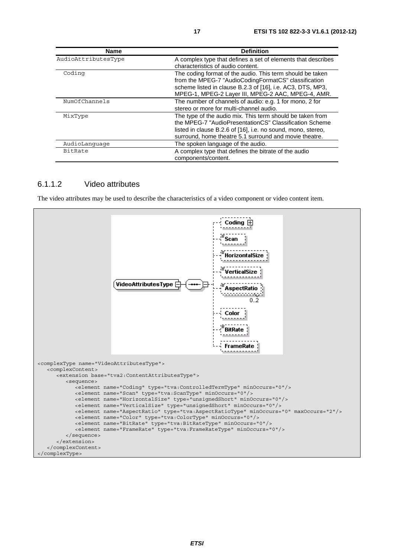| <b>Name</b>         | <b>Definition</b>                                                                                                                                                                                                                             |
|---------------------|-----------------------------------------------------------------------------------------------------------------------------------------------------------------------------------------------------------------------------------------------|
| AudioAttributesType | A complex type that defines a set of elements that describes<br>characteristics of audio content.                                                                                                                                             |
| Coding              | The coding format of the audio. This term should be taken<br>from the MPEG-7 "AudioCodingFormatCS" classification<br>scheme listed in clause B.2.3 of [16], i.e. AC3, DTS, MP3,<br>MPEG-1, MPEG-2 Layer III, MPEG-2 AAC, MPEG-4, AMR.         |
| NumOfChannels       | The number of channels of audio: e.g. 1 for mono, 2 for<br>stereo or more for multi-channel audio.                                                                                                                                            |
| MixType             | The type of the audio mix. This term should be taken from<br>the MPEG-7 "AudioPresentationCS" Classification Scheme<br>listed in clause B.2.6 of [16], i.e. no sound, mono, stereo,<br>surround, home theatre 5.1 surround and movie theatre. |
| AudioLanquaqe       | The spoken language of the audio.                                                                                                                                                                                                             |
| <b>BitRate</b>      | A complex type that defines the bitrate of the audio<br>components/content.                                                                                                                                                                   |

#### 6.1.1.2 Video attributes

The video attributes may be used to describe the characteristics of a video component or video content item.

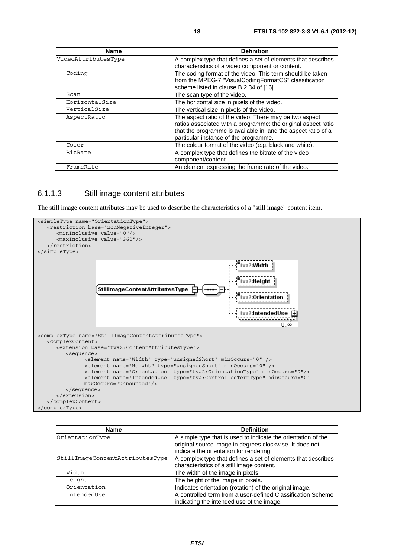| Name                | <b>Definition</b>                                                                                                                                                                                                                 |
|---------------------|-----------------------------------------------------------------------------------------------------------------------------------------------------------------------------------------------------------------------------------|
| VideoAttributesType | A complex type that defines a set of elements that describes<br>characteristics of a video component or content.                                                                                                                  |
| Coding              | The coding format of the video. This term should be taken<br>from the MPEG-7 "VisualCodingFormatCS" classification<br>scheme listed in clause B.2.34 of [16].                                                                     |
| Scan                | The scan type of the video.                                                                                                                                                                                                       |
| HorizontalSize      | The horizontal size in pixels of the video.                                                                                                                                                                                       |
| VerticalSize        | The vertical size in pixels of the video.                                                                                                                                                                                         |
| AspectRatio         | The aspect ratio of the video. There may be two aspect<br>ratios associated with a programme: the original aspect ratio<br>that the programme is available in, and the aspect ratio of a<br>particular instance of the programme. |
| Color               | The colour format of the video (e.g. black and white).                                                                                                                                                                            |
| BitRate             | A complex type that defines the bitrate of the video<br>component/content.                                                                                                                                                        |
| FrameRate           | An element expressing the frame rate of the video.                                                                                                                                                                                |

#### 6.1.1.3 Still image content attributes

The still image content attributes may be used to describe the characteristics of a "still image" content item.



| <b>Name</b>                     | <b>Definition</b>                                                                                                                                                   |
|---------------------------------|---------------------------------------------------------------------------------------------------------------------------------------------------------------------|
| OrientationType                 | A simple type that is used to indicate the orientation of the<br>original source image in degrees clockwise. It does not<br>indicate the orientation for rendering. |
| StillImageContentAttributesType | A complex type that defines a set of elements that describes<br>characteristics of a still image content.                                                           |
| Width                           | The width of the image in pixels.                                                                                                                                   |
| Height                          | The height of the image in pixels.                                                                                                                                  |
| Orientation                     | Indicates orientation (rotation) of the original image.                                                                                                             |
| IntendedUse                     | A controlled term from a user-defined Classification Scheme<br>indicating the intended use of the image.                                                            |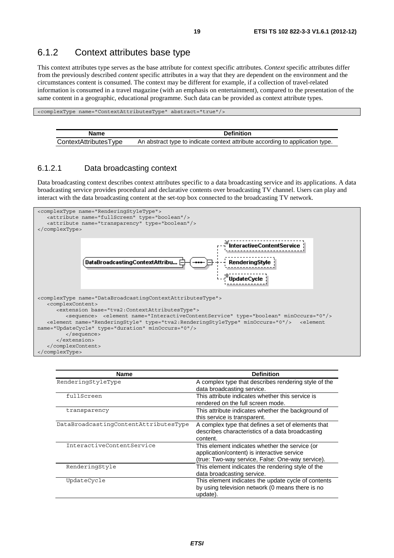### 6.1.2 Context attributes base type

This context attributes type serves as the base attribute for context specific attributes. *Context* specific attributes differ from the previously described *content* specific attributes in a way that they are dependent on the environment and the circumstances content is consumed. The context may be different for example, if a collection of travel-related information is consumed in a travel magazine (with an emphasis on entertainment), compared to the presentation of the same content in a geographic, educational programme. Such data can be provided as context attribute types.

<complexType name="ContextAttributesType" abstract="true"/>

| Name                  | <b>Definition</b>                                                             |
|-----------------------|-------------------------------------------------------------------------------|
| ContextAttributesType | An abstract type to indicate context attribute according to application type. |

#### 6.1.2.1 Data broadcasting context

Data broadcasting context describes context attributes specific to a data broadcasting service and its applications. A data broadcasting service provides procedural and declarative contents over broadcasting TV channel. Users can play and interact with the data broadcasting content at the set-top box connected to the broadcasting TV network.



| <b>Name</b>                           | <b>Definition</b>                                                                                                                                 |
|---------------------------------------|---------------------------------------------------------------------------------------------------------------------------------------------------|
| RenderingStyleType                    | A complex type that describes rendering style of the<br>data broadcasting service.                                                                |
| fullScreen                            | This attribute indicates whether this service is<br>rendered on the full screen mode.                                                             |
| transparency                          | This attribute indicates whether the background of<br>this service is transparent.                                                                |
| DataBroadcastingContentAttributesType | A complex type that defines a set of elements that<br>describes characteristics of a data broadcasting<br>content.                                |
| InteractiveContentService             | This element indicates whether the service (or<br>application/content) is interactive service<br>(true: Two-way service, False: One-way service). |
| RenderingStyle                        | This element indicates the rendering style of the<br>data broadcasting service.                                                                   |
| UpdateCycle                           | This element indicates the update cycle of contents<br>by using television network (0 means there is no<br>update).                               |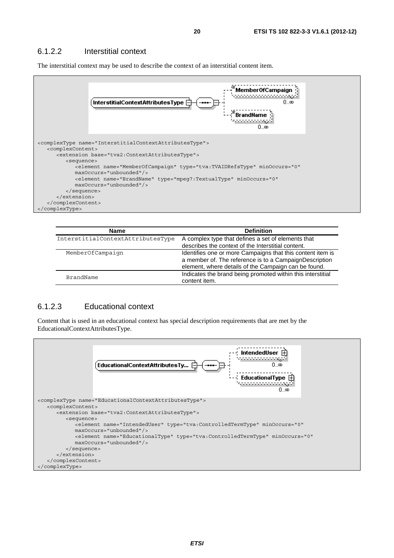#### 6.1.2.2 Interstitial context

The interstitial context may be used to describe the context of an interstitial content item.



| <b>Name</b>                       | <b>Definition</b>                                                                                                                                                            |
|-----------------------------------|------------------------------------------------------------------------------------------------------------------------------------------------------------------------------|
| InterstitialContextAttributesType | A complex type that defines a set of elements that<br>describes the context of the Interstitial content.                                                                     |
| MemberOfCampaign                  | Identifies one or more Campaigns that this content item is<br>a member of. The reference is to a CampaignDescription<br>element, where details of the Campaign can be found. |
| BrandName                         | Indicates the brand being promoted within this interstitial<br>content item.                                                                                                 |

#### 6.1.2.3 Educational context

Content that is used in an educational context has special description requirements that are met by the EducationalContextAttributesType.

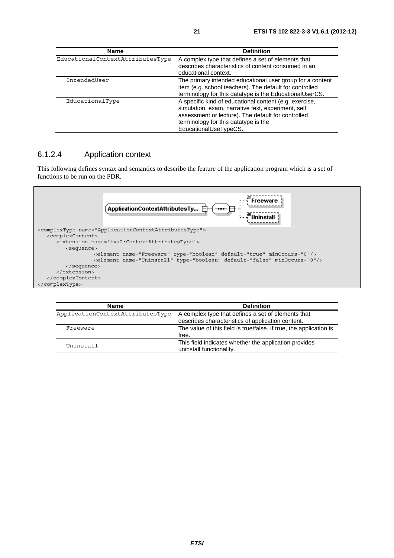| Name                             | <b>Definition</b>                                                                                                                                                                                                                   |
|----------------------------------|-------------------------------------------------------------------------------------------------------------------------------------------------------------------------------------------------------------------------------------|
| EducationalContextAttributesType | A complex type that defines a set of elements that<br>describes characteristics of content consumed in an<br>educational context.                                                                                                   |
| IntendedUser                     | The primary intended educational user group for a content<br>item (e.g. school teachers). The default for controlled<br>terminology for this datatype is the EducationalUserCS.                                                     |
| EducationalType                  | A specific kind of educational content (e.g. exercise,<br>simulation, exam, narrative text, experiment, self<br>assessment or lecture). The default for controlled<br>terminology for this datatype is the<br>EducationalUseTypeCS. |

#### 6.1.2.4 Application context

This following defines syntax and semantics to describe the feature of the application program which is a set of functions to be run on the PDR.



| <b>Name</b>                      | <b>Definition</b>                                                                                       |
|----------------------------------|---------------------------------------------------------------------------------------------------------|
| ApplicationContextAttributesType | A complex type that defines a set of elements that<br>describes characteristics of application content. |
| Freeware                         | The value of this field is true/false. If true, the application is<br>free.                             |
| Uninstall                        | This field indicates whether the application provides<br>uninstall functionality.                       |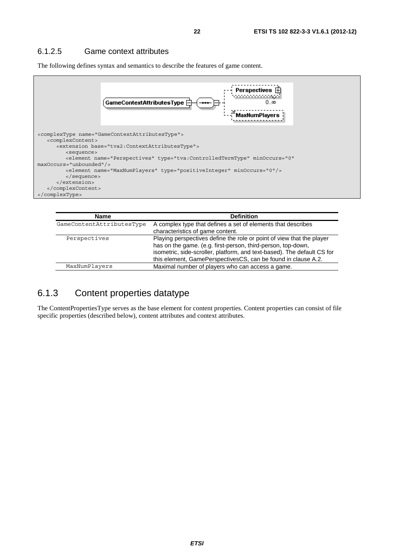#### 6.1.2.5 Game context attributes

The following defines syntax and semantics to describe the features of game content.



| <b>Name</b>               | <b>Definition</b>                                                                                                                                                                                                                                                                 |
|---------------------------|-----------------------------------------------------------------------------------------------------------------------------------------------------------------------------------------------------------------------------------------------------------------------------------|
| GameContentAttributesType | A complex type that defines a set of elements that describes<br>characteristics of game content.                                                                                                                                                                                  |
| Perspectives              | Playing perspectives define the role or point of view that the player<br>has on the game. (e.g. first-person, third-person, top-down,<br>isometric, side-scroller, platform, and text-based). The default CS for<br>this element, GamePerspectivesCS, can be found in clause A.2. |
| MaxNumPlayers             | Maximal number of players who can access a game.                                                                                                                                                                                                                                  |

#### 6.1.3 Content properties datatype

The ContentPropertiesType serves as the base element for content properties. Content properties can consist of file specific properties (described below), content attributes and context attributes.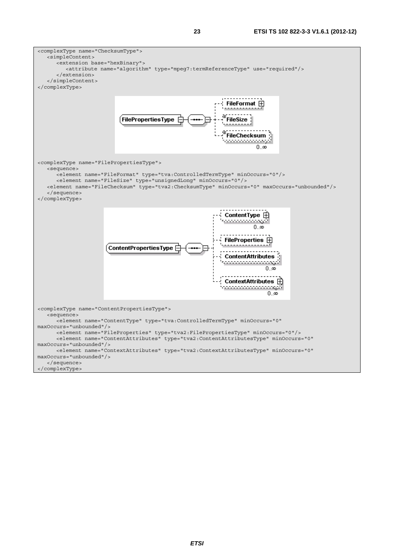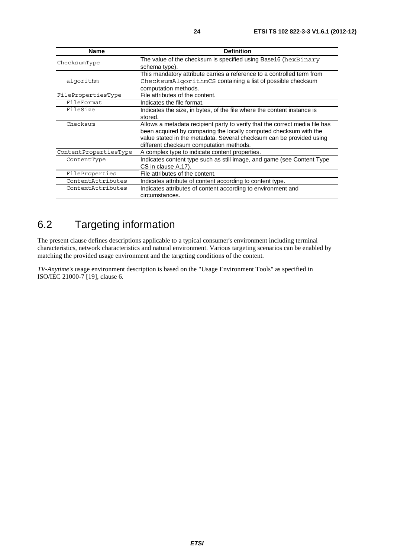| <b>Name</b>           | <b>Definition</b>                                                           |
|-----------------------|-----------------------------------------------------------------------------|
| ChecksumType          | The value of the checksum is specified using Base16 (hexBinary              |
|                       | schema type).                                                               |
|                       | This mandatory attribute carries a reference to a controlled term from      |
| algorithm             | ChecksumAlgorithmCS containing a list of possible checksum                  |
|                       | computation methods.                                                        |
| FilePropertiesType    | File attributes of the content.                                             |
| FileFormat            | Indicates the file format.                                                  |
| FileSize              | Indicates the size, in bytes, of the file where the content instance is     |
|                       | stored.                                                                     |
| Checksum              | Allows a metadata recipient party to verify that the correct media file has |
|                       | been acquired by comparing the locally computed checksum with the           |
|                       | value stated in the metadata. Several checksum can be provided using        |
|                       | different checksum computation methods.                                     |
| ContentPropertiesType | A complex type to indicate content properties.                              |
| ContentType           | Indicates content type such as still image, and game (see Content Type      |
|                       | CS in clause A.17).                                                         |
| FileProperties        | File attributes of the content.                                             |
| ContentAttributes     | Indicates attribute of content according to content type.                   |
| ContextAttributes     | Indicates attributes of content according to environment and                |
|                       | circumstances.                                                              |

# 6.2 Targeting information

The present clause defines descriptions applicable to a typical consumer's environment including terminal characteristics, network characteristics and natural environment. Various targeting scenarios can be enabled by matching the provided usage environment and the targeting conditions of the content.

*TV-Anytime's* usage environment description is based on the "Usage Environment Tools" as specified in ISO/IEC 21000-7 [19], clause 6.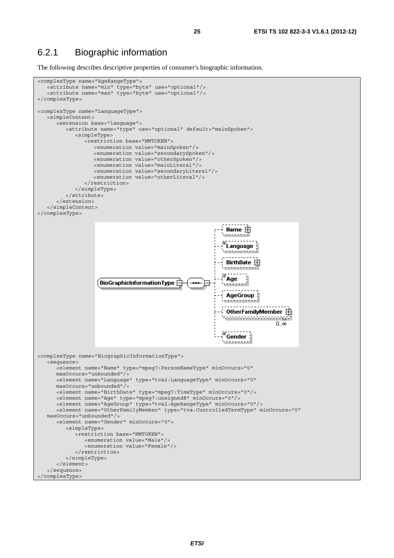#### 6.2.1 Biographic information

The following describes descriptive properties of consumer's biographic information.

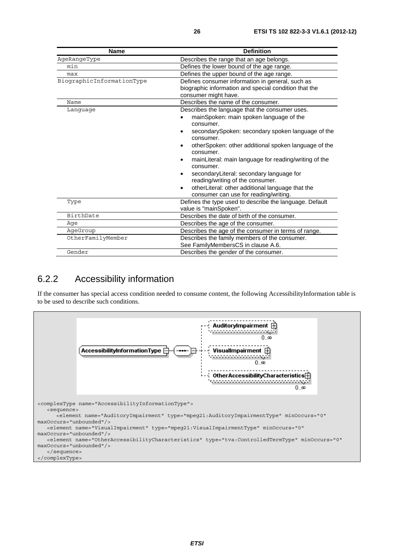| <b>Name</b>               | <b>Definition</b>                                                                                                                                                                                                                                                                                                                                                                                                                                                                                                                                         |
|---------------------------|-----------------------------------------------------------------------------------------------------------------------------------------------------------------------------------------------------------------------------------------------------------------------------------------------------------------------------------------------------------------------------------------------------------------------------------------------------------------------------------------------------------------------------------------------------------|
| AgeRangeType              | Describes the range that an age belongs.                                                                                                                                                                                                                                                                                                                                                                                                                                                                                                                  |
| min                       | Defines the lower bound of the age range.                                                                                                                                                                                                                                                                                                                                                                                                                                                                                                                 |
| max                       | Defines the upper bound of the age range.                                                                                                                                                                                                                                                                                                                                                                                                                                                                                                                 |
| BiographicInformationType | Defines consumer information in general, such as<br>biographic information and special condition that the<br>consumer might have.                                                                                                                                                                                                                                                                                                                                                                                                                         |
| Name                      | Describes the name of the consumer.                                                                                                                                                                                                                                                                                                                                                                                                                                                                                                                       |
| Language                  | Describes the language that the consumer uses.<br>mainSpoken: main spoken language of the<br>consumer.<br>secondarySpoken: secondary spoken language of the<br>٠<br>consumer.<br>otherSpoken: other additional spoken language of the<br>$\bullet$<br>consumer.<br>mainLiteral: main language for reading/writing of the<br>$\bullet$<br>consumer.<br>secondaryLiteral: secondary language for<br>$\bullet$<br>reading/writing of the consumer.<br>otherLiteral: other additional language that the<br>$\bullet$<br>consumer can use for reading/writing. |
| Type                      | Defines the type used to describe the language. Default<br>value is "mainSpoken".                                                                                                                                                                                                                                                                                                                                                                                                                                                                         |
| BirthDate                 | Describes the date of birth of the consumer.                                                                                                                                                                                                                                                                                                                                                                                                                                                                                                              |
| Aqe                       | Describes the age of the consumer.                                                                                                                                                                                                                                                                                                                                                                                                                                                                                                                        |
| AgeGroup                  | Describes the age of the consumer in terms of range.                                                                                                                                                                                                                                                                                                                                                                                                                                                                                                      |
| OtherFamilyMember         | Describes the family members of the consumer.<br>See FamilyMembersCS in clause A.6.                                                                                                                                                                                                                                                                                                                                                                                                                                                                       |
| Gender                    | Describes the gender of the consumer.                                                                                                                                                                                                                                                                                                                                                                                                                                                                                                                     |

### 6.2.2 Accessibility information

If the consumer has special access condition needed to consume content, the following AccessibilityInformation table is to be used to describe such conditions.

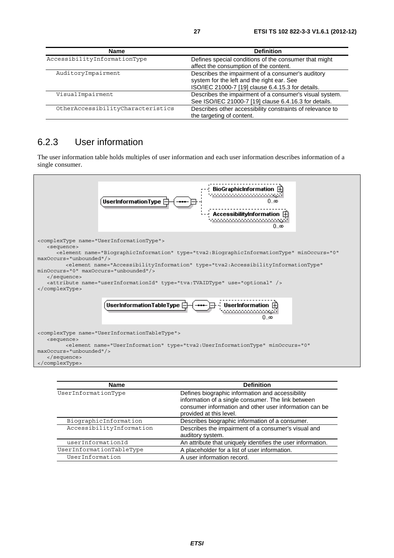| <b>Name</b>                       | <b>Definition</b>                                                                                                                                    |
|-----------------------------------|------------------------------------------------------------------------------------------------------------------------------------------------------|
| AccessibilityInformationType      | Defines special conditions of the consumer that might<br>affect the consumption of the content.                                                      |
| AuditoryImpairment                | Describes the impairment of a consumer's auditory<br>system for the left and the right ear. See<br>ISO/IEC 21000-7 [19] clause 6.4.15.3 for details. |
| VisualImpairment                  | Describes the impairment of a consumer's visual system.<br>See ISO/IEC 21000-7 [19] clause 6.4.16.3 for details.                                     |
| OtherAccessibilityCharacteristics | Describes other accessibility constraints of relevance to<br>the targeting of content.                                                               |

### 6.2.3 User information

The user information table holds multiples of user information and each user information describes information of a single consumer.



| <b>Name</b>              | <b>Definition</b>                                                                                                                                                                           |
|--------------------------|---------------------------------------------------------------------------------------------------------------------------------------------------------------------------------------------|
| UserInformationType      | Defines biographic information and accessibility<br>information of a single consumer. The link between<br>consumer information and other user information can be<br>provided at this level. |
| BiographicInformation    | Describes biographic information of a consumer.                                                                                                                                             |
| AccessibilityInformation | Describes the impairment of a consumer's visual and<br>auditory system.                                                                                                                     |
| userInformationId        | An attribute that uniquely identifies the user information.                                                                                                                                 |
| UserInformationTableType | A placeholder for a list of user information.                                                                                                                                               |
| UserInformation          | A user information record.                                                                                                                                                                  |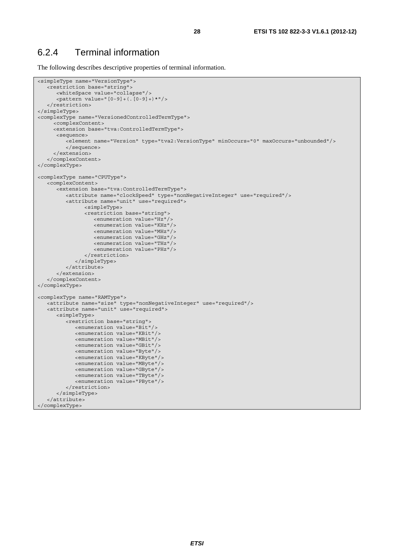#### 6.2.4 Terminal information

The following describes descriptive properties of terminal information.

```
<simpleType name="VersionType"> 
    <restriction base="string"> 
       <whiteSpace value="collapse"/> 
       <pattern value="[0-9]+(.[0-9]+)*"/> 
    </restriction> 
</simpleType> 
<complexType name="VersionedControlledTermType"> 
      <complexContent> 
      <extension base="tva:ControlledTermType"> 
       <sequence> 
         -element name="Version" type="tva2:VersionType" minOccurs="0" maxOccurs="unbounded"/>
          </sequence> 
      </extension> 
    </complexContent> 
</complexType> 
<complexType name="CPUType"> 
   <complexContent> 
       <extension base="tva:ControlledTermType"> 
          <attribute name="clockSpeed" type="nonNegativeInteger" use="required"/> 
          <attribute name="unit" use="required"> 
                 <simpleType> 
                 <restriction base="string"> 
                    <enumeration value="Hz"/> 
                    <enumeration value="KHz"/> 
                    <enumeration value="MHz"/> 
                    <enumeration value="GHz"/> 
                    <enumeration value="THz"/> 
                    <enumeration value="PHz"/> 
                 </restriction> 
             </simpleType> 
          </attribute> 
       </extension> 
    </complexContent> 
</complexType> 
<complexType name="RAMType"> 
    <attribute name="size" type="nonNegativeInteger" use="required"/> 
    <attribute name="unit" use="required"> 
       <simpleType> 
          <restriction base="string"> 
             <enumeration value="Bit"/> 
             <enumeration value="KBit"/> 
             <enumeration value="MBit"/> 
             <enumeration value="GBit"/> 
             <enumeration value="Byte"/> 
             <enumeration value="KByte"/> 
             <enumeration value="MByte"/> 
             <enumeration value="GByte"/> 
             <enumeration value="TByte"/> 
             <enumeration value="PByte"/> 
          </restriction> 
       </simpleType> 
    </attribute> 
</complexType>
```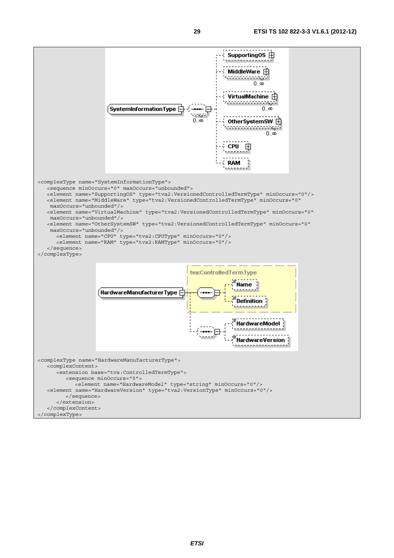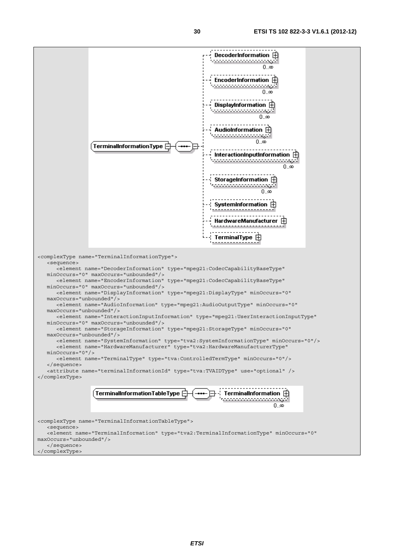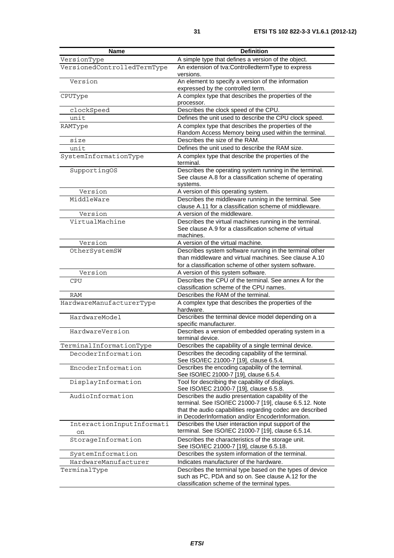| Name                            | <b>Definition</b>                                                                                                                                                                                                              |
|---------------------------------|--------------------------------------------------------------------------------------------------------------------------------------------------------------------------------------------------------------------------------|
| VersionType                     | A simple type that defines a version of the object.                                                                                                                                                                            |
| VersionedControlledTermType     | An extension of tva:ControlledtermType to express<br>versions.                                                                                                                                                                 |
| Version                         | An element to specify a version of the information<br>expressed by the controlled term.                                                                                                                                        |
| CPUType                         | A complex type that describes the properties of the<br>processor.                                                                                                                                                              |
| clockSpeed                      | Describes the clock speed of the CPU.                                                                                                                                                                                          |
| unit                            | Defines the unit used to describe the CPU clock speed.                                                                                                                                                                         |
| RAMType                         | A complex type that describes the properties of the                                                                                                                                                                            |
|                                 | Random Access Memory being used within the terminal.                                                                                                                                                                           |
| size                            | Describes the size of the RAM.                                                                                                                                                                                                 |
| unit                            | Defines the unit used to describe the RAM size.                                                                                                                                                                                |
| SystemInformationType           | A complex type that describe the properties of the<br>terminal.                                                                                                                                                                |
| SupportingOS                    | Describes the operating system running in the terminal.<br>See clause A.8 for a classification scheme of operating<br>systems.                                                                                                 |
| Version                         | A version of this operating system.                                                                                                                                                                                            |
| MiddleWare                      | Describes the middleware running in the terminal. See<br>clause A.11 for a classification scheme of middleware.                                                                                                                |
| Version                         | A version of the middleware.                                                                                                                                                                                                   |
| VirtualMachine                  | Describes the virtual machines running in the terminal.<br>See clause A.9 for a classification scheme of virtual                                                                                                               |
|                                 | machines.                                                                                                                                                                                                                      |
| Version                         | A version of the virtual machine.                                                                                                                                                                                              |
| OtherSystemSW                   | Describes system software running in the terminal other<br>than middleware and virtual machines. See clause A.10<br>for a classification scheme of other system software.                                                      |
| Version                         | A version of this system software.                                                                                                                                                                                             |
| CPU                             | Describes the CPU of the terminal. See annex A for the                                                                                                                                                                         |
|                                 | classification scheme of the CPU names.                                                                                                                                                                                        |
| RAM                             | Describes the RAM of the terminal.                                                                                                                                                                                             |
| HardwareManufacturerType        | A complex type that describes the properties of the<br>hardware.                                                                                                                                                               |
| HardwareModel                   | Describes the terminal device model depending on a<br>specific manufacturer.                                                                                                                                                   |
| HardwareVersion                 | Describes a version of embedded operating system in a<br>terminal device.                                                                                                                                                      |
| TerminalInformationType         | Describes the capability of a single terminal device.                                                                                                                                                                          |
| DecoderInformation              | Describes the decoding capability of the terminal.<br>See ISO/IEC 21000-7 [19], clause 6.5.4.                                                                                                                                  |
| EncoderInformation              | Describes the encoding capability of the terminal.<br>See ISO/IEC 21000-7 [19], clause 6.5.4.                                                                                                                                  |
| DisplayInformation              | Tool for describing the capability of displays.<br>See ISO/IEC 21000-7 [19], clause 6.5.8.                                                                                                                                     |
| AudioInformation                | Describes the audio presentation capability of the<br>terminal. See ISO/IEC 21000-7 [19], clause 6.5.12. Note<br>that the audio capabilities regarding codec are described<br>in DecoderInformation and/or EncoderInformation. |
| InteractionInputInformati<br>on | Describes the User interaction input support of the<br>terminal. See ISO/IEC 21000-7 [19], clause 6.5.14.                                                                                                                      |
| StorageInformation              | Describes the characteristics of the storage unit.<br>See ISO/IEC 21000-7 [19], clause 6.5.18.                                                                                                                                 |
| SystemInformation               | Describes the system information of the terminal.                                                                                                                                                                              |
| HardwareManufacturer            | Indicates manufacturer of the hardware.                                                                                                                                                                                        |
| TerminalType                    | Describes the terminal type based on the types of device<br>such as PC, PDA and so on. See clause A.12 for the<br>classification scheme of the terminal types.                                                                 |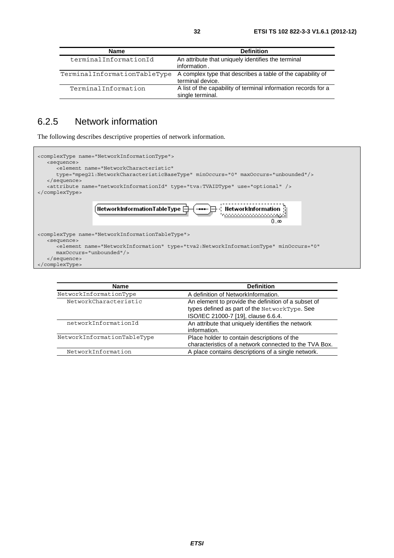| <b>Name</b>                  | <b>Definition</b>                                                                  |
|------------------------------|------------------------------------------------------------------------------------|
| terminalInformationId        | An attribute that uniquely identifies the terminal<br>information.                 |
| TerminalInformationTableType | A complex type that describes a table of the capability of<br>terminal device.     |
| TerminalInformation          | A list of the capability of terminal information records for a<br>single terminal. |

### 6.2.5 Network information

The following describes descriptive properties of network information.

| <complextype name="NetworkInformationType"><br/><sequence><br/><element_name="networkcharacteristic"<br>type="mpeq21:NetworkCharacteristicBaseType" minOccurs="0" maxOccurs="unbounded"/&gt;<br/><math>\langle</math> sequence&gt;<br/><attribute name="networkInformationId" type="tva:TVAIDType" use="optional"></attribute><br/></element_name="networkcharacteristic"<br></sequence></complextype> |
|--------------------------------------------------------------------------------------------------------------------------------------------------------------------------------------------------------------------------------------------------------------------------------------------------------------------------------------------------------------------------------------------------------|
| <b>NetworkInformationTableType</b> $\Box$<br>–  —— — — - HetworkInformation<br>0.50                                                                                                                                                                                                                                                                                                                    |
| <complextype name="NetworkInformationTableType"><br/><sequence><br/><element <br="" minoccurs="0" name="NetworkInformation" type="tva2:NetworkInformationType"><math>maxOccurs = "unbounded"</math><br/><math>\langle</math> sequence&gt;<br/></element></sequence></complextype>                                                                                                                      |

| <b>Definition</b>                                      |
|--------------------------------------------------------|
| A definition of NetworkInformation.                    |
| An element to provide the definition of a subset of    |
| types defined as part of the NetworkType. See          |
| ISO/IEC 21000-7 [19], clause 6.6.4.                    |
| An attribute that uniquely identifies the network      |
| information.                                           |
| Place holder to contain descriptions of the            |
| characteristics of a network connected to the TVA Box. |
| A place contains descriptions of a single network.     |
|                                                        |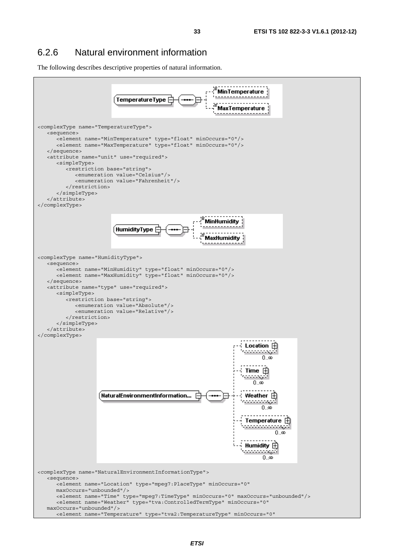The following describes descriptive properties of natural information.

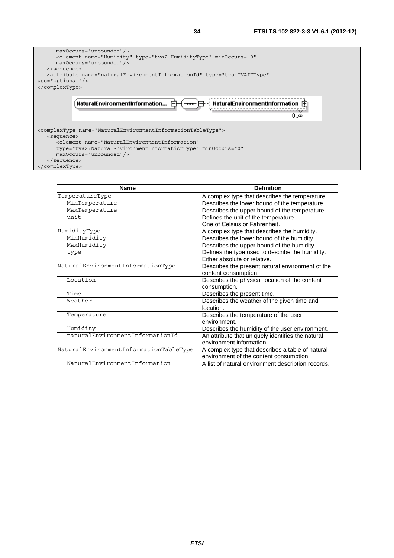

| <b>Name</b>                            | <b>Definition</b>                                  |
|----------------------------------------|----------------------------------------------------|
| TemperatureType                        | A complex type that describes the temperature.     |
| MinTemperature                         | Describes the lower bound of the temperature.      |
| MaxTemperature                         | Describes the upper bound of the temperature.      |
| unit                                   | Defines the unit of the temperature.               |
|                                        | One of Celsius or Fahrenheit.                      |
| HumidityType                           | A complex type that describes the humidity.        |
| MinHumidity                            | Describes the lower bound of the humidity.         |
| MaxHumidity                            | Describes the upper bound of the humidity.         |
| type                                   | Defines the type used to describe the humidity.    |
|                                        | Either absolute or relative.                       |
| NaturalEnvironmentInformationType      | Describes the present natural environment of the   |
|                                        | content consumption.                               |
| Location                               | Describes the physical location of the content     |
|                                        | consumption.                                       |
| Time                                   | Describes the present time.                        |
| Weather                                | Describes the weather of the given time and        |
|                                        | location.                                          |
| Temperature                            | Describes the temperature of the user              |
|                                        | environment.                                       |
| Humidity                               | Describes the humidity of the user environment.    |
| naturalEnvironmentInformationId        | An attribute that uniquely identifies the natural  |
|                                        | environment information.                           |
| NaturalEnvironmentInformationTableType | A complex type that describes a table of natural   |
|                                        | environment of the content consumption.            |
| NaturalEnvironmentInformation          | A list of natural environment description records. |
|                                        |                                                    |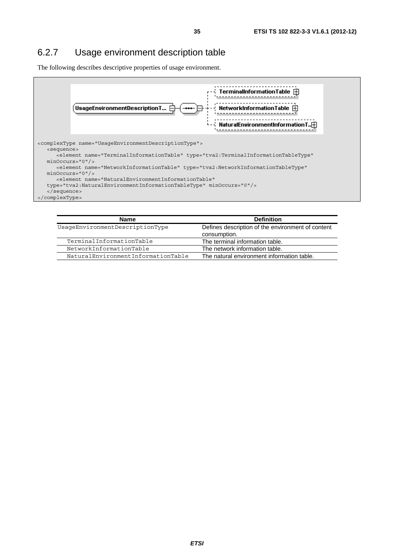### 6.2.7 Usage environment description table

The following describes descriptive properties of usage environment.



| Name                               | <b>Definition</b>                                                 |
|------------------------------------|-------------------------------------------------------------------|
| UsageEnvironmentDescriptionType    | Defines description of the environment of content<br>consumption. |
| TerminalInformationTable           | The terminal information table.                                   |
| NetworkInformationTable            | The network information table.                                    |
| NaturalEnvironmentInformationTable | The natural environment information table.                        |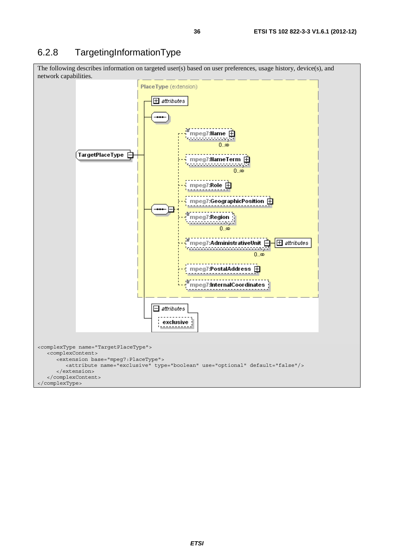### 6.2.8 TargetingInformationType

The following describes information on targeted user(s) based on user preferences, usage history, device(s), and network capabilities.

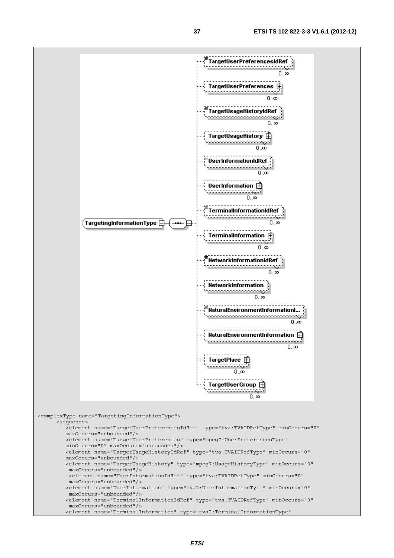

maxOccurs="unbounded"/>

<element name="TerminalInformation" type="tva2:TerminalInformationType"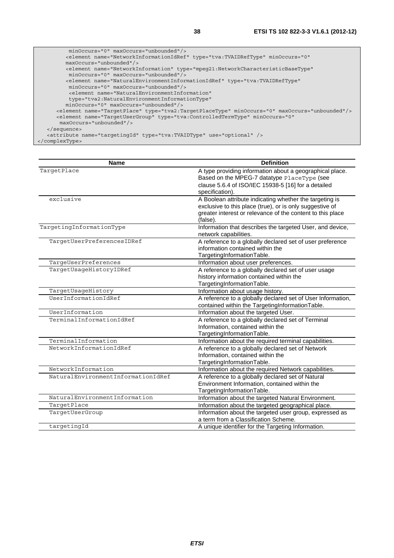| minOccurs="0" maxOccurs="unbounded"/>                                                                  |
|--------------------------------------------------------------------------------------------------------|
| <element <="" minoccurs="0" name="NetworkInformationIdRef" td="" type="tva:TVAIDRefType"></element>    |
| $maxOccurs="unbounded"$                                                                                |
| <element <="" name="NetworkInformation" td="" type="mpeq21:NetworkCharacteristicBaseType"></element>   |
| minOccurs="0" maxOccurs="unbounded"/>                                                                  |
| <element <="" name="NaturalEnvironmentInformationIdRef" td="" type="tva:TVAIDRefType"></element>       |
| $minOccurs = "0" maxOccurs = "unbounded"$                                                              |
| <element_name="naturalenvironmentinformation"< td=""></element_name="naturalenvironmentinformation"<>  |
| type="tva2:NaturalEnvironmentInformationType"                                                          |
| $minOccurs = "0" maxOccurs = "unbounded"$                                                              |
| <element maxoccurs="unbounded" minoccurs="0" name="TarqetPlace" type="tva2:TarqetPlaceType"></element> |
| <element <="" minoccurs="0" name="TarqetUserGroup" td="" type="tva:ControlledTermType"></element>      |
| $maxOccurs="unbounded"$ />                                                                             |
| $\langle$ sequence>                                                                                    |
| <attribute name="targetingId" type="tva:TVAIDType" use="optional"></attribute>                         |
|                                                                                                        |

<sup>&</sup>lt;/complexType>

| <b>Name</b>                                | <b>Definition</b>                                                                                       |
|--------------------------------------------|---------------------------------------------------------------------------------------------------------|
| TargetPlace                                | A type providing information about a geographical place.<br>Based on the MPEG-7 datatype PlaceType (see |
|                                            | clause 5.6.4 of ISO/IEC 15938-5 [16] for a detailed                                                     |
|                                            | specification).                                                                                         |
| exclusive                                  | A Boolean attribute indicating whether the targeting is                                                 |
|                                            | exclusive to this place (true), or is only suggestive of                                                |
|                                            | greater interest or relevance of the content to this place                                              |
|                                            | (false).                                                                                                |
| TargetingInformationType                   | Information that describes the targeted User, and device,                                               |
|                                            | network capabilities.                                                                                   |
| TargetUserPreferencesIDRef                 | A reference to a globally declared set of user preference                                               |
|                                            | information contained within the                                                                        |
|                                            | TargetingInformationTable.                                                                              |
| TargeUserPreferences                       | Information about user preferences.                                                                     |
| TargetUsageHistoryIDRef                    | A reference to a globally declared set of user usage                                                    |
|                                            | history information contained within the                                                                |
|                                            | TargetingInformationTable.                                                                              |
| TargetUsageHistory<br>UserInformationIdRef | Information about usage history.<br>A reference to a globally declared set of User Information,         |
|                                            | contained within the TargetingInformationTable.                                                         |
| UserInformation                            | Information about the targeted User.                                                                    |
| TerminalInformationIdRef                   | A reference to a globally declared set of Terminal                                                      |
|                                            | Information, contained within the                                                                       |
|                                            | TargetingInformationTable.                                                                              |
| TerminalInformation                        | Information about the required terminal capabilities.                                                   |
| NetworkInformationIdRef                    | A reference to a globally declared set of Network                                                       |
|                                            | Information, contained within the                                                                       |
|                                            | TargetingInformationTable.                                                                              |
| NetworkInformation                         | Information about the required Network capabilities.                                                    |
| NaturalEnvironmentInformationIdRef         | A reference to a globally declared set of Natural                                                       |
|                                            | Environment Information, contained within the                                                           |
|                                            | TargetingInformationTable.                                                                              |
| NaturalEnvironmentInformation              | Information about the targeted Natural Environment.                                                     |
| TargetPlace                                | Information about the targeted geographical place.                                                      |
| TargetUserGroup                            | Information about the targeted user group, expressed as                                                 |
|                                            | a term from a Classification Scheme.                                                                    |
| targetingId                                | A unique identifier for the Targeting Information.                                                      |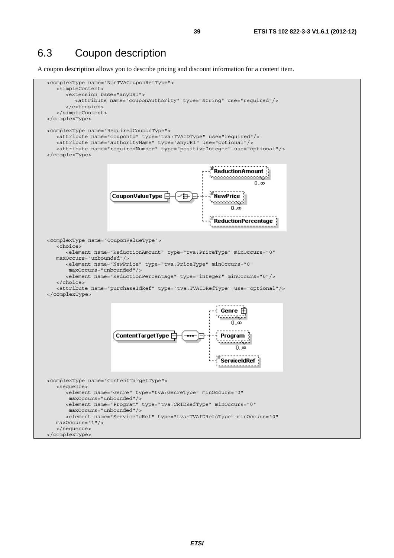## 6.3 Coupon description

A coupon description allows you to describe pricing and discount information for a content item.

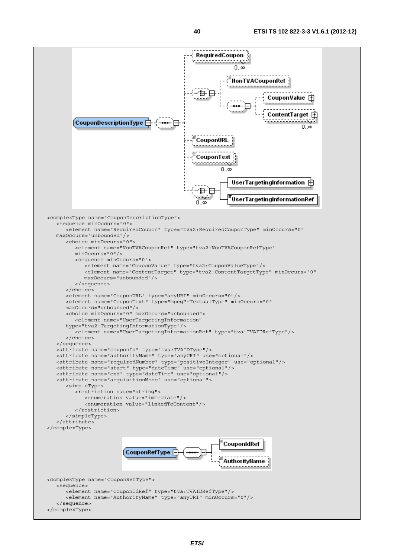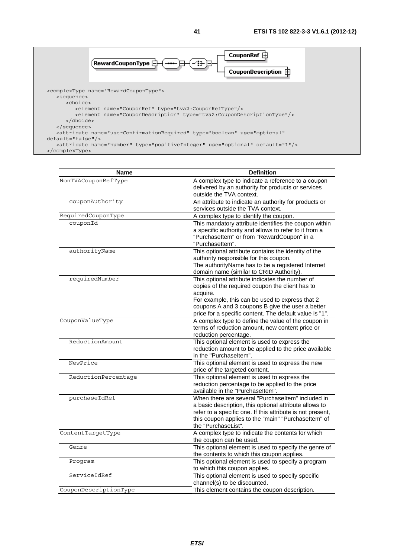

| Name                  | <b>Definition</b>                                                                                                                                                                                                                                       |
|-----------------------|---------------------------------------------------------------------------------------------------------------------------------------------------------------------------------------------------------------------------------------------------------|
| NonTVACouponRefType   | A complex type to indicate a reference to a coupon<br>delivered by an authority for products or services                                                                                                                                                |
|                       | outside the TVA context.                                                                                                                                                                                                                                |
| couponAuthority       | An attribute to indicate an authority for products or<br>services outside the TVA context.                                                                                                                                                              |
| RequiredCouponType    | A complex type to identify the coupon.                                                                                                                                                                                                                  |
| couponId              | This mandatory attribute identifies the coupon within<br>a specific authority and allows to refer to it from a<br>"PurchaseItem" or from "RewardCoupon" in a                                                                                            |
|                       | "Purchaseltem".                                                                                                                                                                                                                                         |
| authorityName         | This optional attribute contains the identity of the<br>authority responsible for this coupon.<br>The authorityName has to be a registered Internet                                                                                                     |
|                       | domain name (similar to CRID Authority).                                                                                                                                                                                                                |
| requiredNumber        | This optional attribute indicates the number of<br>copies of the required coupon the client has to<br>acquire.                                                                                                                                          |
|                       | For example, this can be used to express that 2<br>coupons A and 3 coupons B give the user a better<br>price for a specific content. The default value is "1".                                                                                          |
| CouponValueType       | A complex type to define the value of the coupon in                                                                                                                                                                                                     |
|                       | terms of reduction amount, new content price or<br>reduction percentage.                                                                                                                                                                                |
| ReductionAmount       | This optional element is used to express the<br>reduction amount to be applied to the price available<br>in the "Purchaseltem".                                                                                                                         |
| NewPrice              | This optional element is used to express the new<br>price of the targeted content.                                                                                                                                                                      |
| ReductionPercentage   | This optional element is used to express the<br>reduction percentage to be applied to the price<br>available in the "Purchaseltem".                                                                                                                     |
| purchaseIdRef         | When there are several "Purchaseltem" included in<br>a basic description, this optional attribute allows to<br>refer to a specific one. If this attribute is not present,<br>this coupon applies to the "main" "Purchaseltem" of<br>the "PurchaseList". |
| ContentTargetType     | A complex type to indicate the contents for which<br>the coupon can be used.                                                                                                                                                                            |
| Genre                 | This optional element is used to specify the genre of<br>the contents to which this coupon applies.                                                                                                                                                     |
| Program               | This optional element is used to specify a program<br>to which this coupon applies.                                                                                                                                                                     |
| ServiceIdRef          | This optional element is used to specify specific<br>channel(s) to be discounted.                                                                                                                                                                       |
| CouponDescriptionType | This element contains the coupon description.                                                                                                                                                                                                           |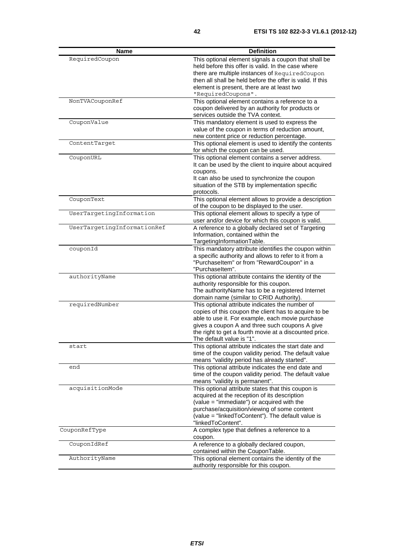| <b>Name</b>                 | <b>Definition</b>                                                                                          |
|-----------------------------|------------------------------------------------------------------------------------------------------------|
| RequiredCoupon              | This optional element signals a coupon that shall be<br>held before this offer is valid. In the case where |
|                             | there are multiple instances of RequiredCoupon                                                             |
|                             | then all shall be held before the offer is valid. If this<br>element is present, there are at least two    |
|                             | "RequiredCoupons".                                                                                         |
| NonTVACouponRef             | This optional element contains a reference to a                                                            |
|                             | coupon delivered by an authority for products or<br>services outside the TVA context.                      |
| CouponValue                 | This mandatory element is used to express the                                                              |
|                             | value of the coupon in terms of reduction amount,                                                          |
|                             | new content price or reduction percentage.                                                                 |
| ContentTarget               | This optional element is used to identify the contents                                                     |
|                             | for which the coupon can be used.                                                                          |
| CouponURL                   | This optional element contains a server address.                                                           |
|                             | It can be used by the client to inquire about acquired                                                     |
|                             | coupons.                                                                                                   |
|                             | It can also be used to synchronize the coupon<br>situation of the STB by implementation specific           |
|                             | protocols.                                                                                                 |
| CouponText                  | This optional element allows to provide a description                                                      |
|                             | of the coupon to be displayed to the user.                                                                 |
| UserTargetingInformation    | This optional element allows to specify a type of                                                          |
|                             | user and/or device for which this coupon is valid.                                                         |
| UserTargetingInformationRef | A reference to a globally declared set of Targeting                                                        |
|                             | Information, contained within the                                                                          |
|                             | TargetingInformationTable.                                                                                 |
| couponId                    | This mandatory attribute identifies the coupon within                                                      |
|                             | a specific authority and allows to refer to it from a<br>"PurchaseItem" or from "RewardCoupon" in a        |
|                             | "Purchaseltem".                                                                                            |
| authorityName               | This optional attribute contains the identity of the                                                       |
|                             | authority responsible for this coupon.                                                                     |
|                             | The authorityName has to be a registered Internet                                                          |
|                             | domain name (similar to CRID Authority).                                                                   |
| requiredNumber              | This optional attribute indicates the number of                                                            |
|                             | copies of this coupon the client has to acquire to be<br>able to use it. For example, each movie purchase  |
|                             | gives a coupon A and three such coupons A give                                                             |
|                             | the right to get a fourth movie at a discounted price.                                                     |
|                             | The default value is "1".                                                                                  |
| start                       | This optional attribute indicates the start date and                                                       |
|                             | time of the coupon validity period. The default value                                                      |
|                             | means "validity period has already started".<br>This optional attribute indicates the end date and         |
| end                         | time of the coupon validity period. The default value                                                      |
|                             | means "validity is permanent".                                                                             |
| acquisitionMode             | This optional attribute states that this coupon is                                                         |
|                             | acquired at the reception of its description                                                               |
|                             | (value = "immediate") or acquired with the                                                                 |
|                             | purchase/acquisition/viewing of some content                                                               |
|                             | (value = "linkedToContent"). The default value is                                                          |
| CouponRefType               | "linkedToContent".<br>A complex type that defines a reference to a                                         |
|                             | coupon.                                                                                                    |
| CouponIdRef                 | A reference to a globally declared coupon,                                                                 |
|                             | contained within the CouponTable.                                                                          |
| AuthorityName               | This optional element contains the identity of the                                                         |
|                             | authority responsible for this coupon.                                                                     |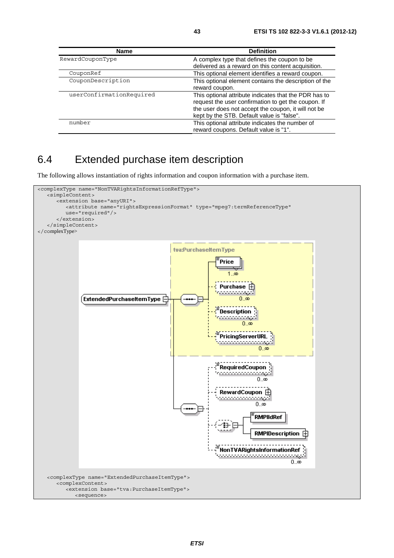| <b>Name</b>              | <b>Definition</b>                                                                                                                                                                                                 |
|--------------------------|-------------------------------------------------------------------------------------------------------------------------------------------------------------------------------------------------------------------|
| RewardCouponType         | A complex type that defines the coupon to be                                                                                                                                                                      |
|                          | delivered as a reward on this content acquisition.                                                                                                                                                                |
| CouponRef                | This optional element identifies a reward coupon.                                                                                                                                                                 |
| CouponDescription        | This optional element contains the description of the<br>reward coupon.                                                                                                                                           |
| userConfirmationRequired | This optional attribute indicates that the PDR has to<br>request the user confirmation to get the coupon. If<br>the user does not accept the coupon, it will not be<br>kept by the STB. Default value is "false". |
| number                   | This optional attribute indicates the number of<br>reward coupons. Default value is "1".                                                                                                                          |

## 6.4 Extended purchase item description

The following allows instantiation of rights information and coupon information with a purchase item.

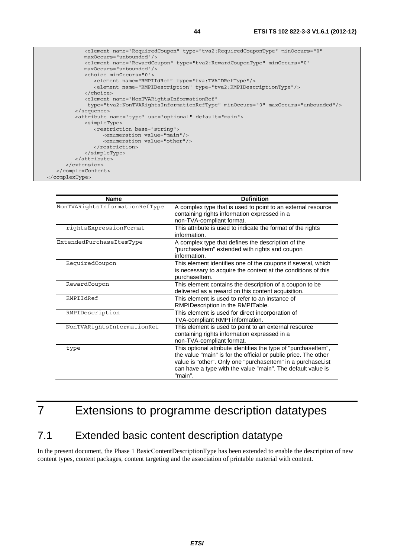

| <b>Name</b>                    | <b>Definition</b>                                               |
|--------------------------------|-----------------------------------------------------------------|
| NonTVARightsInformationRefType | A complex type that is used to point to an external resource    |
|                                | containing rights information expressed in a                    |
|                                | non-TVA-compliant format.                                       |
| rightsExpressionFormat         | This attribute is used to indicate the format of the rights     |
|                                | information.                                                    |
| ExtendedPurchaseItemType       | A complex type that defines the description of the              |
|                                | "purchaseltem" extended with rights and coupon                  |
|                                | information.                                                    |
| RequiredCoupon                 | This element identifies one of the coupons if several, which    |
|                                | is necessary to acquire the content at the conditions of this   |
|                                | purchaseltem.                                                   |
| RewardCoupon                   | This element contains the description of a coupon to be         |
|                                | delivered as a reward on this content acquisition.              |
| RMPIIdRef                      | This element is used to refer to an instance of                 |
|                                | RMPIDescription in the RMPITable.                               |
| RMPIDescription                | This element is used for direct incorporation of                |
|                                | TVA-compliant RMPI information.                                 |
| NonTVARightsInformationRef     | This element is used to point to an external resource           |
|                                | containing rights information expressed in a                    |
|                                | non-TVA-compliant format.                                       |
| type                           | This optional attribute identifies the type of "purchaseltem",  |
|                                | the value "main" is for the official or public price. The other |
|                                | value is "other". Only one "purchaseltem" in a purchaseList     |
|                                | can have a type with the value "main". The default value is     |
|                                | "main".                                                         |
|                                |                                                                 |

# 7 Extensions to programme description datatypes

### 7.1 Extended basic content description datatype

In the present document, the Phase 1 BasicContentDescriptionType has been extended to enable the description of new content types, content packages, content targeting and the association of printable material with content.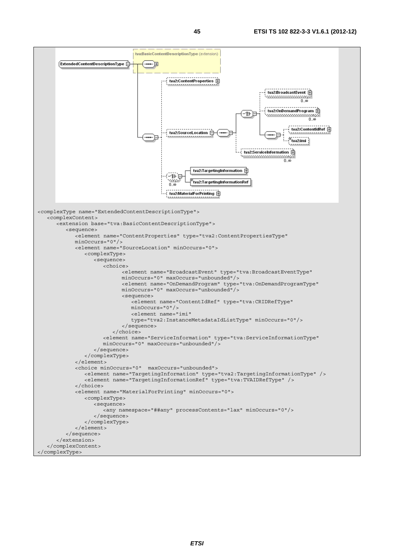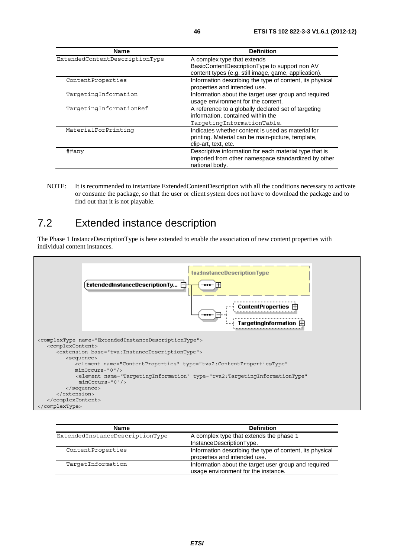| <b>Name</b>                    | <b>Definition</b>                                                                                                               |
|--------------------------------|---------------------------------------------------------------------------------------------------------------------------------|
| ExtendedContentDescriptionType | A complex type that extends<br>BasicContentDescriptionType to support non AV                                                    |
|                                | content types (e.g. still image, game, application).                                                                            |
| ContentProperties              | Information describing the type of content, its physical<br>properties and intended use.                                        |
| TargetingInformation           | Information about the target user group and required<br>usage environment for the content.                                      |
| TargetingInformationRef        | A reference to a globally declared set of targeting<br>information, contained within the<br>TargetingInformationTable.          |
| MaterialForPrinting            | Indicates whether content is used as material for<br>printing. Material can be main-picture, template,<br>clip-art, text, etc.  |
| ##any                          | Descriptive information for each material type that is<br>imported from other namespace standardized by other<br>national body. |

NOTE: It is recommended to instantiate ExtendedContentDescription with all the conditions necessary to activate or consume the package, so that the user or client system does not have to download the package and to find out that it is not playable.

## 7.2 Extended instance description

The Phase 1 InstanceDescriptionType is here extended to enable the association of new content properties with individual content instances.



| <b>Name</b>                     | <b>Definition</b>                                                                           |
|---------------------------------|---------------------------------------------------------------------------------------------|
| ExtendedInstanceDescriptionType | A complex type that extends the phase 1<br>InstanceDescriptionType.                         |
| ContentProperties               | Information describing the type of content, its physical<br>properties and intended use.    |
| TargetInformation               | Information about the target user group and required<br>usage environment for the instance. |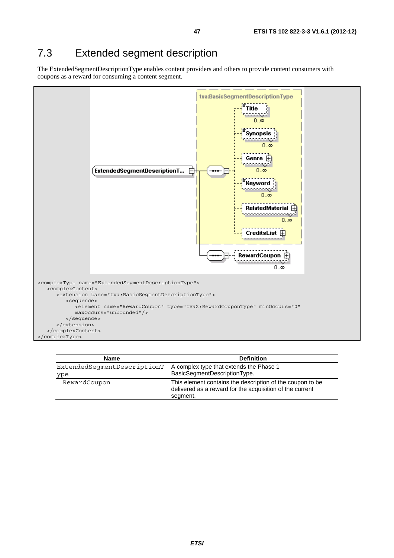## 7.3 Extended segment description

The ExtendedSegmentDescriptionType enables content providers and others to provide content consumers with coupons as a reward for consuming a content segment.



| <b>Name</b>                 | <b>Definition</b>                                                                                                                 |
|-----------------------------|-----------------------------------------------------------------------------------------------------------------------------------|
| ExtendedSeqmentDescriptionT | A complex type that extends the Phase 1                                                                                           |
| ype                         | BasicSegmentDescriptionType.                                                                                                      |
| RewardCoupon                | This element contains the description of the coupon to be<br>delivered as a reward for the acquisition of the current<br>segment. |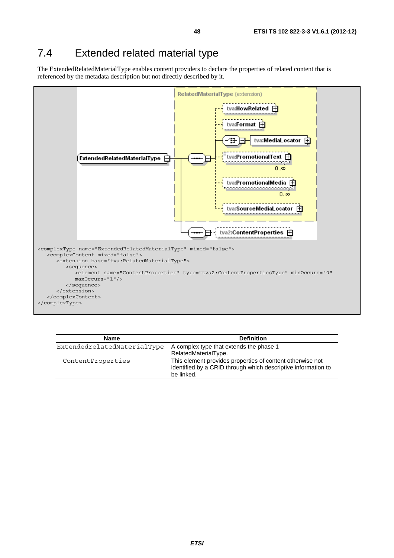#### 7.4 Extended related material type

The ExtendedRelatedMaterialType enables content providers to declare the properties of related content that is referenced by the metadata description but not directly described by it.



| <b>Name</b>                 | <b>Definition</b>                                                                                                                        |
|-----------------------------|------------------------------------------------------------------------------------------------------------------------------------------|
| ExtendedrelatedMaterialType | A complex type that extends the phase 1                                                                                                  |
|                             | RelatedMaterialType.                                                                                                                     |
| ContentProperties           | This element provides properties of content otherwise not<br>identified by a CRID through which descriptive information to<br>be linked. |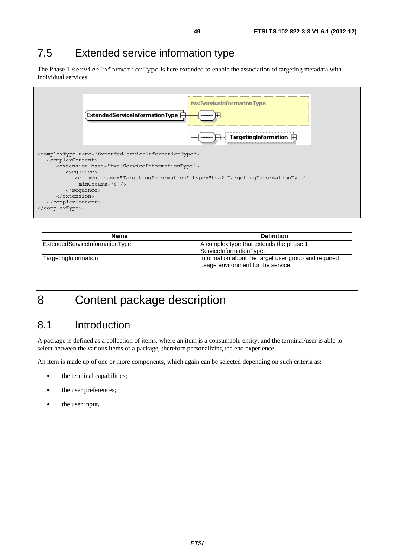## 7.5 Extended service information type

The Phase 1 ServiceInformationType is here extended to enable the association of targeting metadata with individual services.



| Name                           | <b>Definition</b>                                    |
|--------------------------------|------------------------------------------------------|
| ExtendedServiceInformationType | A complex type that extends the phase 1              |
|                                | ServiceInformationType.                              |
| TargetingInformation           | Information about the target user group and required |
|                                | usage environment for the service.                   |

# 8 Content package description

## 8.1 Introduction

A package is defined as a collection of items, where an item is a consumable entity, and the terminal/user is able to select between the various items of a package, therefore personalizing the end experience.

An item is made up of one or more components, which again can be selected depending on such criteria as:

- the terminal capabilities;
- the user preferences;
- the user input.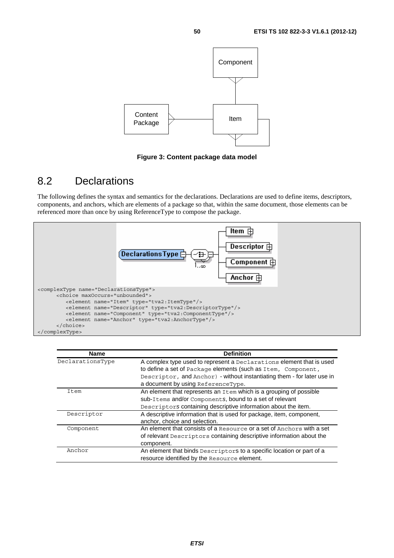

**Figure 3: Content package data model** 

## 8.2 Declarations

The following defines the syntax and semantics for the declarations. Declarations are used to define items, descriptors, components, and anchors, which are elements of a package so that, within the same document, those elements can be referenced more than once by using ReferenceType to compose the package.



| <b>Name</b>      | <b>Definition</b>                                                       |
|------------------|-------------------------------------------------------------------------|
| DeclarationsType | A complex type used to represent a Declarations element that is used    |
|                  | to define a set of Package elements (such as Item, Component,           |
|                  | Descriptor, and Anchor) - without instantiating them - for later use in |
|                  | a document by using ReferenceType.                                      |
| Item             | An element that represents an Item which is a grouping of possible      |
|                  | sub-Items and/or Components, bound to a set of relevant                 |
|                  | Descriptors containing descriptive information about the item.          |
| Descriptor       | A descriptive information that is used for package, item, component,    |
|                  | anchor, choice and selection.                                           |
| Component        | An element that consists of a Resource or a set of Anchors with a set   |
|                  | of relevant Descriptors containing descriptive information about the    |
|                  | component.                                                              |
| Anchor           | An element that binds Descriptors to a specific location or part of a   |
|                  | resource identified by the Resource element.                            |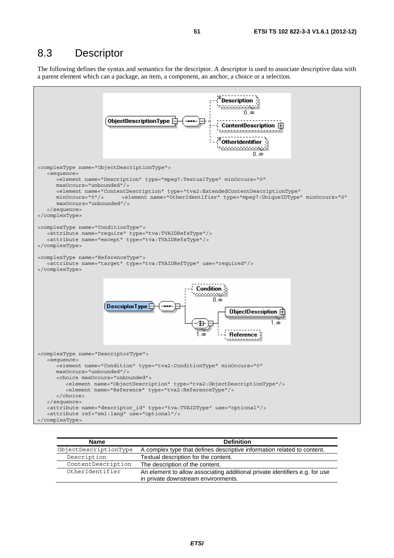### 8.3 Descriptor

The following defines the syntax and semantics for the descriptor. A descriptor is used to associate descriptive data with a parent element which can a package, an item, a component, an anchor, a choice or a selection.



| <b>Name</b>           | <b>Definition</b>                                                                                                  |
|-----------------------|--------------------------------------------------------------------------------------------------------------------|
| ObjectDescriptionType | A complex type that defines descriptive information related to content.                                            |
| Description           | Textual description for the content.                                                                               |
| ContentDescription    | The description of the content.                                                                                    |
| OtherIdentifier       | An element to allow associating additional private identifiers e.g. for use<br>in private downstream environments. |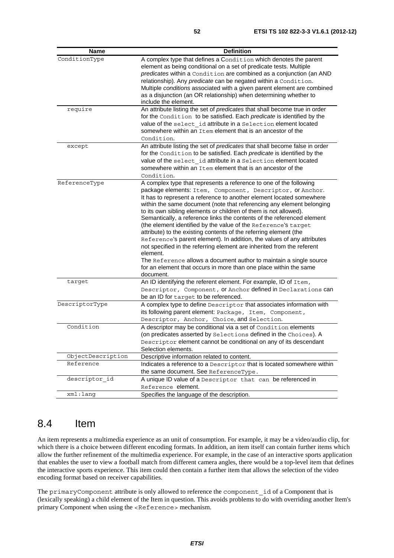| Name              | <b>Definition</b>                                                                                                                                     |
|-------------------|-------------------------------------------------------------------------------------------------------------------------------------------------------|
| ConditionType     | A complex type that defines a Condition which denotes the parent                                                                                      |
|                   | element as being conditional on a set of predicate tests. Multiple                                                                                    |
|                   | predicates within a Condition are combined as a conjunction (an AND                                                                                   |
|                   | relationship). Any predicate can be negated within a Condition.                                                                                       |
|                   | Multiple conditions associated with a given parent element are combined                                                                               |
|                   | as a disjunction (an OR relationship) when determining whether to                                                                                     |
|                   | include the element.                                                                                                                                  |
| require           | An attribute listing the set of predicates that shall become true in order                                                                            |
|                   | for the Condition to be satisfied. Each predicate is identified by the                                                                                |
|                   | value of the select id attribute in a Selection element located<br>somewhere within an Item element that is an ancestor of the                        |
|                   |                                                                                                                                                       |
|                   | Condition.                                                                                                                                            |
| except            | An attribute listing the set of predicates that shall become false in order<br>for the Condition to be satisfied. Each predicate is identified by the |
|                   | value of the select id attribute in a Selection element located                                                                                       |
|                   | somewhere within an Item element that is an ancestor of the                                                                                           |
|                   | Condition.                                                                                                                                            |
| ReferenceType     | A complex type that represents a reference to one of the following                                                                                    |
|                   | package elements: Item, Component, Descriptor, or Anchor.                                                                                             |
|                   | It has to represent a reference to another element located somewhere                                                                                  |
|                   | within the same document (note that referencing any element belonging                                                                                 |
|                   | to its own sibling elements or children of them is not allowed).                                                                                      |
|                   | Semantically, a reference links the contents of the referenced element                                                                                |
|                   | (the element identified by the value of the Reference's target                                                                                        |
|                   | attribute) to the existing contents of the referring element (the                                                                                     |
|                   | Reference's parent element). In addition, the values of any attributes                                                                                |
|                   | not specified in the referring element are inherited from the referent                                                                                |
|                   | element.                                                                                                                                              |
|                   | The Reference allows a document author to maintain a single source                                                                                    |
|                   | for an element that occurs in more than one place within the same                                                                                     |
|                   | document.                                                                                                                                             |
| target            | An ID identifying the referent element. For example, ID of Item,                                                                                      |
|                   | Descriptor, Component, or Anchor defined in Declarations can                                                                                          |
|                   | be an ID for target to be referenced.                                                                                                                 |
| DescriptorType    | A complex type to define Descriptor that associates information with                                                                                  |
|                   | its following parent element: Package, Item, Component,                                                                                               |
| Condition         | Descriptor, Anchor, Choice, and Selection.<br>A descriptor may be conditional via a set of Condition elements                                         |
|                   |                                                                                                                                                       |
|                   | (on predicates asserted by Selections defined in the Choices). A                                                                                      |
|                   | Descriptor element cannot be conditional on any of its descendant<br>Selection elements.                                                              |
| ObjectDescription | Descriptive information related to content.                                                                                                           |
| Reference         | Indicates a reference to a Descriptor that is located somewhere within                                                                                |
|                   | the same document. See ReferenceType.                                                                                                                 |
| descriptor id     | A unique ID value of a Descriptor that can be referenced in                                                                                           |
|                   | Reference element.                                                                                                                                    |
| xml:lang          | Specifies the language of the description.                                                                                                            |
|                   |                                                                                                                                                       |

### 8.4 Item

An item represents a multimedia experience as an unit of consumption. For example, it may be a video/audio clip, for which there is a choice between different encoding formats. In addition, an item itself can contain further items which allow the further refinement of the multimedia experience. For example, in the case of an interactive sports application that enables the user to view a football match from different camera angles, there would be a top-level item that defines the interactive sports experience. This item could then contain a further item that allows the selection of the video encoding format based on receiver capabilities.

The primaryComponent attribute is only allowed to reference the component\_id of a Component that is (lexically speaking) a child element of the Item in question. This avoids problems to do with overriding another Item's primary Component when using the <Reference> mechanism.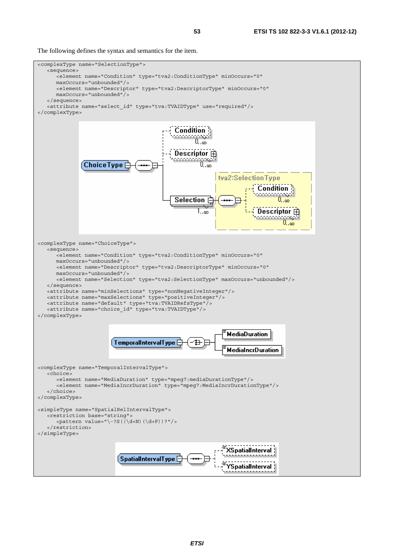The following defines the syntax and semantics for the item.

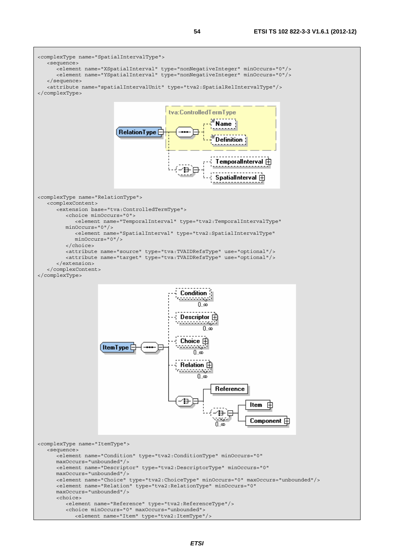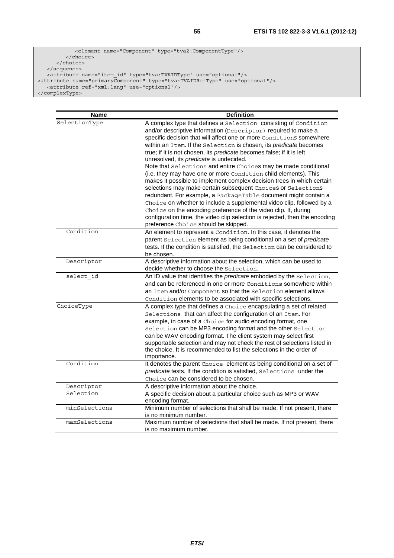```
 <element name="Component" type="tva2:ComponentType"/> 
          </choice> 
      </choice> 
   </sequence> 
 <attribute name="item_id" type="tva:TVAIDType" use="optional"/> 
<attribute name="primaryComponent" type="tva:TVAIDRefType" use="optional"/> 
 <attribute ref="xml:lang" use="optional"/> 
</complexType>
```

| <b>Name</b>   | <b>Definition</b>                                                                                                                                |
|---------------|--------------------------------------------------------------------------------------------------------------------------------------------------|
| SelectionType | A complex type that defines a Selection consisting of Condition                                                                                  |
|               | and/or descriptive information (Descriptor) required to make a                                                                                   |
|               | specific decision that will affect one or more Conditions somewhere                                                                              |
|               | within an Item. If the Selection is chosen, its predicate becomes                                                                                |
|               | true; if it is not chosen, its predicate becomes false; if it is left                                                                            |
|               | unresolved, its predicate is undecided.                                                                                                          |
|               | Note that Selections and entire Choices may be made conditional                                                                                  |
|               | (i.e. they may have one or more Condition child elements). This                                                                                  |
|               | makes it possible to implement complex decision trees in which certain                                                                           |
|               | selections may make certain subsequent Choices or Selections                                                                                     |
|               | redundant. For example, a PackageTable document might contain a                                                                                  |
|               | Choice on whether to include a supplemental video clip, followed by a                                                                            |
|               | Choice on the encoding preference of the video clip. If, during                                                                                  |
|               | configuration time, the video clip selection is rejected, then the encoding                                                                      |
|               | preference Choice should be skipped.                                                                                                             |
| Condition     | An element to represent a Condition. In this case, it denotes the                                                                                |
|               | parent Selection element as being conditional on a set of predicate                                                                              |
|               | tests. If the condition is satisfied, the Selection can be considered to                                                                         |
| Descriptor    | be chosen.                                                                                                                                       |
|               | A descriptive information about the selection, which can be used to<br>decide whether to choose the Selection.                                   |
| select id     | An ID value that identifies the predicate embodied by the Selection,                                                                             |
|               | and can be referenced in one or more Conditions somewhere within                                                                                 |
|               | an Item and/or Component so that the Selection element allows                                                                                    |
|               | Condition elements to be associated with specific selections.                                                                                    |
| ChoiceType    | A complex type that defines a Choice encapsulating a set of related                                                                              |
|               | Selections that can affect the configuration of an Item. For                                                                                     |
|               | example, in case of a Choice for audio encoding format, one                                                                                      |
|               | Selection can be MP3 encoding format and the other Selection                                                                                     |
|               | can be WAV encoding format. The client system may select first                                                                                   |
|               | supportable selection and may not check the rest of selections listed in<br>the choice. It is recommended to list the selections in the order of |
|               | importance.                                                                                                                                      |
| Condition     | It denotes the parent Choice element as being conditional on a set of                                                                            |
|               | predicate tests. If the condition is satisfied, Selections under the                                                                             |
|               | Choice can be considered to be chosen.                                                                                                           |
| Descriptor    | A descriptive information about the choice.                                                                                                      |
| Selection     | A specific decision about a particular choice such as MP3 or WAV                                                                                 |
|               | encoding format.                                                                                                                                 |
| minSelections | Minimum number of selections that shall be made. If not present, there                                                                           |
|               | is no minimum number.                                                                                                                            |
| maxSelections | Maximum number of selections that shall be made. If not present, there                                                                           |
|               | is no maximum number.                                                                                                                            |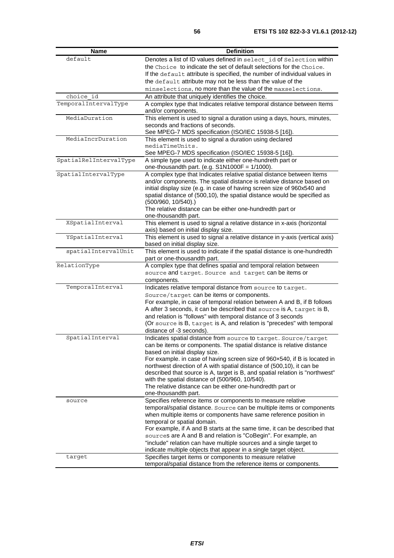| <b>Name</b>            | <b>Definition</b>                                                                                                                                |
|------------------------|--------------------------------------------------------------------------------------------------------------------------------------------------|
| default                | Denotes a list of ID values defined in select id of Selection within                                                                             |
|                        | the Choice to indicate the set of default selections for the Choice.                                                                             |
|                        | If the default attribute is specified, the number of individual values in                                                                        |
|                        | the default attribute may not be less than the value of the                                                                                      |
|                        | minselections, no more than the value of the maxselections.                                                                                      |
| choice id              | An attribute that uniquely identifies the choice.                                                                                                |
| TemporalIntervalType   | A complex type that Indicates relative temporal distance between Items                                                                           |
|                        | and/or components.                                                                                                                               |
| MediaDuration          | This element is used to signal a duration using a days, hours, minutes,                                                                          |
|                        | seconds and fractions of seconds.                                                                                                                |
|                        | See MPEG-7 MDS specification (ISO/IEC 15938-5 [16]).                                                                                             |
| MediaIncrDuration      | This element is used to signal a duration using declared                                                                                         |
|                        | mediaTimeUnits.                                                                                                                                  |
|                        | See MPEG-7 MDS specification (ISO/IEC 15938-5 [16]).                                                                                             |
| SpatialRelIntervalType | A simple type used to indicate either one-hundreth part or                                                                                       |
|                        | one-thousandth part. (e.g. $S1N1000F = 1/1000$ ).                                                                                                |
| SpatialIntervalType    | A complex type that Indicates relative spatial distance between Items                                                                            |
|                        | and/or components. The spatial distance is relative distance based on<br>initial display size (e.g. in case of having screen size of 960x540 and |
|                        | spatial distance of (500,10), the spatial distance would be specified as                                                                         |
|                        | $(500/960, 10/540)$ .)                                                                                                                           |
|                        | The relative distance can be either one-hundredth part or                                                                                        |
|                        | one-thousandth part.                                                                                                                             |
| XSpatialInterval       | This element is used to signal a relative distance in x-axis (horizontal                                                                         |
|                        | axis) based on initial display size.                                                                                                             |
| YSpatialInterval       | This element is used to signal a relative distance in y-axis (vertical axis)                                                                     |
|                        | based on initial display size.                                                                                                                   |
| spatialIntervalUnit    | This element is used to indicate if the spatial distance is one-hundredth                                                                        |
|                        | part or one-thousandth part.                                                                                                                     |
| RelationType           | A complex type that defines spatial and temporal relation between                                                                                |
|                        | source and target. Source and target can be items or                                                                                             |
|                        | components.                                                                                                                                      |
| TemporalInterval       | Indicates relative temporal distance from source to target.                                                                                      |
|                        | Source/target can be items or components.                                                                                                        |
|                        | For example, in case of temporal relation between A and B, if B follows                                                                          |
|                        | A after 3 seconds, it can be described that source is A, target is B,                                                                            |
|                        | and relation is "follows" with temporal distance of 3 seconds                                                                                    |
|                        | (Or source is B, target is A, and relation is "precedes" with temporal                                                                           |
|                        | distance of -3 seconds).                                                                                                                         |
| SpatialInterval        | Indicates spatial distance from source to target. Source/target                                                                                  |
|                        | can be items or components. The spatial distance is relative distance                                                                            |
|                        | based on initial display size.                                                                                                                   |
|                        | For example. in case of having screen size of 960x540, if B is located in                                                                        |
|                        | northwest direction of A with spatial distance of (500,10), it can be                                                                            |
|                        | described that source is A, target is B, and spatial relation is "northwest"                                                                     |
|                        | with the spatial distance of (500/960, 10/540).<br>The relative distance can be either one-hundredth part or                                     |
|                        | one-thousandth part.                                                                                                                             |
| source                 | Specifies reference items or components to measure relative                                                                                      |
|                        | temporal/spatial distance. Source can be multiple items or components                                                                            |
|                        | when multiple items or components have same reference position in                                                                                |
|                        | temporal or spatial domain.                                                                                                                      |
|                        | For example, if A and B starts at the same time, it can be described that                                                                        |
|                        | sources are A and B and relation is "CoBegin". For example, an                                                                                   |
|                        | "include" relation can have multiple sources and a single target to                                                                              |
|                        | indicate multiple objects that appear in a single target object.                                                                                 |
| target                 | Specifies target items or components to measure relative                                                                                         |
|                        | temporal/spatial distance from the reference items or components.                                                                                |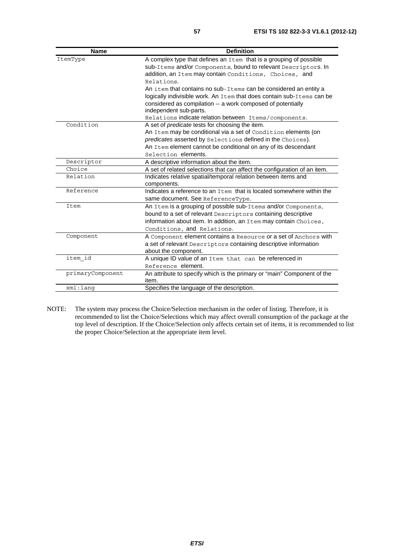| <b>Name</b>      | <b>Definition</b>                                                         |
|------------------|---------------------------------------------------------------------------|
| ItemType         | A complex type that defines an Item that is a grouping of possible        |
|                  | sub-Items and/or Components, bound to relevant Descriptors. In            |
|                  | addition, an Item may contain Conditions, Choices, and                    |
|                  | Relations.                                                                |
|                  | An item that contains no sub-Items can be considered an entity a          |
|                  | logically indivisible work. An Item that does contain sub-Items can be    |
|                  | considered as compilation -- a work composed of potentially               |
|                  | independent sub-parts.                                                    |
|                  | Relations indicate relation between Items/components.                     |
| Condition        | A set of <i>predicate</i> tests for choosing the item.                    |
|                  | An Item may be conditional via a set of Condition elements (on            |
|                  | predicates asserted by Selections defined in the Choices).                |
|                  | An Item element cannot be conditional on any of its descendant            |
|                  | Selection elements.                                                       |
| Descriptor       | A descriptive information about the item.                                 |
| Choice           | A set of related selections that can affect the configuration of an item. |
| Relation         | Indicates relative spatial/temporal relation between items and            |
|                  | components.                                                               |
| Reference        | Indicates a reference to an Item that is located somewhere within the     |
|                  | same document. See ReferenceType.                                         |
| Item             | An Item is a grouping of possible sub-Items and/or Components,            |
|                  | bound to a set of relevant Descriptors containing descriptive             |
|                  | information about item. In addition, an Item may contain Choices,         |
|                  | Conditions, and Relations.                                                |
| Component        | A Component element contains a Resource or a set of Anchors with          |
|                  | a set of relevant Descriptors containing descriptive information          |
|                  | about the component.                                                      |
| item id          | A unique ID value of an Item that can be referenced in                    |
|                  | Reference element.                                                        |
| primaryComponent | An attribute to specify which is the primary or "main" Component of the   |
|                  | item.                                                                     |
| xml:lanq         | Specifies the language of the description.                                |

NOTE: The system may process the Choice/Selection mechanism in the order of listing. Therefore, it is recommended to list the Choice/Selections which may affect overall consumption of the package at the top level of description. If the Choice/Selection only affects certain set of items, it is recommended to list the proper Choice/Selection at the appropriate item level.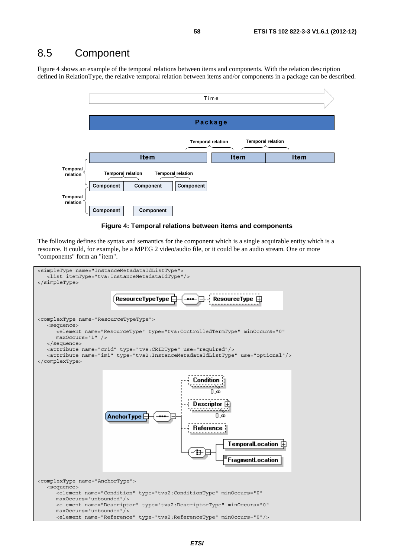#### 8.5 Component

Figure 4 shows an example of the temporal relations between items and components. With the relation description defined in RelationType, the relative temporal relation between items and/or components in a package can be described.





The following defines the syntax and semantics for the component which is a single acquirable entity which is a resource. It could, for example, be a MPEG 2 video/audio file, or it could be an audio stream. One or more "components" form an "item".

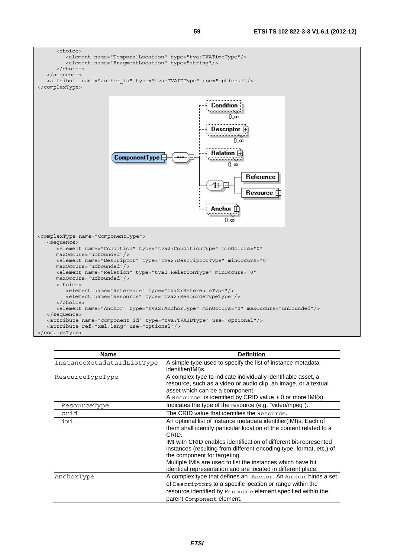

| Name                       | <b>Definition</b>                                                                                                                                                                                                                                                                                                                                                                                                                                          |
|----------------------------|------------------------------------------------------------------------------------------------------------------------------------------------------------------------------------------------------------------------------------------------------------------------------------------------------------------------------------------------------------------------------------------------------------------------------------------------------------|
| InstanceMetadataIdListType | A simple type used to specify the list of instance metadata<br>identifier(IMI)s.                                                                                                                                                                                                                                                                                                                                                                           |
| ResourceTypeType           | A complex type to indicate individually identifiable asset, a<br>resource, such as a video or audio clip, an image, or a textual<br>asset which can be a component.<br>A Resource is identified by CRID value $+$ 0 or more IMI(s).                                                                                                                                                                                                                        |
| ResourceType               | Indicates the type of the resource (e.g. "video/mpeg").                                                                                                                                                                                                                                                                                                                                                                                                    |
| crid                       | The CRID value that identifies the Resource.                                                                                                                                                                                                                                                                                                                                                                                                               |
| imi                        | An optional list of instance metadata identifier(IMI)s. Each of<br>them shall identify particular location of the content related to a<br>CRID.<br>IMI with CRID enables identification of different bit-represented<br>instances (resulting from different encoding type, format, etc.) of<br>the component for targeting.<br>Multiple IMIs are used to list the instances which have bit<br>identical representation and are located in different place. |
| AnchorType                 | A complex type that defines an Anchor. An Anchor binds a set<br>of Descriptors to a specific location or range within the<br>resource identified by Resource element specified within the<br>parent Component element.                                                                                                                                                                                                                                     |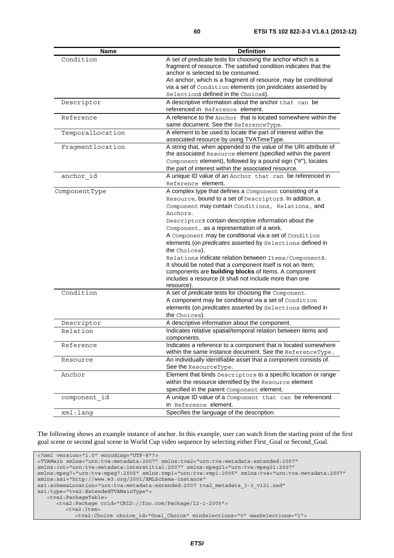| <b>Name</b>      | <b>Definition</b>                                                                                                           |
|------------------|-----------------------------------------------------------------------------------------------------------------------------|
| Condition        | A set of predicate tests for choosing the anchor which is a                                                                 |
|                  | fragment of resource. The satisfied condition indicates that the                                                            |
|                  | anchor is selected to be consumed.                                                                                          |
|                  | An anchor, which is a fragment of resource, may be conditional                                                              |
|                  | via a set of Condition elements (on predicates asserted by                                                                  |
|                  | Selections defined in the Choices).                                                                                         |
| Descriptor       | A descriptive information about the anchor that can be                                                                      |
|                  | referenced in Reference element.                                                                                            |
| Reference        | A reference to the Anchor that is located somewhere within the                                                              |
|                  | same document. See the ReferenceType.                                                                                       |
| TemporalLocation | A element to be used to locate the part of interest within the                                                              |
|                  | associated resource by using TVATimeType.                                                                                   |
| Fragmentlocation | A string that, when appended to the value of the URI attribute of                                                           |
|                  | the associated Resource element (specified within the parent                                                                |
|                  | Component element), followed by a pound sign ("#"), locates                                                                 |
|                  | the part of interest within the associated resource.                                                                        |
| anchor id        | A unique ID value of an Anchor that can be referenced in                                                                    |
|                  | Reference element.                                                                                                          |
| ComponentType    | A complex type that defines a Component consisting of a                                                                     |
|                  | Resource, bound to a set of Descriptors. In addition, a                                                                     |
|                  | Component may contain Conditions, Relations, and                                                                            |
|                  | Anchors.                                                                                                                    |
|                  | Descriptors contain descriptive information about the                                                                       |
|                  | Component, as a representation of a work.                                                                                   |
|                  | A Component may be conditional via a set of Condition                                                                       |
|                  | elements (on predicates asserted by Selections defined in                                                                   |
|                  | the Choices).                                                                                                               |
|                  | Relations indicate relation between Items/Components.                                                                       |
|                  | It should be noted that a component itself is not an Item;                                                                  |
|                  | components are building blocks of Items. A component                                                                        |
|                  | includes a resource (it shall not include more than one                                                                     |
| Condition        | resource).                                                                                                                  |
|                  | A set of predicate tests for choosing the Component.                                                                        |
|                  | A component may be conditional via a set of Condition                                                                       |
|                  | elements (on predicates asserted by Selections defined in<br>the Choices).                                                  |
|                  |                                                                                                                             |
| Descriptor       | A descriptive information about the component.                                                                              |
| Relation         | Indicates relative spatial/temporal relation between items and                                                              |
|                  | components.                                                                                                                 |
| Reterence        | Indicates a reference to a component that is located somewhere<br>within the same instance document. See the ReferenceType. |
|                  | An individually identifiable asset that a component consists of.                                                            |
| Resource         | See the ResourceType.                                                                                                       |
|                  | Element that binds Descriptors to a specific location or range                                                              |
| Anchor           |                                                                                                                             |
|                  | within the resource identified by the Resource element                                                                      |
|                  | specified in the parent Component element.                                                                                  |
| component id     | A unique ID value of a Component that can be referenced                                                                     |
|                  | in Reference element.                                                                                                       |
| $xml:$ lang      | Specifies the language of the description.                                                                                  |

The following shows an example instance of anchor. In this example, user can watch from the starting point of the first goal scene or second goal scene in World Cup video sequence by selecting either First\_Goal or Second\_Goal.

<?xml version="1.0" encoding="UTF-8"?> <TVAMain xmlns="urn:tva:metadata:2007" xmlns:tva2="urn:tva:metadata:extended:2007" xmlns:int="urn:tva:metadata:interstitial:2007" xmlns:mpeg21="urn:tva:mpeg21:2007" xmlns:mpeg7="urn:tva:mpeg7:2005" xmlns:rmpi="urn:tva:rmpi:2005" xmlns:tva="urn:tva:metadata:2007" xmlns:xsi="http://www.w3.org/2001/XMLSchema-instance" xsi:schemaLocation="urn:tva:metadata:extended:2007 tva2\_metadata\_3-3\_v121.xsd" xsi:type="tva2:ExtendedTVAMainType"> <tva2:PackageTable> <tva2:Package crid="CRID://foo.com/Package/12-1-2005"> <tva2:Item> <tva2:Choice choice\_id="Goal\_Choice" minSelections="0" maxSelections="1">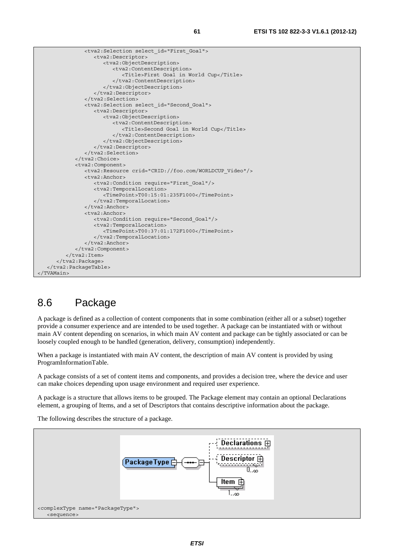

 <tva2:Selection select\_id="First\_Goal"> <tva2:Descriptor> <tva2:ObjectDescription> <tva2:ContentDescription> <Title>First Goal in World Cup</Title> </tva2:ContentDescription> </tva2:ObjectDescription> </tva2:Descriptor> </tva2:Selection> <tva2:Selection select\_id="Second\_Goal"> <tva2:Descriptor> <tva2:ObjectDescription> <tva2:ContentDescription> <Title>Second Goal in World Cup</Title> </tva2:ContentDescription> </tva2:ObjectDescription> </tva2:Descriptor> </tva2:Selection> </tva2:Choice> <tva2:Component> <tva2:Resource crid="CRID://foo.com/WORLDCUP\_Video"/> <tva2:Anchor> <tva2:Condition require="First\_Goal"/> <tva2:TemporalLocation> <TimePoint>T00:15:01:235F1000</TimePoint> </tva2:TemporalLocation> </tva2:Anchor> <tva2:Anchor> <tva2:Condition require="Second\_Goal"/> <tva2:TemporalLocation> <TimePoint>T00:37:01:172F1000</TimePoint> </tva2:TemporalLocation> </tva2:Anchor> </tva2:Component> </tva2:Item> </tva2:Package> </tva2:PackageTable> </TVAMain>

## 8.6 Package

A package is defined as a collection of content components that in some combination (either all or a subset) together provide a consumer experience and are intended to be used together. A package can be instantiated with or without main AV content depending on scenarios, in which main AV content and package can be tightly associated or can be loosely coupled enough to be handled (generation, delivery, consumption) independently.

When a package is instantiated with main AV content, the description of main AV content is provided by using ProgramInformationTable.

A package consists of a set of content items and components, and provides a decision tree, where the device and user can make choices depending upon usage environment and required user experience.

A package is a structure that allows items to be grouped. The Package element may contain an optional Declarations element, a grouping of Items, and a set of Descriptors that contains descriptive information about the package.

The following describes the structure of a package.

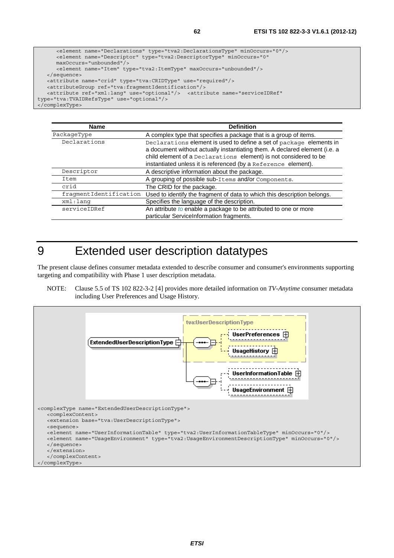```
 <element name="Declarations" type="tva2:DeclarationsType" minOccurs="0"/> 
       <element name="Descriptor" type="tva2:DescriptorType" minOccurs="0" 
       maxOccurs="unbounded"/> 
       <element name="Item" type="tva2:ItemType" maxOccurs="unbounded"/> 
    </sequence> 
    <attribute name="crid" type="tva:CRIDType" use="required"/> 
    <attributeGroup ref="tva:fragmentIdentification"/> 
    <attribute ref="xml:lang" use="optional"/> <attribute name="serviceIDRef" 
type="tva:TVAIDRefsType" use="optional"/> 
</complexType>
```

| <b>Name</b>            | <b>Definition</b>                                                                                                                                                                                                                                                                       |
|------------------------|-----------------------------------------------------------------------------------------------------------------------------------------------------------------------------------------------------------------------------------------------------------------------------------------|
| PackageType            | A complex type that specifies a package that is a group of items.                                                                                                                                                                                                                       |
| Declarations           | Declarations element is used to define a set of package elements in<br>a document without actually instantiating them. A declared element (i.e. a<br>child element of a Declarations element) is not considered to be<br>instantiated unless it is referenced (by a Reference element). |
| Descriptor             | A descriptive information about the package.                                                                                                                                                                                                                                            |
| Item                   | A grouping of possible sub-Items and/or Components.                                                                                                                                                                                                                                     |
| crid                   | The CRID for the package.                                                                                                                                                                                                                                                               |
| fragmentIdentification | Used to identify the fragment of data to which this description belongs.                                                                                                                                                                                                                |
| xml:lang               | Specifies the language of the description.                                                                                                                                                                                                                                              |
| serviceIDRef           | An attribute to enable a package to be attributed to one or more<br>particular ServiceInformation fragments.                                                                                                                                                                            |

# 9 Extended user description datatypes

The present clause defines consumer metadata extended to describe consumer and consumer's environments supporting targeting and compatibility with Phase 1 user description metadata.

NOTE: Clause 5.5 of TS 102 822-3-2 [4] provides more detailed information on *TV-Anytime* consumer metadata including User Preferences and Usage History.

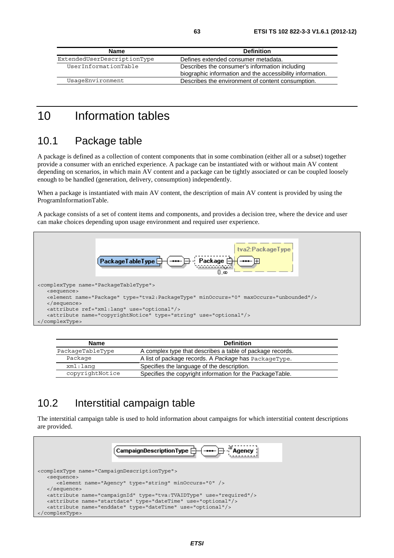| Name                        | <b>Definition</b>                                                                                           |
|-----------------------------|-------------------------------------------------------------------------------------------------------------|
| ExtendedUserDescriptionType | Defines extended consumer metadata.                                                                         |
| UserInformationTable        | Describes the consumer's information including<br>biographic information and the accessibility information. |
| UsaqeEnvironment            | Describes the environment of content consumption.                                                           |

## 10 Information tables

#### 10.1 Package table

A package is defined as a collection of content components that in some combination (either all or a subset) together provide a consumer with an enriched experience. A package can be instantiated with or without main AV content depending on scenarios, in which main AV content and a package can be tightly associated or can be coupled loosely enough to be handled (generation, delivery, consumption) independently.

When a package is instantiated with main AV content, the description of main AV content is provided by using the ProgramInformationTable.

A package consists of a set of content items and components, and provides a decision tree, where the device and user can make choices depending upon usage environment and required user experience.



| <b>Name</b>      | <b>Definition</b>                                         |
|------------------|-----------------------------------------------------------|
| PackageTableType | A complex type that describes a table of package records. |
| Package          | A list of package records. A Package has PackageType.     |
| xml:lang         | Specifies the language of the description.                |
| copyrightNotice  | Specifies the copyright information for the PackageTable. |

### 10.2 Interstitial campaign table

The interstitial campaign table is used to hold information about campaigns for which interstitial content descriptions are provided.

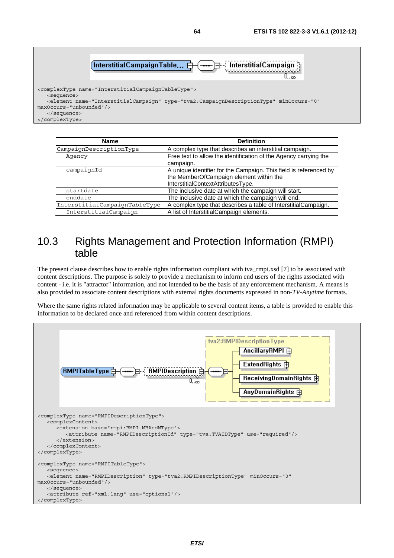

| <b>Name</b>                   | <b>Definition</b>                                                 |
|-------------------------------|-------------------------------------------------------------------|
| CampaignDescriptionType       | A complex type that describes an interstitial campaign.           |
| Agency                        | Free text to allow the identification of the Agency carrying the  |
|                               | campaign.                                                         |
| campaignId                    | A unique identifier for the Campaign. This field is referenced by |
|                               | the MemberOfCampaign element within the                           |
|                               | InterstitialContextAttributesType.                                |
| startdate                     | The inclusive date at which the campaign will start.              |
| enddate                       | The inclusive date at which the campaign will end.                |
| InterstitialCampaignTableType | A complex type that describes a table of InterstitialCampaign.    |
| InterstitialCampaign          | A list of InterstitialCampaign elements.                          |

#### 10.3 Rights Management and Protection Information (RMPI) table

The present clause describes how to enable rights information compliant with tva\_rmpi.xsd [7] to be associated with content descriptions. The purpose is solely to provide a mechanism to inform end users of the rights associated with content - i.e. it is "attractor" information, and not intended to be the basis of any enforcement mechanism. A means is also provided to associate content descriptions with external rights documents expressed in non-*TV-Anytime* formats.

Where the same rights related information may be applicable to several content items, a table is provided to enable this information to be declared once and referenced from within content descriptions.

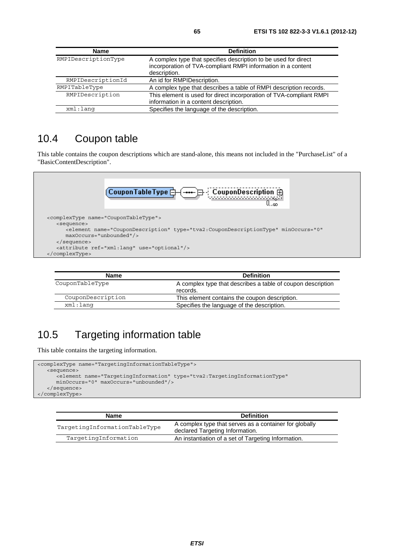| <b>Name</b>         | <b>Definition</b>                                                                                                                               |
|---------------------|-------------------------------------------------------------------------------------------------------------------------------------------------|
| RMPIDescriptionType | A complex type that specifies description to be used for direct<br>incorporation of TVA-compliant RMPI information in a content<br>description. |
| RMPIDescriptionId   | An id for RMPIDescription.                                                                                                                      |
| RMPITableType       | A complex type that describes a table of RMPI description records.                                                                              |
| RMPIDescription     | This element is used for direct incorporation of TVA-compliant RMPI<br>information in a content description.                                    |
| $xml:$ lang         | Specifies the language of the description.                                                                                                      |

### 10.4 Coupon table

This table contains the coupon descriptions which are stand-alone, this means not included in the "PurchaseList" of a "BasicContentDescription".



| Name              | <b>Definition</b>                                                       |
|-------------------|-------------------------------------------------------------------------|
| CouponTableType   | A complex type that describes a table of coupon description<br>records. |
| CouponDescription | This element contains the coupon description.                           |
| xml:lanq          | Specifies the language of the description.                              |

# 10.5 Targeting information table

This table contains the targeting information.

```
<complexType name="TargetingInformationTableType"> 
   <sequence> 
 <element name="TargetingInformation" type="tva2:TargetingInformationType" 
 minOccurs="0" maxOccurs="unbounded"/> 
   </sequence> 
</complexType>
```

| <b>Name</b>                   | <b>Definition</b>                                                                         |
|-------------------------------|-------------------------------------------------------------------------------------------|
| TargetingInformationTableType | A complex type that serves as a container for globally<br>declared Targeting Information. |
| TargetingInformation          | An instantiation of a set of Targeting Information.                                       |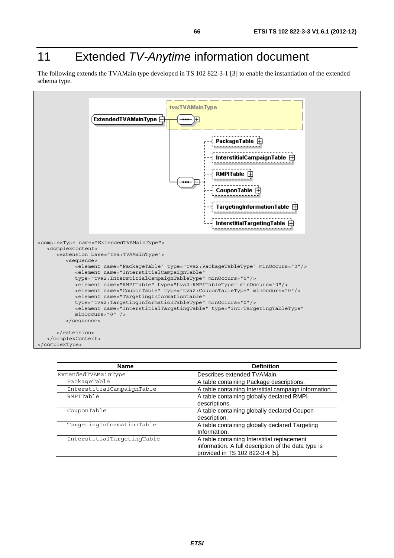# 11 Extended *TV-Anytime* information document

The following extends the TVAMain type developed in TS 102 822-3-1 [3] to enable the instantiation of the extended schema type.



| <b>Name</b>                | <b>Definition</b>                                     |
|----------------------------|-------------------------------------------------------|
| ExtendedTVAMainType        | Describes extended TVAMain.                           |
| PackageTable               | A table containing Package descriptions.              |
| InterstitialCampaignTable  | A table containing Interstitial campaign information. |
| RMPITable                  | A table containing globally declared RMPI             |
|                            | descriptions.                                         |
| CouponTable                | A table containing globally declared Coupon           |
|                            | description.                                          |
| TargetingInformationTable  | A table containing globally declared Targeting        |
|                            | Information.                                          |
| InterstitialTargetingTable | A table containing Interstitial replacement           |
|                            | information. A full description of the data type is   |
|                            | provided in TS 102 822-3-4 [5].                       |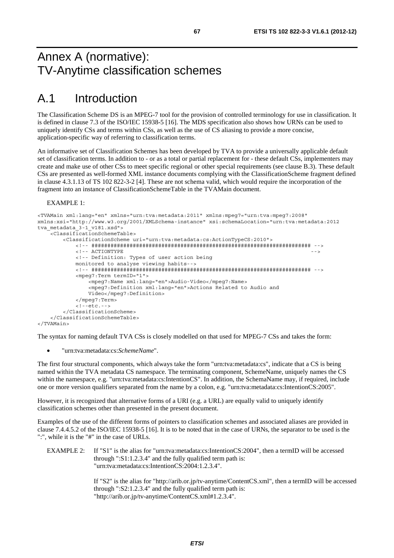## Annex A (normative): TV-Anytime classification schemes

# A.1 Introduction

The Classification Scheme DS is an MPEG-7 tool for the provision of controlled terminology for use in classification. It is defined in clause 7.3 of the ISO/IEC 15938-5 [16]. The MDS specification also shows how URNs can be used to uniquely identify CSs and terms within CSs, as well as the use of CS aliasing to provide a more concise, application-specific way of referring to classification terms.

An informative set of Classification Schemes has been developed by TVA to provide a universally applicable default set of classification terms. In addition to - or as a total or partial replacement for - these default CSs, implementers may create and make use of other CSs to meet specific regional or other special requirements (see clause B.3). These default CSs are presented as well-formed XML instance documents complying with the ClassificationScheme fragment defined in clause 4.3.1.13 of TS 102 822-3-2 [4]. These are not schema valid, which would require the incorporation of the fragment into an instance of ClassificationSchemeTable in the TVAMain document.

#### EXAMPLE 1:

```
<TVAMain xml:lang="en" xmlns="urn:tva:metadata:2011" xmlns:mpeg7="urn:tva:mpeg7:2008" 
xmlns:xsi="http://www.w3.org/2001/XMLSchema-instance" xsi:schemaLocation="urn:tva:metadata:2012 
tva metadata 3-1 v181.xsd">
     <ClassificationSchemeTable> 
         <ClassificationScheme uri="urn:tva:metadata:cs:ActionTypeCS:2010"> 
             <!-- ##################################################################### --> 
            \epsilon = - a CTIONTYPE \epsilon <!-- Definition: Types of user action being 
             monitored to analyse viewing habits--> 
             <!-- ##################################################################### --> 
             <mpeg7:Term termID="1"> 
                 <mpeg7:Name xml:lang="en">Audio-Video</mpeg7:Name> 
                 <mpeg7:Definition xml:lang="en">Actions Related to Audio and 
                 Video</mpeg7:Definition> 
             </mpeg7:Term> 
             <!--etc.--> 
         </ClassificationScheme> 
     </ClassificationSchemeTable> 
</TVAMain>
```
The syntax for naming default TVA CSs is closely modelled on that used for MPEG-7 CSs and takes the form:

• "urn:tva:metadata:cs:*SchemeName*".

The first four structural components, which always take the form "urn:tva:metadata:cs", indicate that a CS is being named within the TVA metadata CS namespace. The terminating component, SchemeName, uniquely names the CS within the namespace, e.g. "urn:tva:metadata:cs:IntentionCS". In addition, the SchemaName may, if required, include one or more version qualifiers separated from the name by a colon, e.g. "urn:tva:metadata:cs:IntentionCS:2005".

However, it is recognized that alternative forms of a URI (e.g. a URL) are equally valid to uniquely identify classification schemes other than presented in the present document.

Examples of the use of the different forms of pointers to classification schemes and associated aliases are provided in clause 7.4.4.5.2 of the ISO/IEC 15938-5 [16]. It is to be noted that in the case of URNs, the separator to be used is the ":", while it is the "#" in the case of URLs.

EXAMPLE 2: If "S1" is the alias for "urn:tva:metadata:cs:IntentionCS:2004", then a termID will be accessed through ":S1:1.2.3.4" and the fully qualified term path is: "urn:tva:metadata:cs:IntentionCS:2004:1.2.3.4".

> If "S2" is the alias for "http://arib.or.jp/tv-anytime/ContentCS.xml", then a termID will be accessed through ":S2:1.2.3.4" and the fully qualified term path is: "http://arib.or.jp/tv-anytime/ContentCS.xml#1.2.3.4".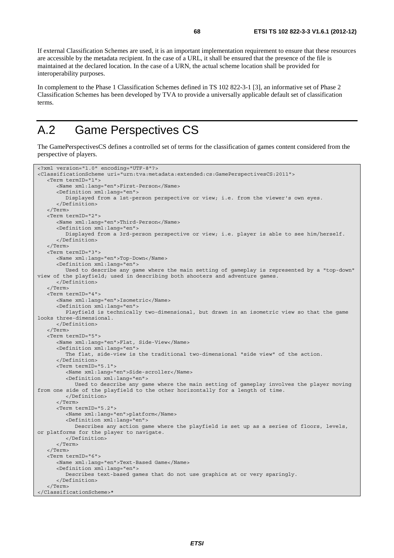If external Classification Schemes are used, it is an important implementation requirement to ensure that these resources are accessible by the metadata recipient. In the case of a URL, it shall be ensured that the presence of the file is maintained at the declared location. In the case of a URN, the actual scheme location shall be provided for interoperability purposes.

In complement to the Phase 1 Classification Schemes defined in TS 102 822-3-1 [3], an informative set of Phase 2 Classification Schemes has been developed by TVA to provide a universally applicable default set of classification terms.

# A.2 Game Perspectives CS

The GamePerspectivesCS defines a controlled set of terms for the classification of games content considered from the perspective of players.

```
<?xml version="1.0" encoding="UTF-8"?> 
<ClassificationScheme uri="urn:tva:metadata:extended:cs:GamePerspectivesCS:2011"> 
    <Term termID="1"> 
       <Name xml:lang="en">First-Person</Name> 
       <Definition xml:lang="en"> 
          Displayed from a 1st-person perspective or view; i.e. from the viewer's own eyes. 
       </Definition> 
    </Term> 
    <Term termID="2"> 
       <Name xml:lang="en">Third-Person</Name> 
       <Definition xml:lang="en"> 
          Displayed from a 3rd-person perspective or view; i.e. player is able to see him/herself. 
       </Definition> 
    </Term> 
    <Term termID="3"> 
       <Name xml:lang="en">Top-Down</Name> 
       <Definition xml:lang="en"> 
          Used to describe any game where the main setting of gameplay is represented by a "top-down" 
view of the playfield; used in describing both shooters and adventure games. 
       </Definition> 
    </Term> 
    <Term termID="4"> 
       <Name xml:lang="en">Isometric</Name> 
       <Definition xml:lang="en"> 
          Playfield is technically two-dimensional, but drawn in an isometric view so that the game 
looks three-dimensional. 
       </Definition> 
    </Term> 
    <Term termID="5"> 
       <Name xml:lang="en">Flat, Side-View</Name> 
       <Definition xml:lang="en"> 
          The flat, side-view is the traditional two-dimensional "side view" of the action. 
       </Definition> 
       <Term termID="5.1"> 
          <Name xml:lang="en">Side-scroller</Name> 
          <Definition xml:lang="en"> 
             Used to describe any game where the main setting of gameplay involves the player moving 
from one side of the playfield to the other horizontally for a length of time. 
          </Definition> 
       </Term> 
       <Term termID="5.2"> 
          <Name xml:lang="en">platform</Name> 
          <Definition xml:lang="en"> 
             Describes any action game where the playfield is set up as a series of floors, levels, 
or platforms for the player to navigate. 
          </Definition> 
       </Term> 
    </Term> 
    <Term termID="6"> 
       <Name xml:lang="en">Text-Based Game</Name> 
       <Definition xml:lang="en"> 
          Describes text-based games that do not use graphics at or very sparingly. 
       </Definition> 
    </Term> 
</ClassificationScheme>*
```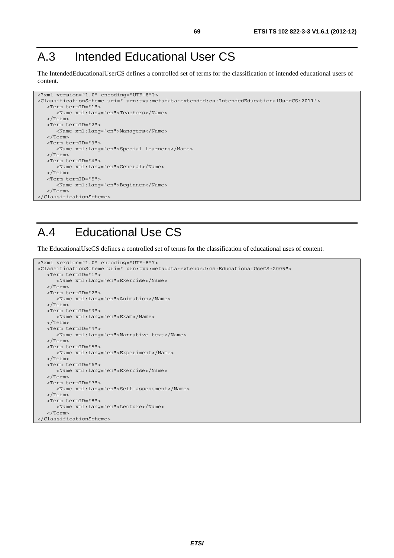# A.3 Intended Educational User CS

The IntendedEducationalUserCS defines a controlled set of terms for the classification of intended educational users of content.

```
<?xml version="1.0" encoding="UTF-8"?> 
<ClassificationScheme uri=" urn:tva:metadata:extended:cs:IntendedEducationalUserCS:2011"> 
    <Term termID="1"> 
       <Name xml:lang="en">Teachers</Name> 
    </Term> 
    <Term termID="2"> 
       <Name xml:lang="en">Managers</Name> 
    </Term> 
    <Term termID="3"> 
      <Name xml:lang="en">Special learners</Name> 
    </Term> 
    <Term termID="4"> 
      <Name xml:lang="en">General</Name> 
    </Term> 
    <Term termID="5"> 
      <Name xml:lang="en">Beginner</Name> 
    </Term> 
</ClassificationScheme>
```
# A.4 Educational Use CS

The EducationalUseCS defines a controlled set of terms for the classification of educational uses of content.

```
<?xml version="1.0" encoding="UTF-8"?> 
<ClassificationScheme uri=" urn:tva:metadata:extended:cs:EducationalUseCS:2005"> 
    <Term termID="1"> 
       <Name xml:lang="en">Exercise</Name> 
    </Term> 
    <Term termID="2"> 
       <Name xml:lang="en">Animation</Name> 
    </Term> 
    <Term termID="3"> 
       <Name xml:lang="en">Exam</Name> 
    </Term> 
    <Term termID="4"> 
       <Name xml:lang="en">Narrative text</Name> 
    </Term> 
    <Term termID="5"> 
       <Name xml:lang="en">Experiment</Name> 
    </Term> 
    <Term termID="6"> 
       <Name xml:lang="en">Exercise</Name> 
   \sim/Term\sim <Term termID="7"> 
      <Name xml:lang="en">Self-assessment</Name> 
    </Term> 
    <Term termID="8"> 
       <Name xml:lang="en">Lecture</Name> 
    </Term> 
</ClassificationScheme>
```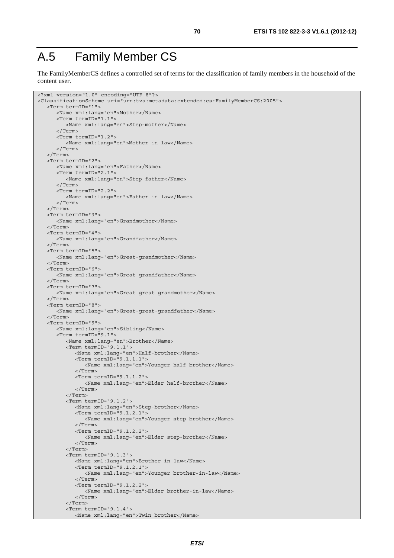# A.5 Family Member CS

The FamilyMemberCS defines a controlled set of terms for the classification of family members in the household of the content user.

```
<?xml version="1.0" encoding="UTF-8"?> 
<ClassificationScheme uri="urn:tva:metadata:extended:cs:FamilyMemberCS:2005"> 
    <Term termID="1"> 
       <Name xml:lang="en">Mother</Name> 
       <Term termID="1.1"> 
          <Name xml:lang="en">Step-mother</Name> 
       </Term> 
       <Term termID="1.2"> 
          <Name xml:lang="en">Mother-in-law</Name> 
       </Term> 
    </Term> 
    <Term termID="2"> 
       <Name xml:lang="en">Father</Name> 
       <Term termID="2.1"> 
          <Name xml:lang="en">Step-father</Name> 
       </Term> 
       <Term termID="2.2"> 
          <Name xml:lang="en">Father-in-law</Name> 
       </Term> 
    </Term> 
    <Term termID="3"> 
       <Name xml:lang="en">Grandmother</Name> 
    </Term> 
    <Term termID="4"> 
       <Name xml:lang="en">Grandfather</Name> 
    </Term> 
    <Term termID="5"> 
       <Name xml:lang="en">Great-grandmother</Name> 
    </Term> 
    <Term termID="6"> 
       <Name xml:lang="en">Great-grandfather</Name> 
    </Term> 
    <Term termID="7"> 
       <Name xml:lang="en">Great-great-grandmother</Name> 
    </Term> 
    <Term termID="8"> 
       <Name xml:lang="en">Great-great-grandfather</Name> 
    </Term> 
    <Term termID="9"> 
       <Name xml:lang="en">Sibling</Name> 
       <Term termID="9.1"> 
          <Name xml:lang="en">Brother</Name> 
          <Term termID="9.1.1"> 
              <Name xml:lang="en">Half-brother</Name> 
             <Term termID="9.1.1.1"> 
                 <Name xml:lang="en">Younger half-brother</Name> 
              </Term> 
              <Term termID="9.1.1.2"> 
                 <Name xml:lang="en">Elder half-brother</Name> 
              </Term> 
          </Term> 
          <Term termID="9.1.2"> 
             <Name xml:lang="en">Step-brother</Name> 
              <Term termID="9.1.2.1"> 
                 <Name xml:lang="en">Younger step-brother</Name> 
              </Term> 
              <Term termID="9.1.2.2"> 
                 <Name xml:lang="en">Elder step-brother</Name> 
              </Term> 
          </Term> 
          <Term termID="9.1.3"> 
              <Name xml:lang="en">Brother-in-law</Name> 
              <Term termID="9.1.2.1"> 
                 <Name xml:lang="en">Younger brother-in-law</Name> 
              </Term> 
             <Term termID="9.1.2.2"> 
                <Name xml:lang="en">Elder brother-in-law</Name> 
             </Term> 
          </Term> 
          <Term termID="9.1.4"> 
             <Name xml:lang="en">Twin brother</Name>
```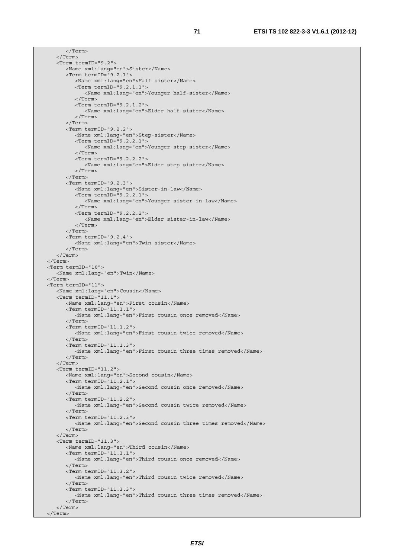```
 </Term> 
    </Term> 
    <Term termID="9.2"> 
       <Name xml:lang="en">Sister</Name> 
       <Term termID="9.2.1"> 
          <Name xml:lang="en">Half-sister</Name> 
          <Term termID="9.2.1.1"> 
             <Name xml:lang="en">Younger half-sister</Name> 
          </Term> 
          <Term termID="9.2.1.2"> 
             <Name xml:lang="en">Elder half-sister</Name> 
          </Term> 
       </Term> 
       <Term termID="9.2.2"> 
          <Name xml:lang="en">Step-sister</Name> 
          <Term termID="9.2.2.1"> 
             <Name xml:lang="en">Younger step-sister</Name> 
          </Term> 
          <Term termID="9.2.2.2"> 
             <Name xml:lang="en">Elder step-sister</Name> 
          </Term> 
       </Term> 
       <Term termID="9.2.3"> 
          <Name xml:lang="en">Sister-in-law</Name> 
          <Term termID="9.2.2.1"> 
             <Name xml:lang="en">Younger sister-in-law</Name> 
          </Term> 
          <Term termID="9.2.2.2"> 
             <Name xml:lang="en">Elder sister-in-law</Name> 
          </Term> 
       </Term> 
       <Term termID="9.2.4"> 
          <Name xml:lang="en">Twin sister</Name> 
       </Term> 
    </Term> 
 </Term> 
 <Term termID="10"> 
    <Name xml:lang="en">Twin</Name> 
 </Term> 
 <Term termID="11"> 
    <Name xml:lang="en">Cousin</Name> 
    <Term termID="11.1"> 
       <Name xml:lang="en">First cousin</Name> 
       <Term termID="11.1.1"> 
          <Name xml:lang="en">First cousin once removed</Name> 
       </Term> 
       <Term termID="11.1.2"> 
          <Name xml:lang="en">First cousin twice removed</Name> 
       </Term> 
       <Term termID="11.1.3"> 
          <Name xml:lang="en">First cousin three times removed</Name> 
       </Term> 
    </Term> 
   ZTarm from TD-111.2" <Name xml:lang="en">Second cousin</Name> 
       <Term termID="11.2.1"> 
          <Name xml:lang="en">Second cousin once removed</Name> 
       </Term> 
       <Term termID="11.2.2"> 
          <Name xml:lang="en">Second cousin twice removed</Name> 
       </Term> 
       <Term termID="11.2.3"> 
          <Name xml:lang="en">Second cousin three times removed</Name> 
       </Term> 
    </Term> 
    <Term termID="11.3"> 
       <Name xml:lang="en">Third cousin</Name> 
       <Term termID="11.3.1"> 
          <Name xml:lang="en">Third cousin once removed</Name> 
       </Term> 
       <Term termID="11.3.2"> 
          <Name xml:lang="en">Third cousin twice removed</Name> 
       </Term> 
       <Term termID="11.3.3"> 
          <Name xml:lang="en">Third cousin three times removed</Name> 
       </Term> 
    </Term> 
 </Term>
```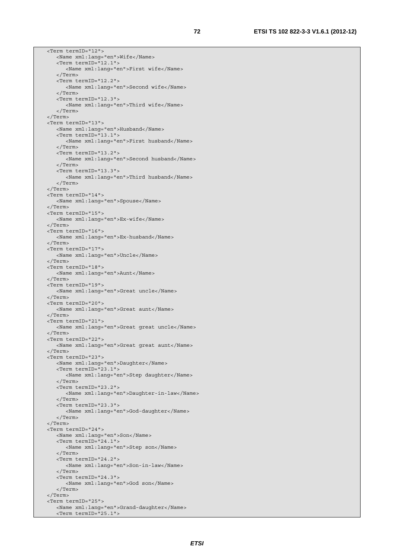<Term termID="12"> <Name xml:lang="en">Wife</Name> <Term termID="12.1"> <Name xml:lang="en">First wife</Name> </Term> <Term termID="12.2"> <Name xml:lang="en">Second wife</Name> </Term> <Term termID="12.3"> <Name xml:lang="en">Third wife</Name> </Term> </Term> <Term termID="13"> <Name xml:lang="en">Husband</Name> <Term termID="13.1"> <Name xml:lang="en">First husband</Name> </Term> <Term termID="13.2"> <Name xml:lang="en">Second husband</Name> </Term> <Term termID="13.3"> <Name xml:lang="en">Third husband</Name> </Term> </Term> <Term termID="14"> <Name xml:lang="en">Spouse</Name> </Term> <Term termID="15"> <Name xml:lang="en">Ex-wife</Name> </Term> <Term termID="16"> <Name xml:lang="en">Ex-husband</Name> </Term> <Term termID="17"> <Name xml:lang="en">Uncle</Name> </Term> <Term termID="18"> <Name xml:lang="en">Aunt</Name> </Term> <Term termID="19"> <Name xml:lang="en">Great uncle</Name> </Term> <Term termID="20"> <Name xml:lang="en">Great aunt</Name> </Term> <Term termID="21"> <Name xml:lang="en">Great great uncle</Name> </Term> <Term termID="22"> <Name xml:lang="en">Great great aunt</Name> </Term> <Term termID="23"> <Name xml:lang="en">Daughter</Name> <Term termID="23.1"> <Name xml:lang="en">Step daughter</Name> </Term> <Term termID="23.2"> <Name xml:lang="en">Daughter-in-law</Name> </Term> <Term termID="23.3"> <Name xml:lang="en">God-daughter</Name> </Term> </Term> <Term termID="24"> <Name xml:lang="en">Son</Name> <Term termID="24.1"> <Name xml:lang="en">Step son</Name> </Term> <Term termID="24.2"> <Name xml:lang="en">Son-in-law</Name> </Term> <Term termID="24.3"> <Name xml:lang="en">God son</Name> </Term> </Term> <Term termID="25"> <Name xml:lang="en">Grand-daughter</Name> <Term termID="25.1">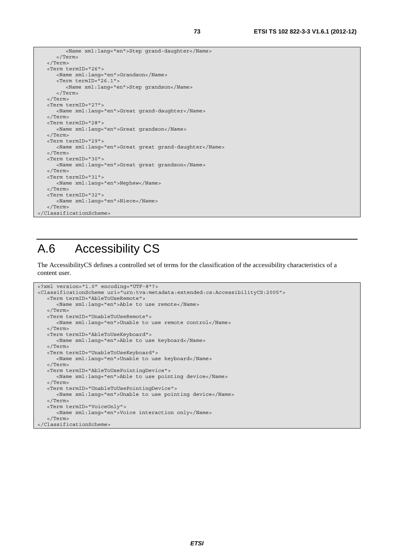```
 <Name xml:lang="en">Step grand-daughter</Name> 
       </Term> 
    </Term> 
    <Term termID="26"> 
       <Name xml:lang="en">Grandson</Name> 
       <Term termID="26.1"> 
          <Name xml:lang="en">Step grandson</Name> 
       </Term> 
   </Term> 
   <Term termID="27"> 
       <Name xml:lang="en">Great grand-daughter</Name> 
    </Term> 
   <Term termID="28"> 
      <Name xml:lang="en">Great grandson</Name> 
    </Term> 
    <Term termID="29"> 
       <Name xml:lang="en">Great great grand-daughter</Name> 
    </Term> 
   <Term termID="30"> 
      <Name xml:lang="en">Great great grandson</Name> 
    </Term> 
   <Term termID="31"> 
      <Name xml:lang="en">Nephew</Name> 
    </Term> 
    <Term termID="32"> 
      <Name xml:lang="en">Niece</Name> 
    </Term> 
</ClassificationScheme>
```
## A.6 Accessibility CS

The AccessibilityCS defines a controlled set of terms for the classification of the accessibility characteristics of a content user.

```
<?xml version="1.0" encoding="UTF-8"?> 
<ClassificationScheme uri="urn:tva:metadata:extended:cs:AccessibilityCS:2005"> 
    <Term termID="AbleToUseRemote"> 
       <Name xml:lang="en">Able to use remote</Name> 
    </Term> 
    <Term termID="UnableToUseRemote"> 
      <Name xml:lang="en">Unable to use remote control</Name> 
    </Term> 
    <Term termID="AbleToUseKeyboard"> 
      <Name xml:lang="en">Able to use keyboard</Name> 
    </Term> 
    <Term termID="UnableToUseKeyboard"> 
      <Name xml:lang="en">Unable to use keyboard</Name> 
    </Term> 
    <Term termID="AbleToUsePointingDevice"> 
       <Name xml:lang="en">Able to use pointing device</Name> 
    </Term> 
    <Term termID="UnableToUsePointingDevice"> 
      <Name xml:lang="en">Unable to use pointing device</Name> 
    </Term> 
    <Term termID="VoiceOnly"> 
       <Name xml:lang="en">Voice interaction only</Name> 
    </Term> 
</ClassificationScheme>
```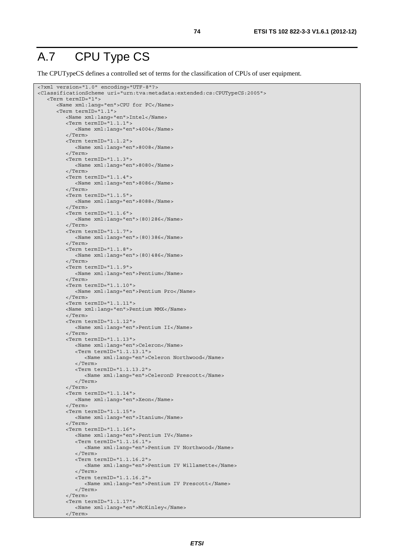#### A.7 CPU Type CS

The CPUTypeCS defines a controlled set of terms for the classification of CPUs of user equipment.

```
<?xml version="1.0" encoding="UTF-8"?> 
<ClassificationScheme uri="urn:tva:metadata:extended:cs:CPUTypeCS:2005"> 
    <Term termID="1"> 
       <Name xml:lang="en">CPU for PC</Name> 
       <Term termID="1.1"> 
          <Name xml:lang="en">Intel</Name> 
          <Term termID="1.1.1"> 
              <Name xml:lang="en">4004</Name> 
          </Term> 
          <Term termID="1.1.2"> 
             <Name xml:lang="en">8008</Name> 
          </Term> 
          <Term termID="1.1.3"> 
             <Name xml:lang="en">8080</Name> 
          </Term> 
          <Term termID="1.1.4"> 
              <Name xml:lang="en">8086</Name> 
          </Term> 
          <Term termID="1.1.5"> 
             <Name xml:lang="en">8088</Name> 
          </Term> 
          <Term termID="1.1.6"> 
              <Name xml:lang="en">(80)286</Name> 
          </Term> 
          <Term termID="1.1.7"> 
             <Name xml:lang="en">(80)386</Name> 
           </Term> 
          <Term termID="1.1.8"> 
             <Name xml:lang="en">(80)486</Name> 
          </Term> 
          <Term termID="1.1.9"> 
              <Name xml:lang="en">Pentium</Name> 
          </Term> 
          <Term termID="1.1.10"> 
              <Name xml:lang="en">Pentium Pro</Name> 
          </Term> 
          <Term termID="1.1.11"> 
          <Name xml:lang="en">Pentium MMX</Name> 
          </Term> 
          <Term termID="1.1.12"> 
              <Name xml:lang="en">Pentium II</Name> 
          </Term> 
         -Term termID="1.1.13">
             <Name xml:lang="en">Celeron</Name> 
             <Term termID="1.1.13.1"> 
                 <Name xml:lang="en">Celeron Northwood</Name> 
              </Term> 
              <Term termID="1.1.13.2"> 
                 <Name xml:lang="en">CeleronD Prescott</Name> 
              </Term> 
          </Term> 
          <Term termID="1.1.14"> 
              <Name xml:lang="en">Xeon</Name> 
          </Term> 
          <Term termID="1.1.15"> 
             <Name xml:lang="en">Itanium</Name> 
           </Term> 
          <Term termID="1.1.16"> 
              <Name xml:lang="en">Pentium IV</Name> 
              <Term termID="1.1.16.1"> 
                 <Name xml:lang="en">Pentium IV Northwood</Name> 
              </Term> 
              <Term termID="1.1.16.2"> 
                 <Name xml:lang="en">Pentium IV Willamette</Name> 
              </Term> 
              <Term termID="1.1.16.2"> 
                 <Name xml:lang="en">Pentium IV Prescott</Name> 
              </Term> 
          </Term> 
          <Term termID="1.1.17"> 
              <Name xml:lang="en">McKinley</Name> 
          </Term>
```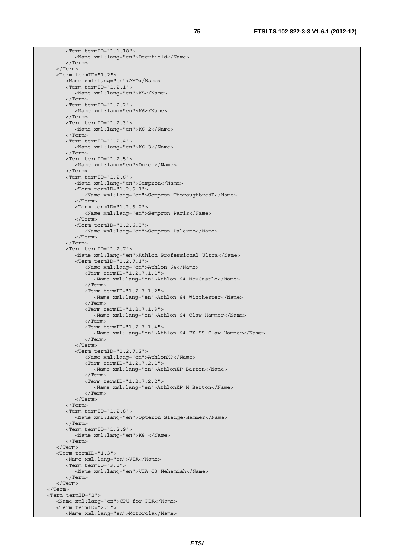```
 <Term termID="1.1.18"> 
          <Name xml:lang="en">Deerfield</Name> 
       </Term> 
    </Term> 
    <Term termID="1.2"> 
       <Name xml:lang="en">AMD</Name> 
       <Term termID="1.2.1"> 
          <Name xml:lang="en">K5</Name> 
       </Term> 
       <Term termID="1.2.2"> 
          <Name xml:lang="en">K6</Name> 
       </Term> 
       <Term termID="1.2.3"> 
          <Name xml:lang="en">K6-2</Name> 
       </Term> 
       <Term termID="1.2.4"> 
          <Name xml:lang="en">K6-3</Name> 
       </Term> 
       <Term termID="1.2.5"> 
          <Name xml:lang="en">Duron</Name> 
       </Term> 
       <Term termID="1.2.6"> 
          <Name xml:lang="en">Sempron</Name> 
          <Term termID="1.2.6.1"> 
              <Name xml:lang="en">Sempron ThoroughbredB</Name> 
          </Term> 
          <Term termID="1.2.6.2"> 
              <Name xml:lang="en">Sempron Paris</Name> 
          </Term> 
          <Term termID="1.2.6.3"> 
             <Name xml:lang="en">Sempron Palermo</Name> 
          </Term> 
       </Term> 
       <Term termID="1.2.7"> 
          <Name xml:lang="en">Athlon Professional Ultra</Name> 
          <Term termID="1.2.7.1"> 
              <Name xml:lang="en">Athlon 64</Name> 
              <Term termID="1.2.7.1.1"> 
                 <Name xml:lang="en">Athlon 64 NewCastle</Name> 
              </Term> 
              <Term termID="1.2.7.1.2"> 
                 <Name xml:lang="en">Athlon 64 Winchester</Name> 
              </Term> 
              <Term termID="1.2.7.1.3"> 
                <Name xml:lang="en">Athlon 64 Claw-Hammer</Name> 
              </Term> 
              <Term termID="1.2.7.1.4"> 
                 <Name xml:lang="en">Athlon 64 FX 55 Claw-Hammer</Name> 
              </Term> 
          </Term> 
          <Term termID="1.2.7.2"> 
              <Name xml:lang="en">AthlonXP</Name> 
              <Term termID="1.2.7.2.1"> 
                 <Name xml:lang="en">AthlonXP Barton</Name> 
              </Term> 
              <Term termID="1.2.7.2.2"> 
                 <Name xml:lang="en">AthlonXP M Barton</Name> 
              </Term> 
          </Term> 
       </Term> 
       <Term termID="1.2.8"> 
          <Name xml:lang="en">Opteron Sledge-Hammer</Name> 
       </Term> 
       <Term termID="1.2.9"> 
          <Name xml:lang="en">K8 </Name> 
       </Term> 
    </Term> 
    <Term termID="1.3"> 
       <Name xml:lang="en">VIA</Name> 
       <Term termID="3.1"> 
          <Name xml:lang="en">VIA C3 Nehemiah</Name> 
       </Term> 
    </Term> 
 </Term> 
 <Term termID="2"> 
   <Name xml:lang="en">CPU for PDA</Name> 
    <Term termID="2.1"> 
       <Name xml:lang="en">Motorola</Name>
```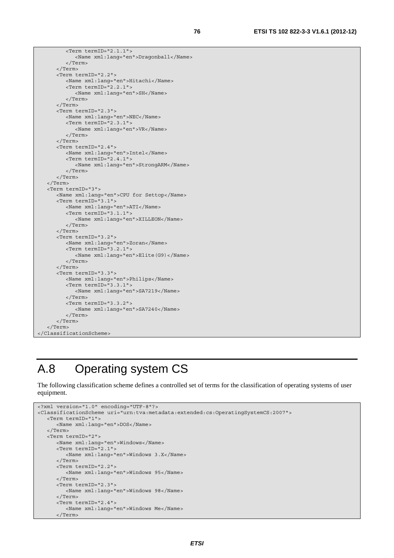<Term termID="2.1.1"> <Name xml:lang="en">Dragonball</Name> </Term> </Term> <Term termID="2.2"> <Name xml:lang="en">Hitachi</Name> <Term termID="2.2.1"> <Name xml:lang="en">SH</Name> </Term> </Term> <Term termID="2.3"> <Name xml:lang="en">NEC</Name> <Term termID="2.3.1"> <Name xml:lang="en">VR</Name> </Term> </Term> <Term termID="2.4"> <Name xml:lang="en">Intel</Name> <Term termID="2.4.1"> <Name xml:lang="en">StrongARM</Name> </Term> </Term> </Term> <Term termID="3"> <Name xml:lang="en">CPU for Settop</Name> <Term termID="3.1"> <Name xml:lang="en">ATI</Name> <Term termID="3.1.1"> <Name xml:lang="en">XILLEON</Name> </Term> </Term> <Term termID="3.2"> <Name xml:lang="en">Zoran</Name> <Term termID="3.2.1"> <Name xml:lang="en">Elite(G9)</Name> </Term> </Term> <Term termID="3.3"> <Name xml:lang="en">Philips</Name> <Term termID="3.3.1"> <Name xml:lang="en">SA7219</Name> </Term> <Term termID="3.3.2"> <Name xml:lang="en">SA7240</Name> </Term> </Term> </Term> </ClassificationScheme>

## A.8 Operating system CS

The following classification scheme defines a controlled set of terms for the classification of operating systems of user equipment.

```
<?xml version="1.0" encoding="UTF-8"?> 
<ClassificationScheme uri="urn:tva:metadata:extended:cs:OperatingSystemCS:2007"> 
    <Term termID="1"> 
       <Name xml:lang="en">DOS</Name> 
    </Term> 
    <Term termID="2"> 
       <Name xml:lang="en">Windows</Name> 
       <Term termID="2.1"> 
          <Name xml:lang="en">Windows 3.X</Name> 
       </Term> 
       <Term termID="2.2"> 
          <Name xml:lang="en">Windows 95</Name> 
       </Term> 
       <Term termID="2.3"> 
          <Name xml:lang="en">Windows 98</Name> 
       </Term> 
       <Term termID="2.4"> 
          <Name xml:lang="en">Windows Me</Name> 
       </Term>
```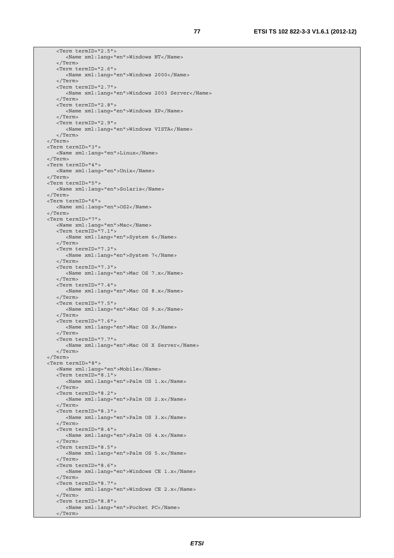```
 <Term termID="2.5"> 
       <Name xml:lang="en">Windows NT</Name> 
    </Term> 
    <Term termID="2.6"> 
       <Name xml:lang="en">Windows 2000</Name> 
    </Term> 
    <Term termID="2.7"> 
       <Name xml:lang="en">Windows 2003 Server</Name> 
    </Term> 
    <Term termID="2.8"> 
       <Name xml:lang="en">Windows XP</Name> 
    </Term> 
    <Term termID="2.9"> 
       <Name xml:lang="en">Windows VISTA</Name> 
    </Term> 
 </Term> 
 <Term termID="3"> 
    <Name xml:lang="en">Linux</Name> 
 </Term> 
 <Term termID="4"> 
    <Name xml:lang="en">Unix</Name> 
 </Term> 
 <Term termID="5"> 
    <Name xml:lang="en">Solaris</Name> 
 </Term> 
 <Term termID="6"> 
   <Name xml:lang="en">OS2</Name> 
 </Term> 
 <Term termID="7"> 
   <Name xml:lang="en">Mac</Name> 
    <Term termID="7.1"> 
       <Name xml:lang="en">System 6</Name> 
    </Term> 
    <Term termID="7.2"> 
      <Name xml:lang="en">System 7</Name> 
    </Term> 
    <Term termID="7.3"> 
       <Name xml:lang="en">Mac OS 7.x</Name> 
    </Term> 
    <Term termID="7.4"> 
       <Name xml:lang="en">Mac OS 8.x</Name> 
    </Term> 
    <Term termID="7.5"> 
       <Name xml:lang="en">Mac OS 9.x</Name> 
    </Term> 
    <Term termID="7.6"> 
       <Name xml:lang="en">Mac OS X</Name> 
    </Term> 
    <Term termID="7.7"> 
       <Name xml:lang="en">Mac OS X Server</Name> 
    </Term> 
 </Term> 
 <Term termID="8"> 
    <Name xml:lang="en">Mobile</Name> 
    <Term termID="8.1"> 
       <Name xml:lang="en">Palm OS 1.x</Name> 
    </Term> 
    <Term termID="8.2"> 
       <Name xml:lang="en">Palm OS 2.x</Name> 
    </Term> 
    <Term termID="8.3"> 
       <Name xml:lang="en">Palm OS 3.x</Name> 
    </Term> 
    <Term termID="8.4"> 
       <Name xml:lang="en">Palm OS 4.x</Name> 
    </Term> 
    <Term termID="8.5"> 
       <Name xml:lang="en">Palm OS 5.x</Name> 
    </Term> 
    <Term termID="8.6"> 
       <Name xml:lang="en">Windows CE 1.x</Name> 
    </Term> 
    <Term termID="8.7"> 
       <Name xml:lang="en">Windows CE 2.x</Name> 
    </Term> 
    <Term termID="8.8"> 
       <Name xml:lang="en">Pocket PC</Name> 
    </Term>
```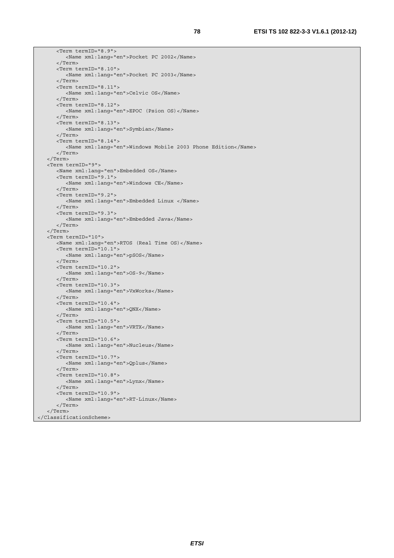```
 <Term termID="8.9"> 
          <Name xml:lang="en">Pocket PC 2002</Name> 
       </Term> 
       <Term termID="8.10"> 
          <Name xml:lang="en">Pocket PC 2003</Name> 
       </Term> 
       <Term termID="8.11"> 
          <Name xml:lang="en">Celvic OS</Name> 
       </Term> 
       <Term termID="8.12"> 
          <Name xml:lang="en">EPOC (Psion OS)</Name> 
       </Term> 
       <Term termID="8.13"> 
          <Name xml:lang="en">Symbian</Name> 
       </Term> 
       <Term termID="8.14"> 
          <Name xml:lang="en">Windows Mobile 2003 Phone Edition</Name> 
       </Term> 
    </Term> 
    <Term termID="9"> 
       <Name xml:lang="en">Embedded OS</Name> 
       <Term termID="9.1"> 
          <Name xml:lang="en">Windows CE</Name> 
       </Term> 
       <Term termID="9.2"> 
          <Name xml:lang="en">Embedded Linux </Name> 
       </Term> 
       <Term termID="9.3"> 
          <Name xml:lang="en">Embedded Java</Name> 
       </Term> 
    </Term> 
    <Term termID="10"> 
       <Name xml:lang="en">RTOS (Real Time OS)</Name> 
       <Term termID="10.1"> 
          <Name xml:lang="en">pSOS</Name> 
       </Term> 
       <Term termID="10.2"> 
          <Name xml:lang="en">OS-9</Name> 
       </Term> 
       <Term termID="10.3"> 
          <Name xml:lang="en">VxWorks</Name> 
       </Term> 
       <Term termID="10.4"> 
          <Name xml:lang="en">QNX</Name> 
       </Term> 
       <Term termID="10.5"> 
          <Name xml:lang="en">VRTX</Name> 
       </Term> 
       <Term termID="10.6"> 
          <Name xml:lang="en">Nucleus</Name> 
       </Term> 
       <Term termID="10.7"> 
          <Name xml:lang="en">Qplus</Name> 
      \angle/Term\sim <Term termID="10.8"> 
          <Name xml:lang="en">Lynx</Name> 
       </Term> 
       <Term termID="10.9"> 
          <Name xml:lang="en">RT-Linux</Name> 
       </Term> 
    </Term> 
</ClassificationScheme>
```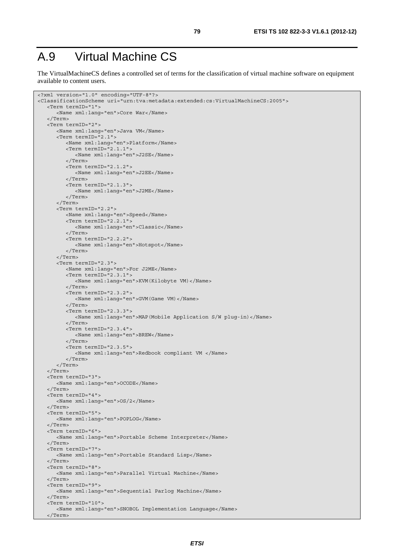## A.9 Virtual Machine CS

The VirtualMachineCS defines a controlled set of terms for the classification of virtual machine software on equipment available to content users.

```
<?xml version="1.0" encoding="UTF-8"?> 
<ClassificationScheme uri="urn:tva:metadata:extended:cs:VirtualMachineCS:2005"> 
    <Term termID="1"> 
       <Name xml:lang="en">Core War</Name> 
    </Term> 
    <Term termID="2"> 
       <Name xml:lang="en">Java VM</Name> 
       <Term termID="2.1"> 
          <Name xml:lang="en">Platform</Name> 
          <Term termID="2.1.1"> 
             <Name xml:lang="en">J2SE</Name> 
          </Term> 
          <Term termID="2.1.2"> 
             <Name xml:lang="en">J2EE</Name> 
          </Term> 
          <Term termID="2.1.3"> 
              <Name xml:lang="en">J2ME</Name> 
          </Term> 
       </Term> 
       <Term termID="2.2"> 
          <Name xml:lang="en">Speed</Name> 
          <Term termID="2.2.1"> 
              <Name xml:lang="en">Classic</Name> 
          </Term> 
          <Term termID="2.2.2"> 
             <Name xml:lang="en">Hotspot</Name> 
          </Term> 
       </Term> 
       <Term termID="2.3"> 
          <Name xml:lang="en">For J2ME</Name> 
          <Term termID="2.3.1"> 
             <Name xml:lang="en">KVM(Kilobyte VM)</Name> 
          </Term> 
          <Term termID="2.3.2"> 
              <Name xml:lang="en">GVM(Game VM)</Name> 
          </Term> 
          <Term termID="2.3.3"> 
             <Name xml:lang="en">MAP(Mobile Application S/W plug-in)</Name> 
          </Term> 
          <Term termID="2.3.4"> 
             <Name xml:lang="en">BREW</Name> 
           </Term> 
          <Term termID="2.3.5"> 
              <Name xml:lang="en">Redbook compliant VM </Name> 
          </Term> 
       </Term> 
    </Term> 
    <Term termID="3"> 
       <Name xml:lang="en">OCODE</Name> 
    </Term> 
    <Term termID="4"> 
       <Name xml:lang="en">OS/2</Name> 
    </Term> 
    <Term termID="5"> 
       <Name xml:lang="en">POPLOG</Name> 
    </Term> 
    <Term termID="6"> 
       <Name xml:lang="en">Portable Scheme Interpreter</Name> 
    </Term> 
    <Term termID="7"> 
       <Name xml:lang="en">Portable Standard Lisp</Name> 
    </Term> 
    <Term termID="8"> 
       <Name xml:lang="en">Parallel Virtual Machine</Name> 
    </Term> 
    <Term termID="9"> 
       <Name xml:lang="en">Sequential Parlog Machine</Name> 
    </Term> 
    <Term termID="10"> 
       <Name xml:lang="en">SNOBOL Implementation Language</Name> 
    </Term>
```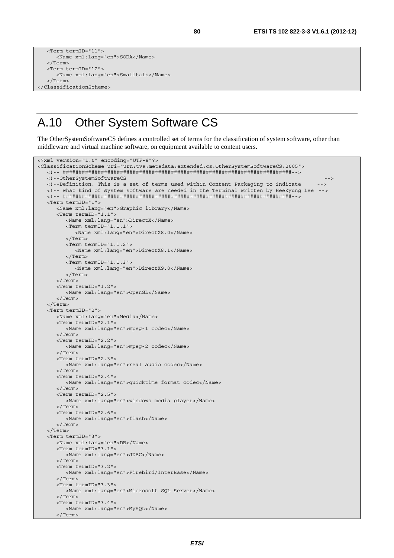```
 <Term termID="11"> 
       <Name xml:lang="en">SODA</Name> 
    </Term> 
    <Term termID="12"> 
       <Name xml:lang="en">Smalltalk</Name> 
    </Term> 
</ClassificationScheme>
```
#### A.10 Other System Software CS

The OtherSystemSoftwareCS defines a controlled set of terms for the classification of system software, other than middleware and virtual machine software, on equipment available to content users.

```
<?xml version="1.0" encoding="UTF-8"?> 
<ClassificationScheme uri="urn:tva:metadata:extended:cs:OtherSystemSoftwareCS:2005"> 
    <!-- ########################################################################--> 
    <!--OtherSystemSoftwareCS --> 
   <!--Definition: This is a set of terms used within Content Packaging to indicate --> 
   <!-- what kind of system software are needed in the Terminal written by HeeKyung Lee --> 
    <!-- ########################################################################--> 
    <Term termID="1"> 
       <Name xml:lang="en">Graphic library</Name> 
       <Term termID="1.1"> 
          <Name xml:lang="en">DirectX</Name> 
          <Term termID="1.1.1"> 
             <Name xml:lang="en">DirectX8.0</Name> 
          </Term> 
          <Term termID="1.1.2"> 
             <Name xml:lang="en">DirectX8.1</Name> 
          </Term> 
          <Term termID="1.1.3"> 
             <Name xml:lang="en">DirectX9.0</Name> 
          </Term> 
       </Term> 
       <Term termID="1.2"> 
         <Name xml:lang="en">OpenGL</Name> 
       </Term> 
    </Term> 
    <Term termID="2"> 
       <Name xml:lang="en">Media</Name> 
       <Term termID="2.1"> 
          <Name xml:lang="en">mpeg-1 codec</Name> 
       </Term> 
       <Term termID="2.2"> 
          <Name xml:lang="en">mpeg-2 codec</Name> 
       </Term> 
       <Term termID="2.3"> 
          <Name xml:lang="en">real audio codec</Name> 
       </Term> 
       <Term termID="2.4"> 
          <Name xml:lang="en">quicktime format codec</Name> 
       </Term> 
       <Term termID="2.5"> 
          <Name xml:lang="en">windows media player</Name> 
       </Term> 
       <Term termID="2.6"> 
         <Name xml:lang="en">flash</Name> 
       </Term> 
    </Term> 
    <Term termID="3"> 
       <Name xml:lang="en">DB</Name> 
       <Term termID="3.1"> 
          <Name xml:lang="en">JDBC</Name> 
       </Term> 
       <Term termID="3.2"> 
          <Name xml:lang="en">Firebird/InterBase</Name> 
       </Term> 
       <Term termID="3.3"> 
          <Name xml:lang="en">Microsoft SQL Server</Name> 
       </Term> 
       <Term termID="3.4"> 
          <Name xml:lang="en">MySQL</Name> 
       </Term>
```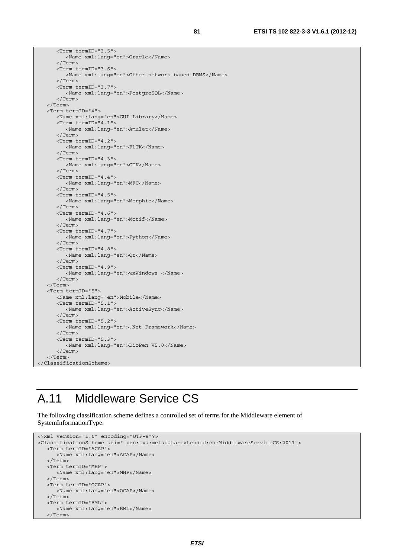<Term termID="3.5"> <Name xml:lang="en">Oracle</Name> </Term> <Term termID="3.6"> <Name xml:lang="en">Other network-based DBMS</Name> </Term> <Term termID="3.7"> <Name xml:lang="en">PostgreSQL</Name> </Term> </Term> <Term termID="4"> <Name xml:lang="en">GUI Library</Name> <Term termID="4.1"> <Name xml:lang="en">Amulet</Name> </Term> <Term termID="4.2"> <Name xml:lang="en">FLTK</Name> </Term> <Term termID="4.3"> <Name xml:lang="en">GTK</Name> </Term> <Term termID="4.4"> <Name xml:lang="en">MFC</Name> </Term> <Term termID="4.5"> <Name xml:lang="en">Morphic</Name> </Term> <Term termID="4.6"> <Name xml:lang="en">Motif</Name> </Term> <Term termID="4.7"> <Name xml:lang="en">Python</Name> </Term> <Term termID="4.8"> <Name xml:lang="en">Qt</Name> </Term> <Term termID="4.9"> <Name xml:lang="en">wxWindows </Name> </Term> </Term> <Term termID="5"> <Name xml:lang="en">Mobile</Name> <Term termID="5.1"> <Name xml:lang="en">ActiveSync</Name> </Term> <Term termID="5.2"> <Name xml:lang="en">.Net Framework</Name> </Term> <Term termID="5.3"> <Name xml:lang="en">DioPen V5.0</Name> </Term> </Term> </ClassificationScheme>

#### A.11 Middleware Service CS

The following classification scheme defines a controlled set of terms for the Middleware element of SystemInformationType.

```
<?xml version="1.0" encoding="UTF-8"?> 
<ClassificationScheme uri=" urn:tva:metadata:extended:cs:MiddlewareServiceCS:2011"> 
   <Term termID="ACAP"> 
       <Name xml:lang="en">ACAP</Name> 
    </Term> 
    <Term termID="MHP"> 
       <Name xml:lang="en">MHP</Name> 
    </Term> 
    <Term termID="OCAP"> 
       <Name xml:lang="en">OCAP</Name> 
    </Term> 
    <Term termID="BML"> 
      <Name xml:lang="en">BML</Name> 
    </Term>
```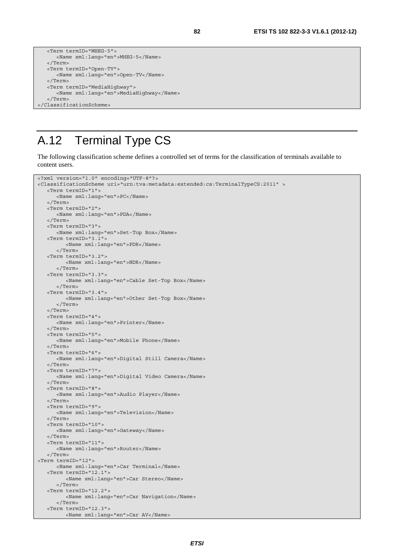```
 <Term termID="MHEG-5"> 
       <Name xml:lang="en">MHEG-5</Name> 
   </Term> 
   <Term termID="Open-TV"> 
      <Name xml:lang="en">Open-TV</Name> 
   </Term> 
   <Term termID="MediaHighway"> 
      <Name xml:lang="en">MediaHighway</Name> 
   </Term> 
</ClassificationScheme>
```
## A.12 Terminal Type CS

The following classification scheme defines a controlled set of terms for the classification of terminals available to content users.

```
<?xml version="1.0" encoding="UTF-8"?> 
<ClassificationScheme uri="urn:tva:metadata:extended:cs:TerminalTypeCS:2011" > 
    <Term termID="1"> 
       <Name xml:lang="en">PC</Name> 
    </Term> 
    <Term termID="2"> 
       <Name xml:lang="en">PDA</Name> 
    </Term> 
    <Term termID="3"> 
       <Name xml:lang="en">Set-Top Box</Name> 
    <Term termID="3.1"> 
          <Name xml:lang="en">PDR</Name> 
       </Term> 
    <Term termID="3.2"> 
          <Name xml:lang="en">NDR</Name> 
       </Term> 
    <Term termID="3.3"> 
          <Name xml:lang="en">Cable Set-Top Box</Name> 
       </Term> 
    <Term termID="3.4"> 
          <Name xml:lang="en">Other Set-Top Box</Name> 
       </Term> 
    </Term> 
    <Term termID="4"> 
       <Name xml:lang="en">Printer</Name> 
    </Term> 
    <Term termID="5"> 
       <Name xml:lang="en">Mobile Phone</Name> 
    </Term> 
    <Term termID="6"> 
       <Name xml:lang="en">Digital Still Camera</Name> 
    </Term> 
    <Term termID="7"> 
       <Name xml:lang="en">Digital Video Camera</Name> 
    </Term> 
    <Term termID="8"> 
       <Name xml:lang="en">Audio Player</Name> 
    </Term> 
    <Term termID="9"> 
       <Name xml:lang="en">Television</Name> 
    </Term> 
    <Term termID="10"> 
       <Name xml:lang="en">Gateway</Name> 
    </Term> 
    <Term termID="11"> 
      <Name xml:lang="en">Router</Name> 
    </Term> 
<Term termID="12"> 
       <Name xml:lang="en">Car Terminal</Name> 
    <Term termID="12.1"> 
          <Name xml:lang="en">Car Stereo</Name> 
       </Term> 
    <Term termID="12.2"> 
          <Name xml:lang="en">Car Navigation</Name> 
       </Term> 
    <Term termID="12.3"> 
          <Name xml:lang="en">Car AV</Name>
```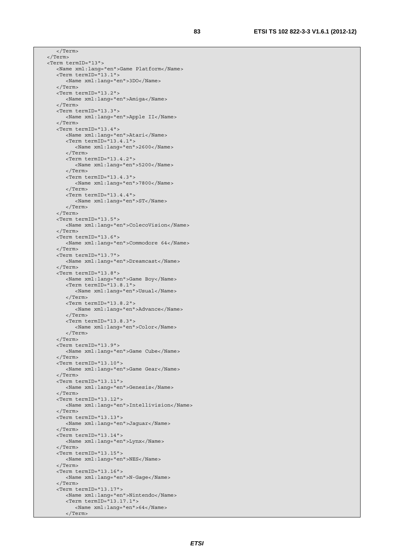</Term> </Term> <Term termID="13"> <Name xml:lang="en">Game Platform</Name> <Term termID="13.1"> <Name xml:lang="en">3DO</Name> </Term> <Term termID="13.2"> <Name xml:lang="en">Amiga</Name> </Term> <Term termID="13.3"> <Name xml:lang="en">Apple II</Name> </Term> <Term termID="13.4"> <Name xml:lang="en">Atari</Name> <Term termID="13.4.1"> <Name xml:lang="en">2600</Name> </Term> <Term termID="13.4.2"> <Name xml:lang="en">5200</Name> </Term> <Term termID="13.4.3"> <Name xml:lang="en">7800</Name> </Term> <Term termID="13.4.4"> <Name xml:lang="en">ST</Name> </Term> </Term> <Term termID="13.5"> <Name xml:lang="en">ColecoVision</Name> </Term> <Term termID="13.6"> <Name xml:lang="en">Commodore 64</Name> </Term> <Term termID="13.7"> <Name xml:lang="en">Dreamcast</Name> </Term> <Term termID="13.8"> <Name xml:lang="en">Game Boy</Name> <Term termID="13.8.1"> <Name xml:lang="en">Usual</Name> </Term> <Term termID="13.8.2"> <Name xml:lang="en">Advance</Name> </Term> <Term termID="13.8.3"> <Name xml:lang="en">Color</Name> </Term> </Term> <Term termID="13.9"> <Name xml:lang="en">Game Cube</Name> </Term> <Term termID="13.10"> <Name xml:lang="en">Game Gear</Name> </Term> <Term termID="13.11"> <Name xml:lang="en">Genesis</Name> </Term> <Term termID="13.12"> <Name xml:lang="en">Intellivision</Name> </Term> <Term termID="13.13"> <Name xml:lang="en">Jaguar</Name> </Term> <Term termID="13.14"> <Name xml:lang="en">Lynx</Name> </Term> <Term termID="13.15"> <Name xml:lang="en">NES</Name> </Term> <Term termID="13.16"> <Name xml:lang="en">N-Gage</Name> </Term> <Term termID="13.17"> <Name xml:lang="en">Nintendo</Name> <Term termID="13.17.1"> <Name xml:lang="en">64</Name> </Term>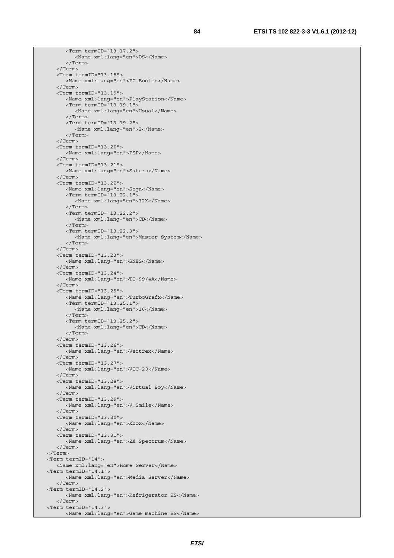<Term termID="13.17.2"> <Name xml:lang="en">DS</Name> </Term> </Term> <Term termID="13.18"> <Name xml:lang="en">PC Booter</Name> </Term> <Term termID="13.19"> <Name xml:lang="en">PlayStation</Name> <Term termID="13.19.1"> <Name xml:lang="en">Usual</Name> </Term> <Term termID="13.19.2"> <Name xml:lang="en">2</Name> </Term> </Term> <Term termID="13.20"> <Name xml:lang="en">PSP</Name> </Term> <Term termID="13.21"> <Name xml:lang="en">Saturn</Name> </Term> <Term termID="13.22"> <Name xml:lang="en">Sega</Name> <Term termID="13.22.1"> <Name xml:lang="en">32X</Name> </Term> <Term termID="13.22.2"> <Name xml:lang="en">CD</Name> </Term> <Term termID="13.22.3"> <Name xml:lang="en">Master System</Name> </Term> </Term> <Term termID="13.23"> <Name xml:lang="en">SNES</Name> </Term> <Term termID="13.24"> <Name xml:lang="en">TI-99/4A</Name> </Term> <Term termID="13.25"> <Name xml:lang="en">TurboGrafx</Name> <Term termID="13.25.1"> <Name xml:lang="en">16</Name> </Term> <Term termID="13.25.2"> <Name xml:lang="en">CD</Name> </Term> </Term> <Term termID="13.26"> <Name xml:lang="en">Vectrex</Name> </Term> <Term termID="13.27"> <Name xml:lang="en">VIC-20</Name> </Term> <Term termID="13.28"> <Name xml:lang="en">Virtual Boy</Name> </Term> <Term termID="13.29"> <Name xml:lang="en">V.Smile</Name> </Term> <Term termID="13.30"> <Name xml:lang="en">Xbox</Name> </Term> <Term termID="13.31"> <Name xml:lang="en">ZX Spectrum</Name> </Term> </Term> <Term termID="14"> <Name xml:lang="en">Home Server</Name> <Term termID="14.1"> <Name xml:lang="en">Media Server</Name> </Term> <Term termID="14.2"> <Name xml:lang="en">Refrigerator HS</Name> </Term> <Term termID="14.3"> <Name xml:lang="en">Game machine HS</Name>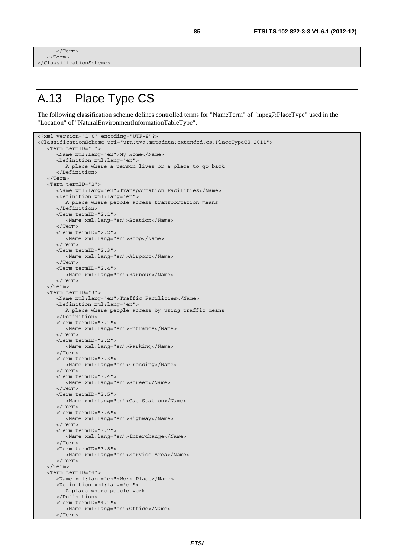```
\frac{1}{2} Term
     </Term> 
</ClassificationScheme>
```
</Term>

## A.13 Place Type CS

The following classification scheme defines controlled terms for "NameTerm" of "mpeg7:PlaceType" used in the "Location" of "NaturalEnvironmentInformationTableType".

```
<?xml version="1.0" encoding="UTF-8"?> 
<ClassificationScheme uri="urn:tva:metadata:extended:cs:PlaceTypeCS:2011"> 
    <Term termID="1"> 
       <Name xml:lang="en">My Home</Name> 
       <Definition xml:lang="en"> 
          A place where a person lives or a place to go back 
       </Definition> 
    </Term> 
    <Term termID="2"> 
       <Name xml:lang="en">Transportation Facilities</Name> 
       <Definition xml:lang="en"> 
          A place where people access transportation means 
       </Definition> 
       <Term termID="2.1"> 
          <Name xml:lang="en">Station</Name> 
       </Term> 
       <Term termID="2.2"> 
          <Name xml:lang="en">Stop</Name> 
       </Term> 
       <Term termID="2.3"> 
          <Name xml:lang="en">Airport</Name> 
       </Term> 
       <Term termID="2.4"> 
          <Name xml:lang="en">Harbour</Name> 
       </Term> 
    </Term> 
    <Term termID="3"> 
       <Name xml:lang="en">Traffic Facilities</Name> 
       <Definition xml:lang="en"> 
          A place where people access by using traffic means 
       </Definition> 
       <Term termID="3.1"> 
          <Name xml:lang="en">Entrance</Name> 
       </Term> 
       <Term termID="3.2"> 
          <Name xml:lang="en">Parking</Name> 
       </Term> 
       <Term termID="3.3"> 
          <Name xml:lang="en">Crossing</Name> 
       </Term> 
       <Term termID="3.4"> 
          <Name xml:lang="en">Street</Name> 
       </Term> 
       <Term termID="3.5"> 
          <Name xml:lang="en">Gas Station</Name> 
       </Term> 
       <Term termID="3.6"> 
          <Name xml:lang="en">Highway</Name> 
       </Term> 
       <Term termID="3.7"> 
          <Name xml:lang="en">Interchange</Name> 
       </Term> 
       <Term termID="3.8"> 
          <Name xml:lang="en">Service Area</Name> 
       </Term> 
    </Term> 
    <Term termID="4"> 
       <Name xml:lang="en">Work Place</Name> 
       <Definition xml:lang="en"> 
          A place where people work 
       </Definition> 
       <Term termID="4.1"> 
          <Name xml:lang="en">Office</Name>
```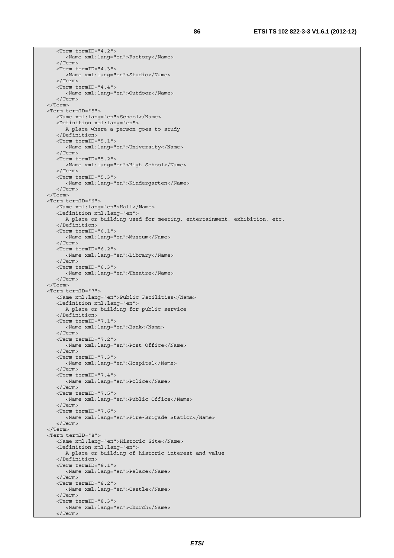```
 <Term termID="4.2"> 
       <Name xml:lang="en">Factory</Name> 
    </Term> 
    <Term termID="4.3"> 
       <Name xml:lang="en">Studio</Name> 
    </Term> 
    <Term termID="4.4"> 
       <Name xml:lang="en">Outdoor</Name> 
    </Term> 
 </Term> 
 <Term termID="5"> 
   <Name xml:lang="en">School</Name> 
    <Definition xml:lang="en"> 
       A place where a person goes to study 
    </Definition> 
    <Term termID="5.1"> 
       <Name xml:lang="en">University</Name> 
    </Term> 
    <Term termID="5.2"> 
       <Name xml:lang="en">High School</Name> 
    </Term> 
    <Term termID="5.3"> 
       <Name xml:lang="en">Kindergarten</Name> 
    </Term> 
 </Term> 
 <Term termID="6"> 
   <Name xml:lang="en">Hall</Name> 
    <Definition xml:lang="en"> 
       A place or building used for meeting, entertainment, exhibition, etc. 
    </Definition> 
    <Term termID="6.1"> 
      <Name xml:lang="en">Museum</Name> 
    </Term> 
    <Term termID="6.2"> 
      <Name xml:lang="en">Library</Name> 
    </Term> 
    <Term termID="6.3"> 
       <Name xml:lang="en">Theatre</Name> 
    </Term> 
 </Term> 
 <Term termID="7"> 
    <Name xml:lang="en">Public Facilities</Name> 
    <Definition xml:lang="en"> 
       A place or building for public service 
    </Definition> 
    <Term termID="7.1"> 
       <Name xml:lang="en">Bank</Name> 
    </Term> 
    <Term termID="7.2"> 
       <Name xml:lang="en">Post Office</Name> 
    </Term> 
    <Term termID="7.3"> 
       <Name xml:lang="en">Hospital</Name> 
   \sim/Term\sim <Term termID="7.4"> 
       <Name xml:lang="en">Police</Name> 
    </Term> 
    <Term termID="7.5"> 
       <Name xml:lang="en">Public Office</Name> 
    </Term> 
    <Term termID="7.6"> 
       <Name xml:lang="en">Fire-Brigade Station</Name> 
    </Term> 
 </Term> 
 <Term termID="8"> 
    <Name xml:lang="en">Historic Site</Name> 
    <Definition xml:lang="en"> 
       A place or building of historic interest and value 
    </Definition> 
    <Term termID="8.1"> 
       <Name xml:lang="en">Palace</Name> 
    </Term> 
    <Term termID="8.2"> 
       <Name xml:lang="en">Castle</Name> 
    </Term> 
    <Term termID="8.3"> 
       <Name xml:lang="en">Church</Name> 
    </Term>
```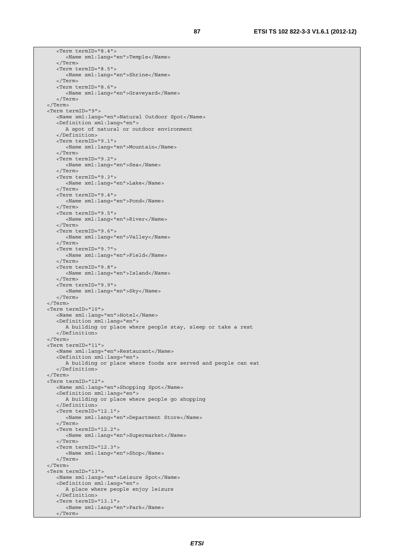<Term termID="8.4"> <Name xml:lang="en">Temple</Name> </Term> <Term termID="8.5"> <Name xml:lang="en">Shrine</Name> </Term> <Term termID="8.6"> <Name xml:lang="en">Graveyard</Name> </Term> </Term> <Term termID="9"> <Name xml:lang="en">Natural Outdoor Spot</Name> <Definition xml:lang="en"> A spot of natural or outdoor environment </Definition> <Term termID="9.1"> <Name xml:lang="en">Mountain</Name> </Term> <Term termID="9.2"> <Name xml:lang="en">Sea</Name> </Term> <Term termID="9.3"> <Name xml:lang="en">Lake</Name> </Term> <Term termID="9.4"> <Name xml:lang="en">Pond</Name> </Term> <Term termID="9.5"> <Name xml:lang="en">River</Name> </Term> <Term termID="9.6"> <Name xml:lang="en">Valley</Name> </Term> <Term termID="9.7"> <Name xml:lang="en">Field</Name> </Term> <Term termID="9.8"> <Name xml:lang="en">Island</Name> </Term> <Term termID="9.9"> <Name xml:lang="en">Sky</Name> </Term> </Term> <Term termID="10"> <Name xml:lang="en">Hotel</Name> <Definition xml:lang="en"> A building or place where people stay, sleep or take a rest </Definition> </Term> <Term termID="11"> <Name xml:lang="en">Restaurant</Name> <Definition xml:lang="en"> A building or place where foods are served and people can eat </Definition> </Term> <Term termID="12"> <Name xml:lang="en">Shopping Spot</Name> <Definition xml:lang="en"> A building or place where people go shopping </Definition> <Term termID="12.1"> <Name xml:lang="en">Department Store</Name> </Term> <Term termID="12.2"> <Name xml:lang="en">Supermarket</Name> </Term> <Term termID="12.3"> <Name xml:lang="en">Shop</Name> </Term> </Term> <Term termID="13"> <Name xml:lang="en">Leisure Spot</Name> <Definition xml:lang="en"> A place where people enjoy leisure </Definition> <Term termID="13.1"> <Name xml:lang="en">Park</Name> </Term>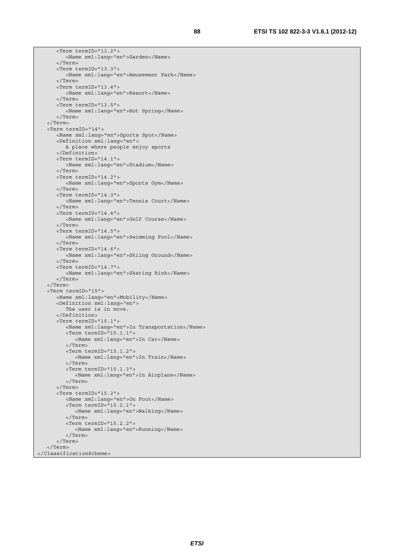<Term termID="13.2"> <Name xml:lang="en">Garden</Name> </Term> <Term termID="13.3"> <Name xml:lang="en">Amusement Park</Name> </Term> <Term termID="13.4"> <Name xml:lang="en">Resort</Name> </Term> <Term termID="13.5"> <Name xml:lang="en">Hot Spring</Name> </Term> </Term> <Term termID="14"> <Name xml:lang="en">Sports Spot</Name> <Definition xml:lang="en"> A place where people enjoy sports </Definition> <Term termID="14.1"> <Name xml:lang="en">Stadium</Name> </Term> <Term termID="14.2"> <Name xml:lang="en">Sports Gym</Name> </Term> <Term termID="14.3"> <Name xml:lang="en">Tennis Court</Name> </Term> <Term termID="14.4"> <Name xml:lang="en">Golf Course</Name> </Term> <Term termID="14.5"> <Name xml:lang="en">Swimming Pool</Name> </Term> <Term termID="14.6"> <Name xml:lang="en">Skiing Ground</Name> </Term> <Term termID="14.7"> <Name xml:lang="en">Skating Rink</Name> </Term> </Term> <Term termID="15"> <Name xml:lang="en">Mobility</Name> <Definition xml:lang="en"> The user is in move. </Definition> <Term termID="15.1"> <Name xml:lang="en">In Transportation</Name> <Term termID="15.1.1"> <Name xml:lang="en">In Car</Name> </Term> <Term termID="15.1.2"> <Name xml:lang="en">In Train</Name> </Term> <Term termID="15.1.3"> <Name xml:lang="en">In Airplane</Name> </Term> </Term> <Term termID="15.2"> <Name xml:lang="en">On Foot</Name> <Term termID="15.2.1"> <Name xml:lang="en">Walking</Name> </Term> <Term termID="15.2.2"> <Name xml:lang="en">Running</Name> </Term> </Term> </Term> </ClassificationScheme>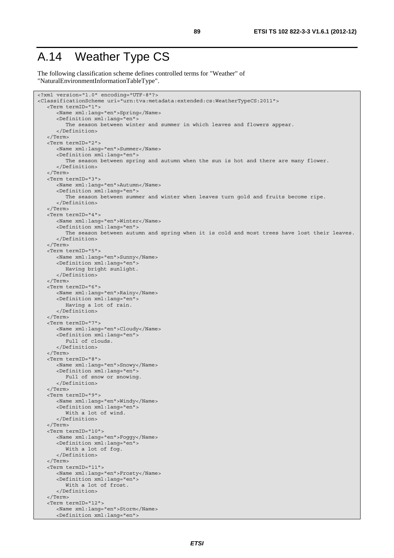#### A.14 Weather Type CS

The following classification scheme defines controlled terms for "Weather" of "NaturalEnvironmentInformationTableType".

```
<?xml version="1.0" encoding="UTF-8"?> 
<ClassificationScheme uri="urn:tva:metadata:extended:cs:WeatherTypeCS:2011"> 
    <Term termID="1"> 
       <Name xml:lang="en">Spring</Name> 
       <Definition xml:lang="en"> 
          The season between winter and summer in which leaves and flowers appear. 
       </Definition> 
    </Term> 
    <Term termID="2"> 
       <Name xml:lang="en">Summer</Name> 
       <Definition xml:lang="en"> 
          The season between spring and autumn when the sun is hot and there are many flower. 
       </Definition> 
    </Term> 
    <Term termID="3"> 
       <Name xml:lang="en">Autumn</Name> 
       <Definition xml:lang="en"> 
          The season between summer and winter when leaves turn gold and fruits become ripe. 
       </Definition> 
    </Term> 
    <Term termID="4"> 
       <Name xml:lang="en">Winter</Name> 
       <Definition xml:lang="en"> 
         The season between autumn and spring when it is cold and most trees have lost their leaves.
       </Definition> 
    </Term> 
    <Term termID="5"> 
       <Name xml:lang="en">Sunny</Name> 
       <Definition xml:lang="en"> 
          Having bright sunlight. 
       </Definition> 
    </Term> 
    <Term termID="6"> 
       <Name xml:lang="en">Rainy</Name> 
       <Definition xml:lang="en"> 
          Having a lot of rain. 
       </Definition> 
    </Term> 
    <Term termID="7"> 
       <Name xml:lang="en">Cloudy</Name> 
       <Definition xml:lang="en"> 
          Full of clouds. 
       </Definition> 
    </Term> 
    <Term termID="8"> 
       <Name xml:lang="en">Snowy</Name> 
       <Definition xml:lang="en"> 
          Full of snow or snowing. 
       </Definition> 
    </Term> 
    <Term termID="9"> 
       <Name xml:lang="en">Windy</Name> 
       <Definition xml:lang="en"> 
          With a lot of wind. 
       </Definition> 
    </Term> 
    <Term termID="10"> 
       <Name xml:lang="en">Foggy</Name> 
       <Definition xml:lang="en"> 
          With a lot of fog. 
       </Definition> 
    </Term> 
    <Term termID="11"> 
       <Name xml:lang="en">Frosty</Name> 
       <Definition xml:lang="en"> 
          With a lot of frost. 
       </Definition> 
    </Term> 
    <Term termID="12"> 
       <Name xml:lang="en">Storm</Name> 
       <Definition xml:lang="en">
```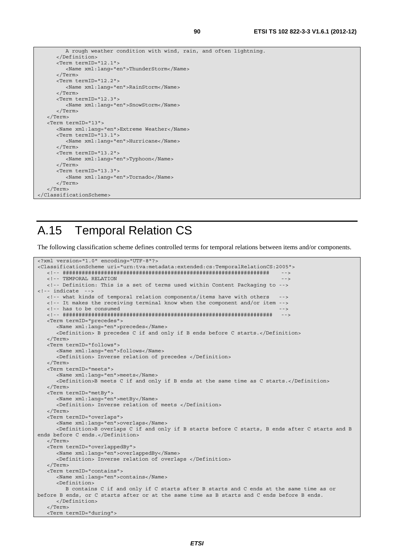```
 A rough weather condition with wind, rain, and often lightning. 
       </Definition> 
       <Term termID="12.1"> 
          <Name xml:lang="en">ThunderStorm</Name> 
       </Term> 
       <Term termID="12.2"> 
          <Name xml:lang="en">RainStorm</Name> 
       </Term> 
       <Term termID="12.3"> 
          <Name xml:lang="en">SnowStorm</Name> 
       </Term> 
    </Term> 
    <Term termID="13"> 
       <Name xml:lang="en">Extreme Weather</Name> 
       <Term termID="13.1"> 
          <Name xml:lang="en">Hurricane</Name> 
       </Term> 
       <Term termID="13.2"> 
          <Name xml:lang="en">Typhoon</Name> 
       </Term> 
       <Term termID="13.3"> 
          <Name xml:lang="en">Tornado</Name> 
       </Term> 
    </Term> 
</ClassificationScheme>
```
#### A.15 Temporal Relation CS

The following classification scheme defines controlled terms for temporal relations between items and/or components.

```
<?xml version="1.0" encoding="UTF-8"?> 
<ClassificationScheme uri="urn:tva:metadata:extended:cs:TemporalRelationCS:2005"> 
    <!-- ################################################################# --> 
   <!-- TEMPORAL RELATION
    <!-- Definition: This is a set of terms used within Content Packaging to --> 
<!-- indicate
   - what kinds of temporal relation components/items have with others
    <!-- It makes the receiving terminal know when the component and/or item --> 
   <!-- has to be consumed
    <!-- ################################################################## --> 
    <Term termID="precedes"> 
       <Name xml:lang="en">precedes</Name> 
       <Definition> B precedes C if and only if B ends before C starts.</Definition> 
    </Term> 
    <Term termID="follows"> 
       <Name xml:lang="en">follows</Name> 
       <Definition> Inverse relation of precedes </Definition> 
    </Term> 
    <Term termID="meets"> 
       <Name xml:lang="en">meets</Name> 
       <Definition>B meets C if and only if B ends at the same time as C starts.</Definition> 
    </Term> 
    <Term termID="metBy"> 
       <Name xml:lang="en">metBy</Name> 
       <Definition> Inverse relation of meets </Definition> 
    </Term> 
    <Term termID="overlaps"> 
       <Name xml:lang="en">overlaps</Name> 
       <Definition>B overlaps C if and only if B starts before C starts, B ends after C starts and B 
ends before C ends.</Definition> 
    </Term> 
    <Term termID="overlappedBy"> 
       <Name xml:lang="en">overlappedBy</Name> 
       <Definition> Inverse relation of overlaps </Definition> 
    </Term> 
    <Term termID="contains"> 
       <Name xml:lang="en">contains</Name> 
       <Definition> 
         B contains C if and only if C starts after B starts and C ends at the same time as or 
before B ends, or C starts after or at the same time as B starts and C ends before B ends. 
       </Definition> 
    </Term> 
    <Term termID="during">
```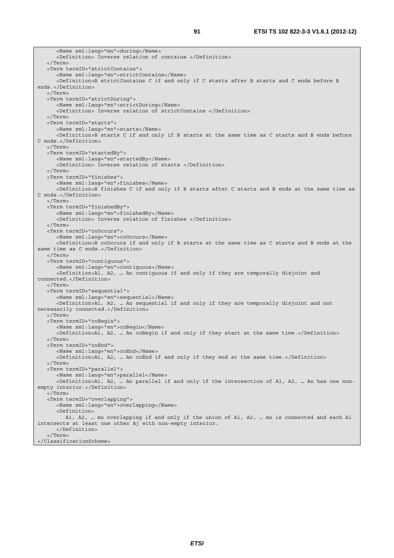<Name xml:lang="en">during</Name> <Definition> Inverse relation of contains </Definition> </Term> <Term termID="strictContains"> <Name xml:lang="en">strictContains</Name> <Definition>B strictContains C if and only if C starts after B starts and C ends before B ends.</Definition> </Term> <Term termID="strictDuring"> <Name xml:lang="en">strictDuring</Name> <Definition> Inverse relation of strictContains </Definition> </Term> <Term termID="starts"> <Name xml:lang="en">starts</Name> <Definition>B starts C if and only if B starts at the same time as C starts and B ends before C ends.</Definition> </Term> <Term termID="startedBy"> <Name xml:lang="en">startedBy</Name> <Definition> Inverse relation of starts </Definition> </Term> <Term termID="finishes"> <Name xml:lang="en">finishes</Name> <Definition>B finishes C if and only if B starts after C starts and B ends at the same time as C ends.</Definition> </Term> <Term termID="finishedBy"> <Name xml:lang="en">finishedBy</Name> <Definition> Inverse relation of finishes </Definition> </Term> <Term termID="coOccurs"> <Name xml:lang="en">coOccurs</Name> <Definition>B coOccurs if and only if B starts at the same time as C starts and B ends at the same time as C ends.</Definition> </Term> <Term termID="contiguous"> <Name xml:lang="en">contiguous</Name> <Definition>A1, A2, … An contiguous if and only if they are temporally disjoint and connected.</Definition> </Term> <Term termID="sequential"> <Name xml:lang="en">sequential</Name> <Definition>A1, A2, … An sequential if and only if they are temporally disjoint and not necessarily connected.</Definition> </Term> <Term termID="coBegin"> <Name xml:lang="en">coBegin</Name> <Definition>A1, A2, … An coBegin if and only if they start at the same time.</Definition> </Term> <Term termID="coEnd"> <Name xml:lang="en">coEnd</Name> <Definition>A1, A2, … An coEnd if and only if they end at the same time.</Definition> </Term> <Term termID="parallel"> <Name xml:lang="en">parallel</Name> <Definition>A1, A2, … An parallel if and only if the intersection of A1, A2, … An has one nonempty interior.</Definition> </Term> <Term termID="overlapping"> <Name xml:lang="en">overlapping</Name> <Definition> A1, A2, … An overlapping if and only if the union of A1, A2, … An is connected and each Ai intersects at least one other Aj with non-empty interior. </Definition> </Term> </ClassificationScheme>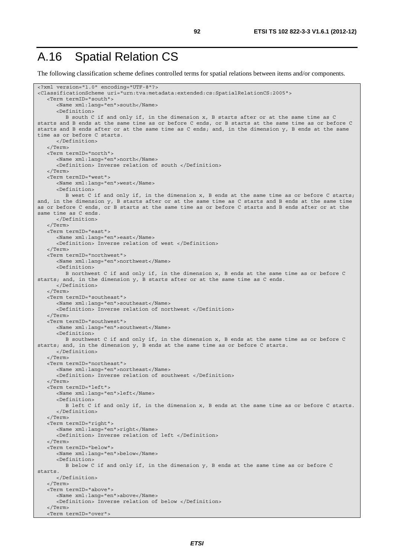#### A.16 Spatial Relation CS

The following classification scheme defines controlled terms for spatial relations between items and/or components.

```
<?xml version="1.0" encoding="UTF-8"?> 
<ClassificationScheme uri="urn:tva:metadata:extended:cs:SpatialRelationCS:2005"> 
    <Term termID="south"> 
       <Name xml:lang="en">south</Name> 
       <Definition> 
          B south C if and only if, in the dimension x, B starts after or at the same time as C 
starts and B ends at the same time as or before C ends, or B starts at the same time as or before C 
starts and B ends after or at the same time as C ends; and, in the dimension y, B ends at the same 
time as or before C starts. 
       </Definition> 
    </Term> 
    <Term termID="north"> 
       <Name xml:lang="en">north</Name> 
       <Definition> Inverse relation of south </Definition> 
    </Term> 
    <Term termID="west"> 
       <Name xml:lang="en">west</Name> 
       <Definition> 
          B west C if and only if, in the dimension x, B ends at the same time as or before C starts; 
and, in the dimension y, B starts after or at the same time as C starts and B ends at the same time 
as or before C ends, or B starts at the same time as or before C starts and B ends after or at the 
same time as C ends. 
       </Definition> 
    </Term> 
    <Term termID="east"> 
       <Name xml:lang="en">east</Name> 
       <Definition> Inverse relation of west </Definition> 
    </Term> 
    <Term termID="northwest"> 
       <Name xml:lang="en">northwest</Name> 
       <Definition> 
          B northwest C if and only if, in the dimension x, B ends at the same time as or before C 
starts; and, in the dimension y, B starts after or at the same time as C ends. 
       </Definition> 
    </Term> 
    <Term termID="southeast"> 
       <Name xml:lang="en">southeast</Name> 
       <Definition> Inverse relation of northwest </Definition> 
    </Term> 
    <Term termID="southwest"> 
       <Name xml:lang="en">southwest</Name> 
       <Definition> 
          B southwest C if and only if, in the dimension x, B ends at the same time as or before C 
starts; and, in the dimension y, B ends at the same time as or before C starts. 
       </Definition> 
    </Term> 
    <Term termID="northeast"> 
       <Name xml:lang="en">northeast</Name> 
       <Definition> Inverse relation of southwest </Definition> 
    </Term> 
    <Term termID="left"> 
       <Name xml:lang="en">left</Name> 
       <Definition> 
          B left C if and only if, in the dimension x, B ends at the same time as or before C starts. 
       </Definition> 
    </Term> 
    <Term termID="right"> 
       <Name xml:lang="en">right</Name> 
       <Definition> Inverse relation of left </Definition> 
    </Term> 
    <Term termID="below"> 
       <Name xml:lang="en">below</Name> 
       <Definition> 
          B below C if and only if, in the dimension y, B ends at the same time as or before C 
starts. 
       </Definition> 
    </Term> 
    <Term termID="above"> 
       <Name xml:lang="en">above</Name> 
       <Definition> Inverse relation of below </Definition> 
    </Term> 
    <Term termID="over">
```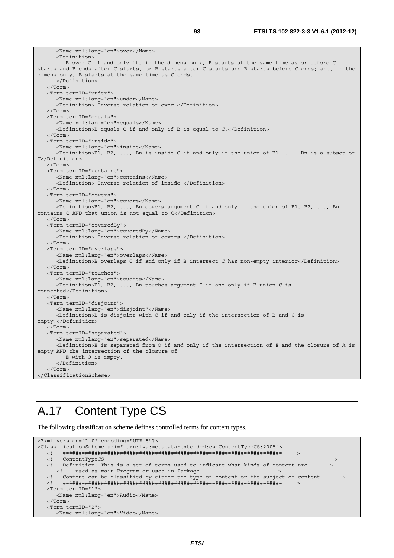```
 <Name xml:lang="en">over</Name> 
       <Definition> 
          B over C if and only if, in the dimension x, B starts at the same time as or before C 
starts and B ends after C starts, or B starts after C starts and B starts before C ends; and, in the 
dimension y, B starts at the same time as C ends. 
       </Definition> 
    </Term> 
    <Term termID="under"> 
       <Name xml:lang="en">under</Name> 
       <Definition> Inverse relation of over </Definition> 
    </Term> 
    <Term termID="equals"> 
       <Name xml:lang="en">equals</Name> 
       <Definition>B equals C if and only if B is equal to C.</Definition> 
    </Term> 
    <Term termID="inside"> 
       <Name xml:lang="en">inside</Name> 
       <Definition>B1, B2, ..., Bn is inside C if and only if the union of B1, ..., Bn is a subset of 
C</Definition> 
    </Term> 
    <Term termID="contains"> 
       <Name xml:lang="en">contains</Name> 
       <Definition> Inverse relation of inside </Definition> 
    </Term> 
    <Term termID="covers"> 
       <Name xml:lang="en">covers</Name> 
       <Definition>B1, B2, ..., Bn covers argument C if and only if the union of B1, B2, ..., Bn 
contains C AND that union is not equal to C</Definition> 
    </Term> 
    <Term termID="coveredBy"> 
       <Name xml:lang="en">coveredBy</Name> 
       <Definition> Inverse relation of covers </Definition> 
    </Term> 
    <Term termID="overlaps"> 
       <Name xml:lang="en">overlaps</Name> 
       <Definition>B overlaps C if and only if B intersect C has non-empty interior</Definition> 
    </Term> 
    <Term termID="touches"> 
       <Name xml:lang="en">touches</Name> 
       <Definition>B1, B2, ..., Bn touches argument C if and only if B union C is 
connected</Definition> 
    </Term> 
    <Term termID="disjoint"> 
       <Name xml:lang="en">disjoint"</Name> 
       <Definition>B is disjoint with C if and only if the intersection of B and C is 
empty.</Definition> 
    </Term> 
    <Term termID="separated"> 
       <Name xml:lang="en">separated</Name> 
       <Definition>E is separated from O if and only if the intersection of E and the closure of A is 
empty AND the intersection of the closure of 
          E with O is empty. 
       </Definition> 
   \sim/Term\sim</ClassificationScheme>
```
## A.17 Content Type CS

The following classification scheme defines controlled terms for content types.

```
<?xml version="1.0" encoding="UTF-8"?> 
<ClassificationScheme uri=" urn:tva:metadata:extended:cs:ContentTypeCS:2005"> 
   <!-- ##################################################################### --> 
   <!-- ContentTypeCS --> 
  <!-- Definition: This is a set of terms used to indicate what kinds of content are
    <!-- used as main Program or used in Package.
   <!-- Content can be classified by either the type of content or the subject of content --> 
   <!-- ##################################################################### --> 
   <Term termID="1"> 
      <Name xml:lang="en">Audio</Name> 
   </Term> 
   <Term termID="2"> 
     <Name xml:lang="en">Video</Name>
```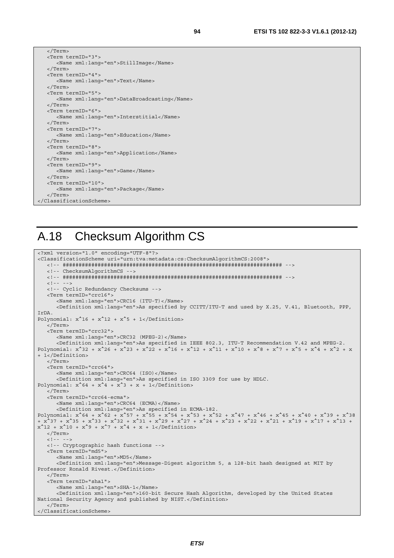|  | <term termid="3"></term>                    |  |  |  |
|--|---------------------------------------------|--|--|--|
|  | <name xml:lang="en">StillImage</name>       |  |  |  |
|  | $\langle$ Term>                             |  |  |  |
|  | <term termid="4"></term>                    |  |  |  |
|  | <name xml:lang="en">Text</name>             |  |  |  |
|  | $\langle$ Term>                             |  |  |  |
|  | <term termid="5"></term>                    |  |  |  |
|  | <name xml:lang="en">DataBroadcasting</name> |  |  |  |
|  | $\langle$ Term>                             |  |  |  |
|  | <term termid="6"></term>                    |  |  |  |
|  | <name xml:lanq="en">Interstitial</name>     |  |  |  |
|  | $\langle$ Term>                             |  |  |  |
|  | <term termid="7"></term>                    |  |  |  |
|  | <name xml:lanq="en">Education</name>        |  |  |  |
|  | $\langle$ Term>                             |  |  |  |
|  | <term termid="8"></term>                    |  |  |  |
|  | <name xml:lang="en">Application</name>      |  |  |  |
|  | $\langle$ Term>                             |  |  |  |
|  | <term termid="9"></term>                    |  |  |  |
|  | <name xml:lang="en">Game</name>             |  |  |  |
|  | $\langle$ Term>                             |  |  |  |
|  | <term termid="10"></term>                   |  |  |  |
|  | <name xml:lang="en">Package</name>          |  |  |  |
|  |                                             |  |  |  |
|  |                                             |  |  |  |
|  |                                             |  |  |  |

#### A.18 Checksum Algorithm CS

```
<?xml version="1.0" encoding="UTF-8"?> 
<ClassificationScheme uri="urn:tva:metadata:cs:ChecksumAlgorithmCS:2008"> 
    <!-- ##################################################################### --> 
    <!-- ChecksumAlgorithmCS --> 
    <!-- ##################################################################### --> 
   \leq ! -- -->
    <!-- Cyclic Redundancy Checksums --> 
    <Term termID="crc16"> 
       <Name xml:lang="en">CRC16 (ITU-T)</Name> 
       <Definition xml:lang="en">As specified by CCITT/ITU-T and used by X.25, V.41, Bluetooth, PPP, 
IrDA. 
Polynomial: x^16 + x^12 + x^5 + 1</Definition>
    </Term> 
    <Term termID="crc32"> 
       <Name xml:lang="en">CRC32 (MPEG-2)</Name> 
       <Definition xml:lang="en">As specified in IEEE 802.3, ITU-T Recommendation V.42 and MPEG-2. 
Polynomial: x^332 + x^24 + x^23 + x^22 + x^216 + x^212 + x^211 + x^210 + x^8 + x^77 + x^65 + x^4 + x^22 + x^2+ 1</Definition> 
    </Term> 
    <Term termID="crc64"> 
       <Name xml:lang="en">CRC64 (ISO)</Name> 
       <Definition xml:lang="en">As specified in ISO 3309 for use by HDLC. 
Polynomial: x^64 + x^4 + x^3 + x + 1 </Term> 
    <Term termID="crc64-ecma"> 
       <Name xml:lang="en">CRC64 (ECMA)</Name> 
       <Definition xml:lang="en">As specified in ECMA-182. 
Polynomial: x^64 + x^62 + x^57 + x^55 + x^54 + x^53 + x^54 + x^47 + x^46 + x^45 + x^40 + x^39 + x^38+ x^37 + x^35 + x^33 + x^32 + x^31 + x^29 + x^27 + x^24 + x^23 + x^22 + x^21 + x^19 + x^17 + x^13 + 
x^12 + x^10 + x^9 + x^7 + x^4 + x + 1 </Definition>
    </Term> 
   \lt!! -- -->
    <!-- Cryptographic hash functions --> 
    <Term termID="md5"> 
       <Name xml:lang="en">MD5</Name> 
       <Definition xml:lang="en">Message-Digest algorithm 5, a 128-bit hash designed at MIT by 
Professor Ronald Rivest.</Definition> 
    </Term> 
    <Term termID="sha1"> 
       <Name xml:lang="en">SHA-1</Name> 
       <Definition xml:lang="en">160-bit Secure Hash Algorithm, developed by the United States 
National Security Agency and published by NIST.</Definition> 
    </Term> 
 </ClassificationScheme>
```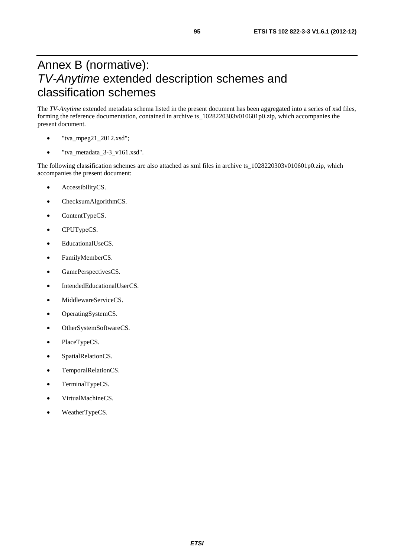### Annex B (normative): *TV-Anytime* extended description schemes and classification schemes

The *TV-Anytime* extended metadata schema listed in the present document has been aggregated into a series of xsd files, forming the reference documentation, contained in archive ts\_1028220303v010601p0.zip, which accompanies the present document.

- $"$ tva\_mpeg21\_2012.xsd";
- "tva\_metadata\_3-3\_v161.xsd".

The following classification schemes are also attached as xml files in archive ts\_1028220303v010601p0.zip, which accompanies the present document:

- AccessibilityCS.
- ChecksumAlgorithmCS.
- ContentTypeCS.
- CPUTypeCS.
- EducationalUseCS.
- FamilyMemberCS.
- GamePerspectivesCS.
- IntendedEducationalUserCS.
- MiddlewareServiceCS.
- OperatingSystemCS.
- OtherSystemSoftwareCS.
- PlaceTypeCS.
- SpatialRelationCS.
- TemporalRelationCS.
- TerminalTypeCS.
- VirtualMachineCS.
- WeatherTypeCS.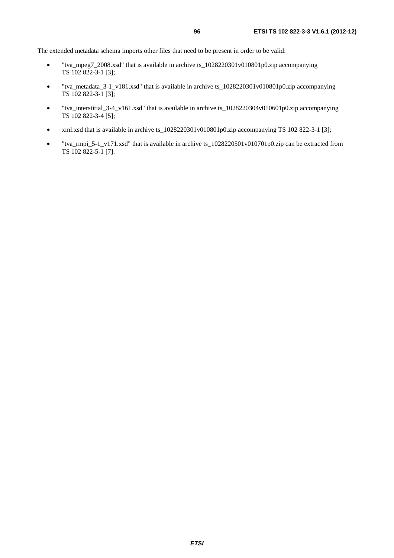The extended metadata schema imports other files that need to be present in order to be valid:

- "tva\_mpeg7\_2008.xsd" that is available in archive ts\_1028220301v010801p0.zip accompanying TS 102 822-3-1 [3];
- "tva\_metadata\_3-1\_v181.xsd" that is available in archive ts\_1028220301v010801p0.zip accompanying TS 102 822-3-1 [3];
- "tva\_interstitial\_3-4\_v161.xsd" that is available in archive ts\_1028220304v010601p0.zip accompanying TS 102 822-3-4 [5];
- xml.xsd that is available in archive ts\_1028220301v010801p0.zip accompanying TS 102 822-3-1 [3];
- "tva\_rmpi\_5-1\_v171.xsd" that is available in archive ts\_1028220501v010701p0.zip can be extracted from TS 102 822-5-1 [7].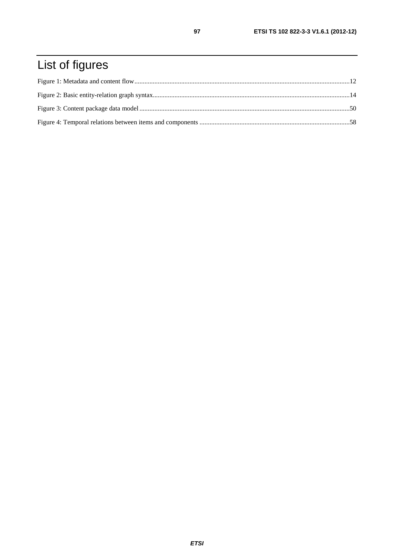# List of figures

97